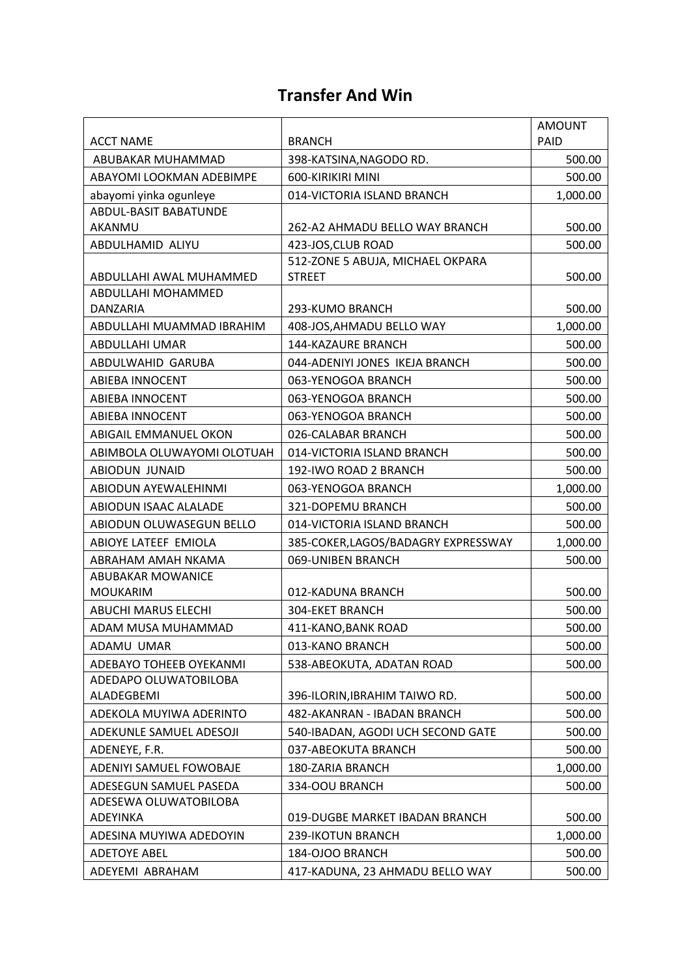#### **Transfer And Win**

|                                   |                                     | <b>AMOUNT</b> |
|-----------------------------------|-------------------------------------|---------------|
| <b>ACCT NAME</b>                  | <b>BRANCH</b>                       | PAID          |
| ABUBAKAR MUHAMMAD                 | 398-KATSINA, NAGODO RD.             | 500.00        |
| ABAYOMI LOOKMAN ADEBIMPE          | 600-KIRIKIRI MINI                   | 500.00        |
| abayomi yinka ogunleye            | 014-VICTORIA ISLAND BRANCH          | 1,000.00      |
| <b>ABDUL-BASIT BABATUNDE</b>      |                                     |               |
| AKANMU                            | 262-A2 AHMADU BELLO WAY BRANCH      | 500.00        |
| ABDULHAMID ALIYU                  | 423-JOS, CLUB ROAD                  | 500.00        |
|                                   | 512-ZONE 5 ABUJA, MICHAEL OKPARA    |               |
| ABDULLAHI AWAL MUHAMMED           | <b>STREET</b>                       | 500.00        |
| ABDULLAHI MOHAMMED<br>DANZARIA    | 293-KUMO BRANCH                     | 500.00        |
| ABDULLAHI MUAMMAD IBRAHIM         | 408-JOS, AHMADU BELLO WAY           | 1,000.00      |
| ABDULLAHI UMAR                    | <b>144-KAZAURE BRANCH</b>           | 500.00        |
| ABDULWAHID GARUBA                 | 044-ADENIYI JONES IKEJA BRANCH      | 500.00        |
| <b>ABIEBA INNOCENT</b>            | 063-YENOGOA BRANCH                  | 500.00        |
| <b>ABIEBA INNOCENT</b>            | 063-YENOGOA BRANCH                  | 500.00        |
| <b>ABIEBA INNOCENT</b>            | 063-YENOGOA BRANCH                  | 500.00        |
| ABIGAIL EMMANUEL OKON             | 026-CALABAR BRANCH                  | 500.00        |
| ABIMBOLA OLUWAYOMI OLOTUAH        | 014-VICTORIA ISLAND BRANCH          | 500.00        |
| ABIODUN JUNAID                    | 192-IWO ROAD 2 BRANCH               | 500.00        |
| ABIODUN AYEWALEHINMI              | 063-YENOGOA BRANCH                  | 1,000.00      |
| ABIODUN ISAAC ALALADE             | 321-DOPEMU BRANCH                   | 500.00        |
| ABIODUN OLUWASEGUN BELLO          | 014-VICTORIA ISLAND BRANCH          | 500.00        |
| ABIOYE LATEEF EMIOLA              | 385-COKER, LAGOS/BADAGRY EXPRESSWAY | 1,000.00      |
| ABRAHAM AMAH NKAMA                | 069-UNIBEN BRANCH                   | 500.00        |
| ABUBAKAR MOWANICE                 |                                     |               |
| <b>MOUKARIM</b>                   | 012-KADUNA BRANCH                   | 500.00        |
| <b>ABUCHI MARUS ELECHI</b>        | <b>304-EKET BRANCH</b>              | 500.00        |
| ADAM MUSA MUHAMMAD                | 411-KANO, BANK ROAD                 | 500.00        |
| ADAMU UMAR                        | 013-KANO BRANCH                     | 500.00        |
| ADEBAYO TOHEEB OYEKANMI           | 538-ABEOKUTA, ADATAN ROAD           | 500.00        |
| ADEDAPO OLUWATOBILOBA             |                                     |               |
| ALADEGBEMI                        | 396-ILORIN, IBRAHIM TAIWO RD.       | 500.00        |
| ADEKOLA MUYIWA ADERINTO           | 482-AKANRAN - IBADAN BRANCH         | 500.00        |
| ADEKUNLE SAMUEL ADESOJI           | 540-IBADAN, AGODI UCH SECOND GATE   | 500.00        |
| ADENEYE, F.R.                     | 037-ABEOKUTA BRANCH                 | 500.00        |
| ADENIYI SAMUEL FOWOBAJE           | 180-ZARIA BRANCH                    | 1,000.00      |
| ADESEGUN SAMUEL PASEDA            | 334-OOU BRANCH                      | 500.00        |
| ADESEWA OLUWATOBILOBA<br>ADEYINKA | 019-DUGBE MARKET IBADAN BRANCH      | 500.00        |
| ADESINA MUYIWA ADEDOYIN           | 239-IKOTUN BRANCH                   | 1,000.00      |
| <b>ADETOYE ABEL</b>               | 184-OJOO BRANCH                     | 500.00        |
| ADEYEMI ABRAHAM                   | 417-KADUNA, 23 AHMADU BELLO WAY     | 500.00        |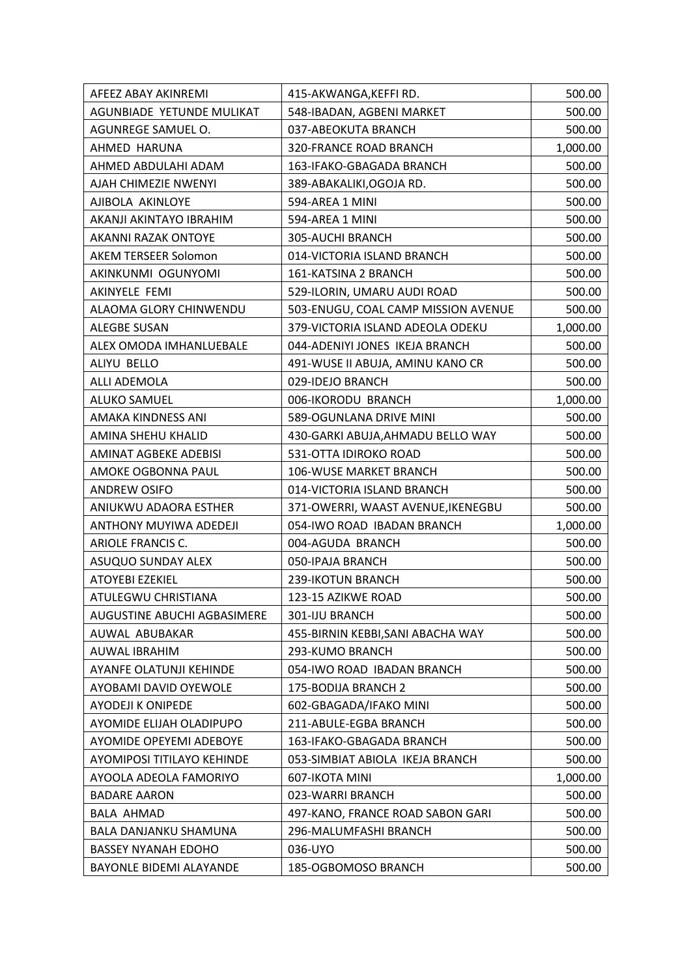| AFEEZ ABAY AKINREMI                | 415-AKWANGA, KEFFI RD.              | 500.00   |
|------------------------------------|-------------------------------------|----------|
| AGUNBIADE YETUNDE MULIKAT          | 548-IBADAN, AGBENI MARKET           | 500.00   |
| AGUNREGE SAMUEL O.                 | 037-ABEOKUTA BRANCH                 | 500.00   |
| AHMED HARUNA                       | <b>320-FRANCE ROAD BRANCH</b>       | 1,000.00 |
| AHMED ABDULAHI ADAM                | 163-IFAKO-GBAGADA BRANCH            | 500.00   |
| AJAH CHIMEZIE NWENYI               | 389-ABAKALIKI, OGOJA RD.            | 500.00   |
| AJIBOLA AKINLOYE                   | 594-AREA 1 MINI                     | 500.00   |
| AKANJI AKINTAYO IBRAHIM            | 594-AREA 1 MINI                     | 500.00   |
| <b>AKANNI RAZAK ONTOYE</b>         | 305-AUCHI BRANCH                    | 500.00   |
| AKEM TERSEER Solomon               | 014-VICTORIA ISLAND BRANCH          | 500.00   |
| AKINKUNMI OGUNYOMI                 | 161-KATSINA 2 BRANCH                | 500.00   |
| AKINYELE FEMI                      | 529-ILORIN, UMARU AUDI ROAD         | 500.00   |
| ALAOMA GLORY CHINWENDU             | 503-ENUGU, COAL CAMP MISSION AVENUE | 500.00   |
| ALEGBE SUSAN                       | 379-VICTORIA ISLAND ADEOLA ODEKU    | 1,000.00 |
| ALEX OMODA IMHANLUEBALE            | 044-ADENIYI JONES IKEJA BRANCH      | 500.00   |
| ALIYU BELLO                        | 491-WUSE II ABUJA, AMINU KANO CR    | 500.00   |
| ALLI ADEMOLA                       | 029-IDEJO BRANCH                    | 500.00   |
| <b>ALUKO SAMUEL</b>                | 006-IKORODU BRANCH                  | 1,000.00 |
| AMAKA KINDNESS ANI                 | 589-OGUNLANA DRIVE MINI             | 500.00   |
| AMINA SHEHU KHALID                 | 430-GARKI ABUJA, AHMADU BELLO WAY   | 500.00   |
| AMINAT AGBEKE ADEBISI              | 531-OTTA IDIROKO ROAD               | 500.00   |
| AMOKE OGBONNA PAUL                 | 106-WUSE MARKET BRANCH              | 500.00   |
| <b>ANDREW OSIFO</b>                | 014-VICTORIA ISLAND BRANCH          | 500.00   |
| ANIUKWU ADAORA ESTHER              | 371-OWERRI, WAAST AVENUE, IKENEGBU  | 500.00   |
| ANTHONY MUYIWA ADEDEJI             | 054-IWO ROAD IBADAN BRANCH          | 1,000.00 |
| ARIOLE FRANCIS C.                  | 004-AGUDA BRANCH                    | 500.00   |
| ASUQUO SUNDAY ALEX                 | 050-IPAJA BRANCH                    | 500.00   |
| <b>ATOYEBI EZEKIEL</b>             | 239-IKOTUN BRANCH                   | 500.00   |
| ATULEGWU CHRISTIANA                | 123-15 AZIKWE ROAD                  | 500.00   |
| <b>AUGUSTINE ABUCHI AGBASIMERE</b> | 301-IJU BRANCH                      | 500.00   |
| AUWAL ABUBAKAR                     | 455-BIRNIN KEBBI, SANI ABACHA WAY   | 500.00   |
| AUWAL IBRAHIM                      | 293-KUMO BRANCH                     | 500.00   |
| AYANFE OLATUNJI KEHINDE            | 054-IWO ROAD IBADAN BRANCH          | 500.00   |
| AYOBAMI DAVID OYEWOLE              | 175-BODIJA BRANCH 2                 | 500.00   |
| <b>AYODEJI K ONIPEDE</b>           | 602-GBAGADA/IFAKO MINI              | 500.00   |
| AYOMIDE ELIJAH OLADIPUPO           | 211-ABULE-EGBA BRANCH               | 500.00   |
| <b>AYOMIDE OPEYEMI ADEBOYE</b>     | 163-IFAKO-GBAGADA BRANCH            | 500.00   |
| AYOMIPOSI TITILAYO KEHINDE         | 053-SIMBIAT ABIOLA IKEJA BRANCH     | 500.00   |
| AYOOLA ADEOLA FAMORIYO             | 607-IKOTA MINI                      | 1,000.00 |
| <b>BADARE AARON</b>                | 023-WARRI BRANCH                    | 500.00   |
| <b>BALA AHMAD</b>                  | 497-KANO, FRANCE ROAD SABON GARI    | 500.00   |
| BALA DANJANKU SHAMUNA              | 296-MALUMFASHI BRANCH               | 500.00   |
| <b>BASSEY NYANAH EDOHO</b>         | 036-UYO                             | 500.00   |
| BAYONLE BIDEMI ALAYANDE            | 185-OGBOMOSO BRANCH                 | 500.00   |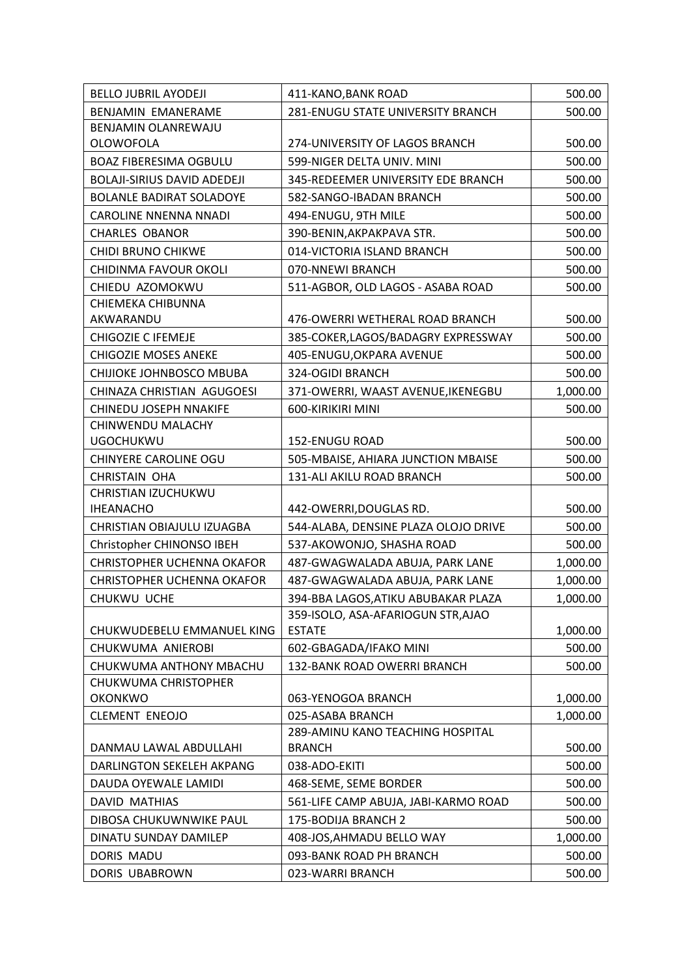| <b>BELLO JUBRIL AYODEJI</b>        | 411-KANO, BANK ROAD                               | 500.00   |
|------------------------------------|---------------------------------------------------|----------|
| <b>BENJAMIN EMANERAME</b>          | 281-ENUGU STATE UNIVERSITY BRANCH                 | 500.00   |
| BENJAMIN OLANREWAJU                |                                                   |          |
| <b>OLOWOFOLA</b>                   | 274-UNIVERSITY OF LAGOS BRANCH                    | 500.00   |
| <b>BOAZ FIBERESIMA OGBULU</b>      | 599-NIGER DELTA UNIV. MINI                        | 500.00   |
| <b>BOLAJI-SIRIUS DAVID ADEDEJI</b> | 345-REDEEMER UNIVERSITY EDE BRANCH                | 500.00   |
| <b>BOLANLE BADIRAT SOLADOYE</b>    | 582-SANGO-IBADAN BRANCH                           | 500.00   |
| <b>CAROLINE NNENNA NNADI</b>       | 494-ENUGU, 9TH MILE                               | 500.00   |
| <b>CHARLES OBANOR</b>              | 390-BENIN, AKPAKPAVA STR.                         | 500.00   |
| CHIDI BRUNO CHIKWE                 | 014-VICTORIA ISLAND BRANCH                        | 500.00   |
| CHIDINMA FAVOUR OKOLI              | 070-NNEWI BRANCH                                  | 500.00   |
| CHIEDU AZOMOKWU                    | 511-AGBOR, OLD LAGOS - ASABA ROAD                 | 500.00   |
| CHIEMEKA CHIBUNNA                  |                                                   |          |
| AKWARANDU                          | 476-OWERRI WETHERAL ROAD BRANCH                   | 500.00   |
| CHIGOZIE C IFEMEJE                 | 385-COKER, LAGOS/BADAGRY EXPRESSWAY               | 500.00   |
| <b>CHIGOZIE MOSES ANEKE</b>        | 405-ENUGU, OKPARA AVENUE                          | 500.00   |
| CHIJIOKE JOHNBOSCO MBUBA           | 324-OGIDI BRANCH                                  | 500.00   |
| CHINAZA CHRISTIAN AGUGOESI         | 371-OWERRI, WAAST AVENUE, IKENEGBU                | 1,000.00 |
| <b>CHINEDU JOSEPH NNAKIFE</b>      | 600-KIRIKIRI MINI                                 | 500.00   |
| CHINWENDU MALACHY                  |                                                   |          |
| <b>UGOCHUKWU</b>                   | 152-ENUGU ROAD                                    | 500.00   |
| CHINYERE CAROLINE OGU              | 505-MBAISE, AHIARA JUNCTION MBAISE                | 500.00   |
| <b>CHRISTAIN OHA</b>               | 131-ALI AKILU ROAD BRANCH                         | 500.00   |
| CHRISTIAN IZUCHUKWU                |                                                   |          |
| <b>IHEANACHO</b>                   | 442-OWERRI, DOUGLAS RD.                           | 500.00   |
| CHRISTIAN OBIAJULU IZUAGBA         | 544-ALABA, DENSINE PLAZA OLOJO DRIVE              | 500.00   |
| Christopher CHINONSO IBEH          | 537-AKOWONJO, SHASHA ROAD                         | 500.00   |
| <b>CHRISTOPHER UCHENNA OKAFOR</b>  | 487-GWAGWALADA ABUJA, PARK LANE                   | 1,000.00 |
| <b>CHRISTOPHER UCHENNA OKAFOR</b>  | 487-GWAGWALADA ABUJA, PARK LANE                   | 1,000.00 |
| CHUKWU UCHE                        | 394-BBA LAGOS, ATIKU ABUBAKAR PLAZA               | 1,000.00 |
|                                    | 359-ISOLO, ASA-AFARIOGUN STR, AJAO                |          |
| CHUKWUDEBELU EMMANUEL KING         | <b>ESTATE</b>                                     | 1,000.00 |
| CHUKWUMA ANIEROBI                  | 602-GBAGADA/IFAKO MINI                            | 500.00   |
| CHUKWUMA ANTHONY MBACHU            | 132-BANK ROAD OWERRI BRANCH                       | 500.00   |
| CHUKWUMA CHRISTOPHER               |                                                   |          |
| <b>OKONKWO</b>                     | 063-YENOGOA BRANCH                                | 1,000.00 |
| <b>CLEMENT ENEOJO</b>              | 025-ASABA BRANCH                                  | 1,000.00 |
|                                    | 289-AMINU KANO TEACHING HOSPITAL<br><b>BRANCH</b> |          |
| DANMAU LAWAL ABDULLAHI             |                                                   | 500.00   |
| DARLINGTON SEKELEH AKPANG          | 038-ADO-EKITI                                     | 500.00   |
| DAUDA OYEWALE LAMIDI               | 468-SEME, SEME BORDER                             | 500.00   |
| <b>DAVID MATHIAS</b>               | 561-LIFE CAMP ABUJA, JABI-KARMO ROAD              | 500.00   |
| DIBOSA CHUKUWNWIKE PAUL            | 175-BODIJA BRANCH 2                               | 500.00   |
| DINATU SUNDAY DAMILEP              | 408-JOS, AHMADU BELLO WAY                         | 1,000.00 |
| DORIS MADU                         | 093-BANK ROAD PH BRANCH                           | 500.00   |
| DORIS UBABROWN                     | 023-WARRI BRANCH                                  | 500.00   |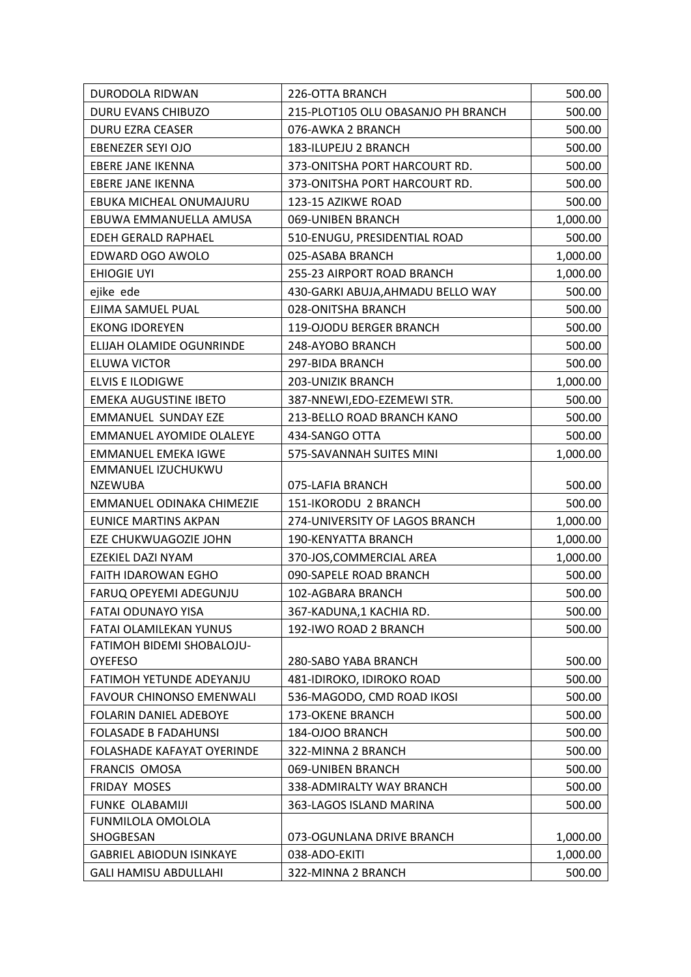| DURODOLA RIDWAN                      | 226-OTTA BRANCH                    | 500.00   |
|--------------------------------------|------------------------------------|----------|
| DURU EVANS CHIBUZO                   | 215-PLOT105 OLU OBASANJO PH BRANCH | 500.00   |
| <b>DURU EZRA CEASER</b>              | 076-AWKA 2 BRANCH                  | 500.00   |
| EBENEZER SEYI OJO                    | 183-ILUPEJU 2 BRANCH               | 500.00   |
| <b>EBERE JANE IKENNA</b>             | 373-ONITSHA PORT HARCOURT RD.      | 500.00   |
| EBERE JANE IKENNA                    | 373-ONITSHA PORT HARCOURT RD.      | 500.00   |
| EBUKA MICHEAL ONUMAJURU              | 123-15 AZIKWE ROAD                 | 500.00   |
| EBUWA EMMANUELLA AMUSA               | 069-UNIBEN BRANCH                  | 1,000.00 |
| EDEH GERALD RAPHAEL                  | 510-ENUGU, PRESIDENTIAL ROAD       | 500.00   |
| EDWARD OGO AWOLO                     | 025-ASABA BRANCH                   | 1,000.00 |
| <b>EHIOGIE UYI</b>                   | 255-23 AIRPORT ROAD BRANCH         | 1,000.00 |
| ejike ede                            | 430-GARKI ABUJA, AHMADU BELLO WAY  | 500.00   |
| EJIMA SAMUEL PUAL                    | 028-ONITSHA BRANCH                 | 500.00   |
| <b>EKONG IDOREYEN</b>                | 119-OJODU BERGER BRANCH            | 500.00   |
| ELIJAH OLAMIDE OGUNRINDE             | 248-AYOBO BRANCH                   | 500.00   |
| <b>ELUWA VICTOR</b>                  | 297-BIDA BRANCH                    | 500.00   |
| <b>ELVIS E ILODIGWE</b>              | 203-UNIZIK BRANCH                  | 1,000.00 |
| <b>EMEKA AUGUSTINE IBETO</b>         | 387-NNEWI, EDO-EZEMEWI STR.        | 500.00   |
| <b>EMMANUEL SUNDAY EZE</b>           | 213-BELLO ROAD BRANCH KANO         | 500.00   |
| <b>EMMANUEL AYOMIDE OLALEYE</b>      | 434-SANGO OTTA                     | 500.00   |
| <b>EMMANUEL EMEKA IGWE</b>           | 575-SAVANNAH SUITES MINI           | 1,000.00 |
| EMMANUEL IZUCHUKWU<br><b>NZEWUBA</b> | 075-LAFIA BRANCH                   | 500.00   |
| EMMANUEL ODINAKA CHIMEZIE            | 151-IKORODU 2 BRANCH               | 500.00   |
| <b>EUNICE MARTINS AKPAN</b>          | 274-UNIVERSITY OF LAGOS BRANCH     | 1,000.00 |
| EZE CHUKWUAGOZIE JOHN                | <b>190-KENYATTA BRANCH</b>         | 1,000.00 |
| EZEKIEL DAZI NYAM                    | 370-JOS, COMMERCIAL AREA           | 1,000.00 |
| <b>FAITH IDAROWAN EGHO</b>           | 090-SAPELE ROAD BRANCH             | 500.00   |
| FARUQ OPEYEMI ADEGUNJU               | 102-AGBARA BRANCH                  | 500.00   |
| <b>FATAI ODUNAYO YISA</b>            | 367-KADUNA,1 KACHIA RD.            | 500.00   |
| <b>FATAI OLAMILEKAN YUNUS</b>        | 192-IWO ROAD 2 BRANCH              | 500.00   |
| FATIMOH BIDEMI SHOBALOJU-            |                                    |          |
| <b>OYEFESO</b>                       | 280-SABO YABA BRANCH               | 500.00   |
| FATIMOH YETUNDE ADEYANJU             | 481-IDIROKO, IDIROKO ROAD          | 500.00   |
| <b>FAVOUR CHINONSO EMENWALI</b>      | 536-MAGODO, CMD ROAD IKOSI         | 500.00   |
| FOLARIN DANIEL ADEBOYE               | 173-OKENE BRANCH                   | 500.00   |
| <b>FOLASADE B FADAHUNSI</b>          | 184-OJOO BRANCH                    | 500.00   |
| FOLASHADE KAFAYAT OYERINDE           | 322-MINNA 2 BRANCH                 | 500.00   |
| FRANCIS OMOSA                        | 069-UNIBEN BRANCH                  | 500.00   |
| <b>FRIDAY MOSES</b>                  | 338-ADMIRALTY WAY BRANCH           | 500.00   |
| <b>FUNKE OLABAMIJI</b>               | 363-LAGOS ISLAND MARINA            | 500.00   |
| FUNMILOLA OMOLOLA                    |                                    |          |
| SHOGBESAN                            | 073-OGUNLANA DRIVE BRANCH          | 1,000.00 |
| <b>GABRIEL ABIODUN ISINKAYE</b>      | 038-ADO-EKITI                      | 1,000.00 |
| <b>GALI HAMISU ABDULLAHI</b>         | 322-MINNA 2 BRANCH                 | 500.00   |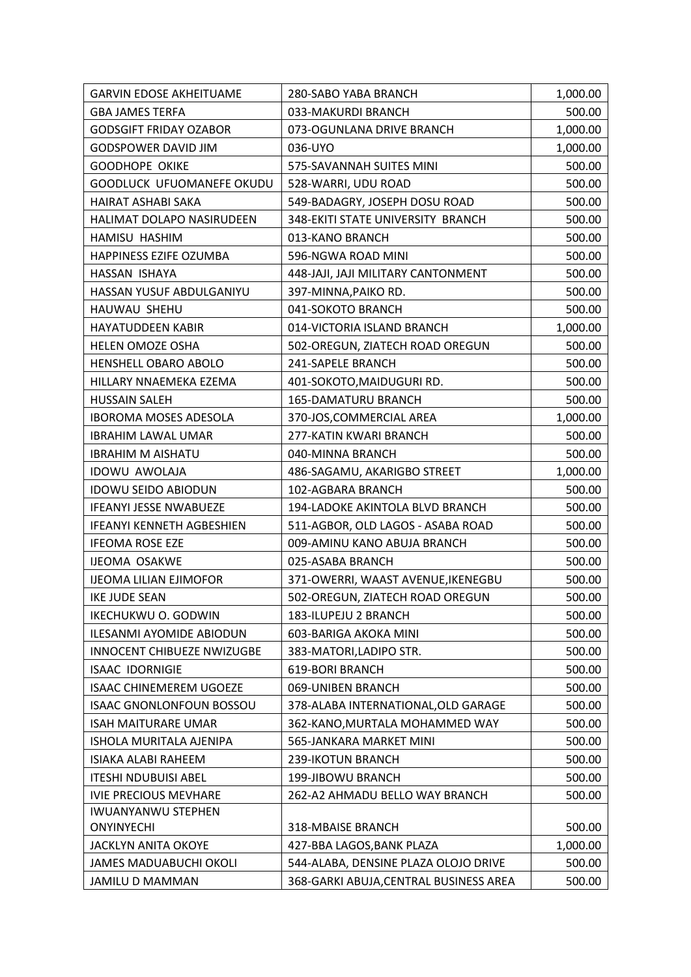| 033-MAKURDI BRANCH<br>500.00<br><b>GBA JAMES TERFA</b><br><b>GODSGIFT FRIDAY OZABOR</b><br>073-OGUNLANA DRIVE BRANCH<br>1,000.00<br><b>GODSPOWER DAVID JIM</b><br>036-UYO<br>1,000.00<br><b>GOODHOPE OKIKE</b><br>575-SAVANNAH SUITES MINI<br>500.00<br>GOODLUCK UFUOMANEFE OKUDU<br>528-WARRI, UDU ROAD<br>500.00<br>500.00<br>HAIRAT ASHABI SAKA<br>549-BADAGRY, JOSEPH DOSU ROAD<br>348-EKITI STATE UNIVERSITY BRANCH<br><b>HALIMAT DOLAPO NASIRUDEEN</b><br>500.00<br>HAMISU HASHIM<br>013-KANO BRANCH<br>500.00<br>HAPPINESS EZIFE OZUMBA<br>596-NGWA ROAD MINI<br>500.00<br>HASSAN ISHAYA<br>448-JAJI, JAJI MILITARY CANTONMENT<br>500.00<br>HASSAN YUSUF ABDULGANIYU<br>397-MINNA, PAIKO RD.<br>500.00<br>041-SOKOTO BRANCH<br>HAUWAU SHEHU<br>500.00<br><b>HAYATUDDEEN KABIR</b><br>014-VICTORIA ISLAND BRANCH<br>1,000.00 |
|------------------------------------------------------------------------------------------------------------------------------------------------------------------------------------------------------------------------------------------------------------------------------------------------------------------------------------------------------------------------------------------------------------------------------------------------------------------------------------------------------------------------------------------------------------------------------------------------------------------------------------------------------------------------------------------------------------------------------------------------------------------------------------------------------------------------------------|
|                                                                                                                                                                                                                                                                                                                                                                                                                                                                                                                                                                                                                                                                                                                                                                                                                                    |
|                                                                                                                                                                                                                                                                                                                                                                                                                                                                                                                                                                                                                                                                                                                                                                                                                                    |
|                                                                                                                                                                                                                                                                                                                                                                                                                                                                                                                                                                                                                                                                                                                                                                                                                                    |
|                                                                                                                                                                                                                                                                                                                                                                                                                                                                                                                                                                                                                                                                                                                                                                                                                                    |
|                                                                                                                                                                                                                                                                                                                                                                                                                                                                                                                                                                                                                                                                                                                                                                                                                                    |
|                                                                                                                                                                                                                                                                                                                                                                                                                                                                                                                                                                                                                                                                                                                                                                                                                                    |
|                                                                                                                                                                                                                                                                                                                                                                                                                                                                                                                                                                                                                                                                                                                                                                                                                                    |
|                                                                                                                                                                                                                                                                                                                                                                                                                                                                                                                                                                                                                                                                                                                                                                                                                                    |
|                                                                                                                                                                                                                                                                                                                                                                                                                                                                                                                                                                                                                                                                                                                                                                                                                                    |
|                                                                                                                                                                                                                                                                                                                                                                                                                                                                                                                                                                                                                                                                                                                                                                                                                                    |
|                                                                                                                                                                                                                                                                                                                                                                                                                                                                                                                                                                                                                                                                                                                                                                                                                                    |
|                                                                                                                                                                                                                                                                                                                                                                                                                                                                                                                                                                                                                                                                                                                                                                                                                                    |
|                                                                                                                                                                                                                                                                                                                                                                                                                                                                                                                                                                                                                                                                                                                                                                                                                                    |
| <b>HELEN OMOZE OSHA</b><br>502-OREGUN, ZIATECH ROAD OREGUN<br>500.00                                                                                                                                                                                                                                                                                                                                                                                                                                                                                                                                                                                                                                                                                                                                                               |
| HENSHELL OBARO ABOLO<br>241-SAPELE BRANCH<br>500.00                                                                                                                                                                                                                                                                                                                                                                                                                                                                                                                                                                                                                                                                                                                                                                                |
| HILLARY NNAEMEKA EZEMA<br>401-SOKOTO, MAIDUGURI RD.<br>500.00                                                                                                                                                                                                                                                                                                                                                                                                                                                                                                                                                                                                                                                                                                                                                                      |
| <b>HUSSAIN SALEH</b><br><b>165-DAMATURU BRANCH</b><br>500.00                                                                                                                                                                                                                                                                                                                                                                                                                                                                                                                                                                                                                                                                                                                                                                       |
| <b>IBOROMA MOSES ADESOLA</b><br>370-JOS, COMMERCIAL AREA<br>1,000.00                                                                                                                                                                                                                                                                                                                                                                                                                                                                                                                                                                                                                                                                                                                                                               |
| 277-KATIN KWARI BRANCH<br><b>IBRAHIM LAWAL UMAR</b><br>500.00                                                                                                                                                                                                                                                                                                                                                                                                                                                                                                                                                                                                                                                                                                                                                                      |
| <b>IBRAHIM M AISHATU</b><br>040-MINNA BRANCH<br>500.00                                                                                                                                                                                                                                                                                                                                                                                                                                                                                                                                                                                                                                                                                                                                                                             |
| 1,000.00<br><b>IDOWU AWOLAJA</b><br>486-SAGAMU, AKARIGBO STREET                                                                                                                                                                                                                                                                                                                                                                                                                                                                                                                                                                                                                                                                                                                                                                    |
| <b>IDOWU SEIDO ABIODUN</b><br>102-AGBARA BRANCH<br>500.00                                                                                                                                                                                                                                                                                                                                                                                                                                                                                                                                                                                                                                                                                                                                                                          |
| <b>IFEANYI JESSE NWABUEZE</b><br>194-LADOKE AKINTOLA BLVD BRANCH<br>500.00                                                                                                                                                                                                                                                                                                                                                                                                                                                                                                                                                                                                                                                                                                                                                         |
| <b>IFEANYI KENNETH AGBESHIEN</b><br>511-AGBOR, OLD LAGOS - ASABA ROAD<br>500.00                                                                                                                                                                                                                                                                                                                                                                                                                                                                                                                                                                                                                                                                                                                                                    |
| 009-AMINU KANO ABUJA BRANCH<br><b>IFEOMA ROSE EZE</b><br>500.00                                                                                                                                                                                                                                                                                                                                                                                                                                                                                                                                                                                                                                                                                                                                                                    |
| <b>IJEOMA OSAKWE</b><br>025-ASABA BRANCH<br>500.00                                                                                                                                                                                                                                                                                                                                                                                                                                                                                                                                                                                                                                                                                                                                                                                 |
| <b>IJEOMA LILIAN EJIMOFOR</b><br>371-OWERRI, WAAST AVENUE, IKENEGBU<br>500.00                                                                                                                                                                                                                                                                                                                                                                                                                                                                                                                                                                                                                                                                                                                                                      |
| 502-OREGUN, ZIATECH ROAD OREGUN<br>500.00<br><b>IKE JUDE SEAN</b>                                                                                                                                                                                                                                                                                                                                                                                                                                                                                                                                                                                                                                                                                                                                                                  |
| 183-ILUPEJU 2 BRANCH<br>IKECHUKWU O. GODWIN<br>500.00                                                                                                                                                                                                                                                                                                                                                                                                                                                                                                                                                                                                                                                                                                                                                                              |
| ILESANMI AYOMIDE ABIODUN<br>603-BARIGA AKOKA MINI<br>500.00                                                                                                                                                                                                                                                                                                                                                                                                                                                                                                                                                                                                                                                                                                                                                                        |
| <b>INNOCENT CHIBUEZE NWIZUGBE</b><br>383-MATORI, LADIPO STR.<br>500.00                                                                                                                                                                                                                                                                                                                                                                                                                                                                                                                                                                                                                                                                                                                                                             |
| <b>619-BORI BRANCH</b><br><b>ISAAC IDORNIGIE</b><br>500.00                                                                                                                                                                                                                                                                                                                                                                                                                                                                                                                                                                                                                                                                                                                                                                         |
| <b>ISAAC CHINEMEREM UGOEZE</b><br>069-UNIBEN BRANCH<br>500.00                                                                                                                                                                                                                                                                                                                                                                                                                                                                                                                                                                                                                                                                                                                                                                      |
| <b>ISAAC GNONLONFOUN BOSSOU</b><br>378-ALABA INTERNATIONAL, OLD GARAGE<br>500.00                                                                                                                                                                                                                                                                                                                                                                                                                                                                                                                                                                                                                                                                                                                                                   |
| <b>ISAH MAITURARE UMAR</b><br>362-KANO, MURTALA MOHAMMED WAY<br>500.00                                                                                                                                                                                                                                                                                                                                                                                                                                                                                                                                                                                                                                                                                                                                                             |
| ISHOLA MURITALA AJENIPA<br>565-JANKARA MARKET MINI<br>500.00                                                                                                                                                                                                                                                                                                                                                                                                                                                                                                                                                                                                                                                                                                                                                                       |
| 500.00<br>ISIAKA ALABI RAHEEM<br>239-IKOTUN BRANCH                                                                                                                                                                                                                                                                                                                                                                                                                                                                                                                                                                                                                                                                                                                                                                                 |
| <b>ITESHI NDUBUISI ABEL</b><br>199-JIBOWU BRANCH<br>500.00                                                                                                                                                                                                                                                                                                                                                                                                                                                                                                                                                                                                                                                                                                                                                                         |
| <b>IVIE PRECIOUS MEVHARE</b><br>262-A2 AHMADU BELLO WAY BRANCH<br>500.00                                                                                                                                                                                                                                                                                                                                                                                                                                                                                                                                                                                                                                                                                                                                                           |
| <b>IWUANYANWU STEPHEN</b><br>318-MBAISE BRANCH<br>500.00<br><b>ONYINYECHI</b>                                                                                                                                                                                                                                                                                                                                                                                                                                                                                                                                                                                                                                                                                                                                                      |
| <b>JACKLYN ANITA OKOYE</b><br>427-BBA LAGOS, BANK PLAZA<br>1,000.00                                                                                                                                                                                                                                                                                                                                                                                                                                                                                                                                                                                                                                                                                                                                                                |
| 544-ALABA, DENSINE PLAZA OLOJO DRIVE<br>500.00<br>JAMES MADUABUCHI OKOLI                                                                                                                                                                                                                                                                                                                                                                                                                                                                                                                                                                                                                                                                                                                                                           |
| 500.00<br><b>JAMILU D MAMMAN</b><br>368-GARKI ABUJA, CENTRAL BUSINESS AREA                                                                                                                                                                                                                                                                                                                                                                                                                                                                                                                                                                                                                                                                                                                                                         |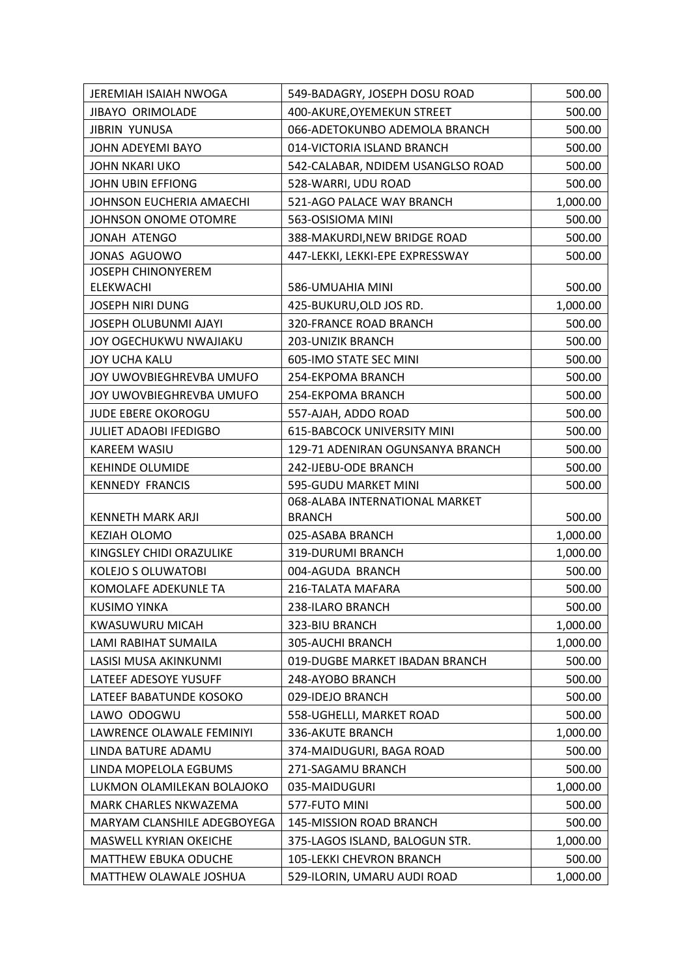| JEREMIAH ISAIAH NWOGA         | 549-BADAGRY, JOSEPH DOSU ROAD      | 500.00   |
|-------------------------------|------------------------------------|----------|
| <b>JIBAYO ORIMOLADE</b>       | 400-AKURE, OYEMEKUN STREET         | 500.00   |
| <b>JIBRIN YUNUSA</b>          | 066-ADETOKUNBO ADEMOLA BRANCH      | 500.00   |
| JOHN ADEYEMI BAYO             | 014-VICTORIA ISLAND BRANCH         | 500.00   |
| <b>JOHN NKARI UKO</b>         | 542-CALABAR, NDIDEM USANGLSO ROAD  | 500.00   |
| JOHN UBIN EFFIONG             | 528-WARRI, UDU ROAD                | 500.00   |
| JOHNSON EUCHERIA AMAECHI      | 521-AGO PALACE WAY BRANCH          | 1,000.00 |
| JOHNSON ONOME OTOMRE          | 563-OSISIOMA MINI                  | 500.00   |
| JONAH ATENGO                  | 388-MAKURDI, NEW BRIDGE ROAD       | 500.00   |
| JONAS AGUOWO                  | 447-LEKKI, LEKKI-EPE EXPRESSWAY    | 500.00   |
| <b>JOSEPH CHINONYEREM</b>     |                                    |          |
| <b>ELEKWACHI</b>              | 586-UMUAHIA MINI                   | 500.00   |
| <b>JOSEPH NIRI DUNG</b>       | 425-BUKURU, OLD JOS RD.            | 1,000.00 |
| JOSEPH OLUBUNMI AJAYI         | 320-FRANCE ROAD BRANCH             | 500.00   |
| JOY OGECHUKWU NWAJIAKU        | <b>203-UNIZIK BRANCH</b>           | 500.00   |
| <b>JOY UCHA KALU</b>          | 605-IMO STATE SEC MINI             | 500.00   |
| JOY UWOVBIEGHREVBA UMUFO      | 254-EKPOMA BRANCH                  | 500.00   |
| JOY UWOVBIEGHREVBA UMUFO      | 254-EKPOMA BRANCH                  | 500.00   |
| <b>JUDE EBERE OKOROGU</b>     | 557-AJAH, ADDO ROAD                | 500.00   |
| <b>JULIET ADAOBI IFEDIGBO</b> | <b>615-BABCOCK UNIVERSITY MINI</b> | 500.00   |
| KAREEM WASIU                  | 129-71 ADENIRAN OGUNSANYA BRANCH   | 500.00   |
| <b>KEHINDE OLUMIDE</b>        | 242-IJEBU-ODE BRANCH               | 500.00   |
| <b>KENNEDY FRANCIS</b>        | 595-GUDU MARKET MINI               | 500.00   |
|                               | 068-ALABA INTERNATIONAL MARKET     |          |
| <b>KENNETH MARK ARJI</b>      | <b>BRANCH</b>                      | 500.00   |
| KEZIAH OLOMO                  | 025-ASABA BRANCH                   | 1,000.00 |
| KINGSLEY CHIDI ORAZULIKE      | 319-DURUMI BRANCH                  | 1,000.00 |
| <b>KOLEJO S OLUWATOBI</b>     | 004-AGUDA BRANCH                   | 500.00   |
| KOMOLAFE ADEKUNLE TA          | 216-TALATA MAFARA                  | 500.00   |
| <b>KUSIMO YINKA</b>           | 238-ILARO BRANCH                   | 500.00   |
| KWASUWURU MICAH               | 323-BIU BRANCH                     | 1,000.00 |
| LAMI RABIHAT SUMAILA          | 305-AUCHI BRANCH                   | 1,000.00 |
| LASISI MUSA AKINKUNMI         | 019-DUGBE MARKET IBADAN BRANCH     | 500.00   |
| LATEEF ADESOYE YUSUFF         | 248-AYOBO BRANCH                   | 500.00   |
| LATEEF BABATUNDE KOSOKO       | 029-IDEJO BRANCH                   | 500.00   |
| LAWO ODOGWU                   | 558-UGHELLI, MARKET ROAD           | 500.00   |
| LAWRENCE OLAWALE FEMINIYI     | 336-AKUTE BRANCH                   | 1,000.00 |
| LINDA BATURE ADAMU            | 374-MAIDUGURI, BAGA ROAD           | 500.00   |
| LINDA MOPELOLA EGBUMS         | 271-SAGAMU BRANCH                  | 500.00   |
| LUKMON OLAMILEKAN BOLAJOKO    | 035-MAIDUGURI                      | 1,000.00 |
| MARK CHARLES NKWAZEMA         | 577-FUTO MINI                      | 500.00   |
| MARYAM CLANSHILE ADEGBOYEGA   | 145-MISSION ROAD BRANCH            | 500.00   |
| MASWELL KYRIAN OKEICHE        | 375-LAGOS ISLAND, BALOGUN STR.     | 1,000.00 |
| <b>MATTHEW EBUKA ODUCHE</b>   | 105-LEKKI CHEVRON BRANCH           | 500.00   |
| MATTHEW OLAWALE JOSHUA        | 529-ILORIN, UMARU AUDI ROAD        | 1,000.00 |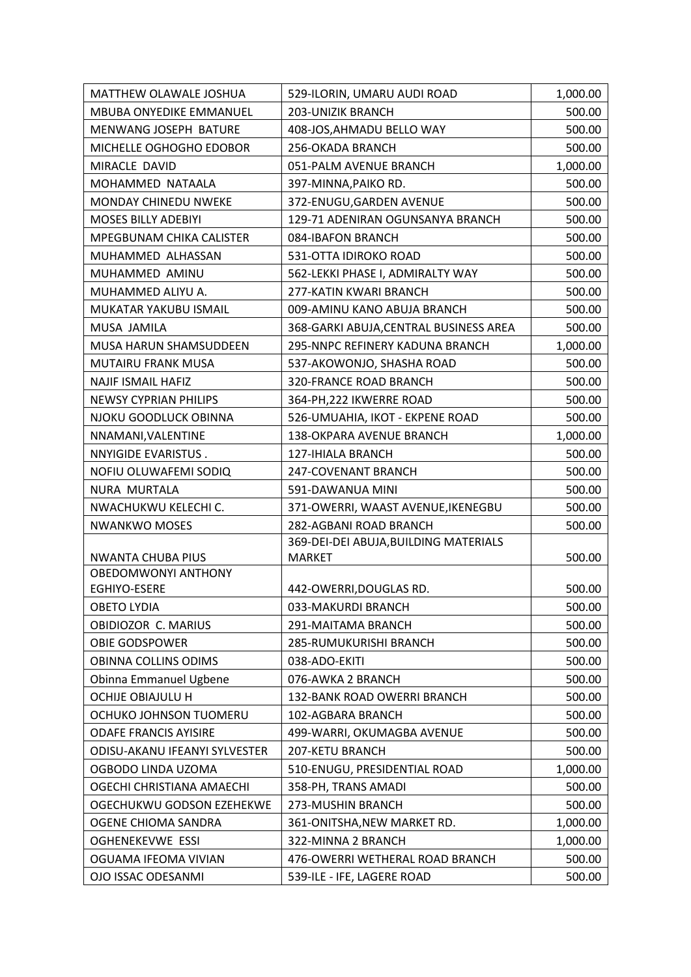| MATTHEW OLAWALE JOSHUA                            | 529-ILORIN, UMARU AUDI ROAD            | 1,000.00 |
|---------------------------------------------------|----------------------------------------|----------|
| <b>MBUBA ONYEDIKE EMMANUEL</b>                    | 203-UNIZIK BRANCH                      | 500.00   |
| MENWANG JOSEPH BATURE                             | 408-JOS, AHMADU BELLO WAY              | 500.00   |
| MICHELLE OGHOGHO EDOBOR                           | 256-OKADA BRANCH                       | 500.00   |
| MIRACLE DAVID                                     | 051-PALM AVENUE BRANCH                 | 1,000.00 |
| MOHAMMED NATAALA                                  | 397-MINNA, PAIKO RD.                   | 500.00   |
| <b>MONDAY CHINEDU NWEKE</b>                       | 372-ENUGU, GARDEN AVENUE               | 500.00   |
| <b>MOSES BILLY ADEBIYI</b>                        | 129-71 ADENIRAN OGUNSANYA BRANCH       | 500.00   |
| <b>MPEGBUNAM CHIKA CALISTER</b>                   | 084-IBAFON BRANCH                      | 500.00   |
| MUHAMMED ALHASSAN                                 | 531-OTTA IDIROKO ROAD                  | 500.00   |
| MUHAMMED AMINU                                    | 562-LEKKI PHASE I, ADMIRALTY WAY       | 500.00   |
| MUHAMMED ALIYU A.                                 | 277-KATIN KWARI BRANCH                 | 500.00   |
| MUKATAR YAKUBU ISMAIL                             | 009-AMINU KANO ABUJA BRANCH            | 500.00   |
| MUSA JAMILA                                       | 368-GARKI ABUJA, CENTRAL BUSINESS AREA | 500.00   |
| MUSA HARUN SHAMSUDDEEN                            | 295-NNPC REFINERY KADUNA BRANCH        | 1,000.00 |
| MUTAIRU FRANK MUSA                                | 537-AKOWONJO, SHASHA ROAD              | 500.00   |
| <b>NAJIF ISMAIL HAFIZ</b>                         | 320-FRANCE ROAD BRANCH                 | 500.00   |
| <b>NEWSY CYPRIAN PHILIPS</b>                      | 364-PH, 222 IKWERRE ROAD               | 500.00   |
| NJOKU GOODLUCK OBINNA                             | 526-UMUAHIA, IKOT - EKPENE ROAD        | 500.00   |
| NNAMANI, VALENTINE                                | 138-OKPARA AVENUE BRANCH               | 1,000.00 |
| NNYIGIDE EVARISTUS.                               | 127-IHIALA BRANCH                      | 500.00   |
| NOFIU OLUWAFEMI SODIQ                             | 247-COVENANT BRANCH                    | 500.00   |
| NURA MURTALA                                      | 591-DAWANUA MINI                       | 500.00   |
| NWACHUKWU KELECHI C.                              | 371-OWERRI, WAAST AVENUE, IKENEGBU     | 500.00   |
| <b>NWANKWO MOSES</b>                              | 282-AGBANI ROAD BRANCH                 | 500.00   |
|                                                   | 369-DEI-DEI ABUJA, BUILDING MATERIALS  |          |
| <b>NWANTA CHUBA PIUS</b>                          | <b>MARKET</b>                          | 500.00   |
| <b>OBEDOMWONYI ANTHONY</b><br><b>EGHIYO-ESERE</b> | 442-OWERRI, DOUGLAS RD.                | 500.00   |
| <b>OBETO LYDIA</b>                                | 033-MAKURDI BRANCH                     | 500.00   |
| OBIDIOZOR C. MARIUS                               | 291-MAITAMA BRANCH                     | 500.00   |
| OBIE GODSPOWER                                    | 285-RUMUKURISHI BRANCH                 | 500.00   |
| OBINNA COLLINS ODIMS                              | 038-ADO-EKITI                          | 500.00   |
| Obinna Emmanuel Ugbene                            | 076-AWKA 2 BRANCH                      | 500.00   |
| <b>OCHIJE OBIAJULU H</b>                          | 132-BANK ROAD OWERRI BRANCH            | 500.00   |
| OCHUKO JOHNSON TUOMERU                            | 102-AGBARA BRANCH                      | 500.00   |
| <b>ODAFE FRANCIS AYISIRE</b>                      | 499-WARRI, OKUMAGBA AVENUE             | 500.00   |
| ODISU-AKANU IFEANYI SYLVESTER                     | 207-KETU BRANCH                        | 500.00   |
| OGBODO LINDA UZOMA                                | 510-ENUGU, PRESIDENTIAL ROAD           | 1,000.00 |
| OGECHI CHRISTIANA AMAECHI                         | 358-PH, TRANS AMADI                    | 500.00   |
| OGECHUKWU GODSON EZEHEKWE                         | 273-MUSHIN BRANCH                      | 500.00   |
| OGENE CHIOMA SANDRA                               | 361-ONITSHA, NEW MARKET RD.            | 1,000.00 |
| <b>OGHENEKEVWE ESSI</b>                           | 322-MINNA 2 BRANCH                     | 1,000.00 |
| OGUAMA IFEOMA VIVIAN                              | 476-OWERRI WETHERAL ROAD BRANCH        | 500.00   |
| OJO ISSAC ODESANMI                                | 539-ILE - IFE, LAGERE ROAD             | 500.00   |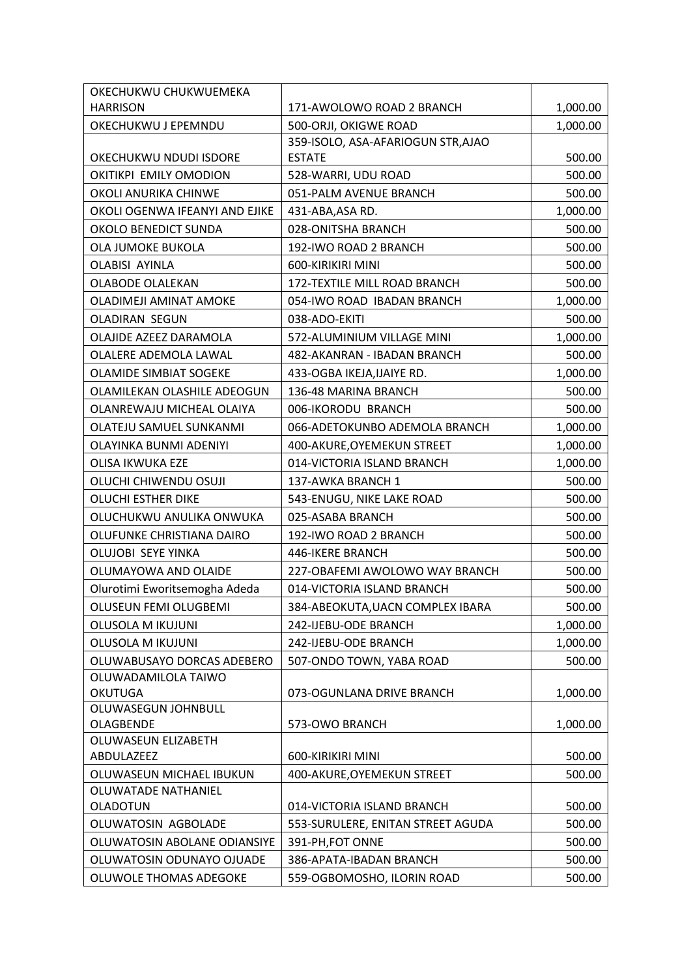| OKECHUKWU CHUKWUEMEKA                  |                                    |          |
|----------------------------------------|------------------------------------|----------|
| <b>HARRISON</b>                        | 171-AWOLOWO ROAD 2 BRANCH          | 1,000.00 |
| OKECHUKWU J EPEMNDU                    | 500-ORJI, OKIGWE ROAD              | 1,000.00 |
|                                        | 359-ISOLO, ASA-AFARIOGUN STR, AJAO |          |
| OKECHUKWU NDUDI ISDORE                 | <b>ESTATE</b>                      | 500.00   |
| OKITIKPI EMILY OMODION                 | 528-WARRI, UDU ROAD                | 500.00   |
| OKOLI ANURIKA CHINWE                   | 051-PALM AVENUE BRANCH             | 500.00   |
| OKOLI OGENWA IFEANYI AND EJIKE         | 431-ABA, ASA RD.                   | 1,000.00 |
| OKOLO BENEDICT SUNDA                   | 028-ONITSHA BRANCH                 | 500.00   |
| OLA JUMOKE BUKOLA                      | 192-IWO ROAD 2 BRANCH              | 500.00   |
| OLABISI AYINLA                         | 600-KIRIKIRI MINI                  | 500.00   |
| <b>OLABODE OLALEKAN</b>                | 172-TEXTILE MILL ROAD BRANCH       | 500.00   |
| OLADIMEJI AMINAT AMOKE                 | 054-IWO ROAD IBADAN BRANCH         | 1,000.00 |
| <b>OLADIRAN SEGUN</b>                  | 038-ADO-EKITI                      | 500.00   |
| OLAJIDE AZEEZ DARAMOLA                 | 572-ALUMINIUM VILLAGE MINI         | 1,000.00 |
| OLALERE ADEMOLA LAWAL                  | 482-AKANRAN - IBADAN BRANCH        | 500.00   |
| <b>OLAMIDE SIMBIAT SOGEKE</b>          | 433-OGBA IKEJA, IJAIYE RD.         | 1,000.00 |
| OLAMILEKAN OLASHILE ADEOGUN            | 136-48 MARINA BRANCH               | 500.00   |
| OLANREWAJU MICHEAL OLAIYA              | 006-IKORODU BRANCH                 | 500.00   |
| OLATEJU SAMUEL SUNKANMI                | 066-ADETOKUNBO ADEMOLA BRANCH      | 1,000.00 |
| OLAYINKA BUNMI ADENIYI                 | 400-AKURE, OYEMEKUN STREET         | 1,000.00 |
| <b>OLISA IKWUKA EZE</b>                | 014-VICTORIA ISLAND BRANCH         | 1,000.00 |
| OLUCHI CHIWENDU OSUJI                  | 137-AWKA BRANCH 1                  | 500.00   |
| <b>OLUCHI ESTHER DIKE</b>              | 543-ENUGU, NIKE LAKE ROAD          | 500.00   |
| OLUCHUKWU ANULIKA ONWUKA               | 025-ASABA BRANCH                   | 500.00   |
| OLUFUNKE CHRISTIANA DAIRO              | 192-IWO ROAD 2 BRANCH              | 500.00   |
| OLUJOBI SEYE YINKA                     | 446-IKERE BRANCH                   | 500.00   |
| OLUMAYOWA AND OLAIDE                   | 227-OBAFEMI AWOLOWO WAY BRANCH     | 500.00   |
| Olurotimi Eworitsemogha Adeda          | 014-VICTORIA ISLAND BRANCH         | 500.00   |
| OLUSEUN FEMI OLUGBEMI                  | 384-ABEOKUTA, UACN COMPLEX IBARA   | 500.00   |
| <b>OLUSOLA M IKUJUNI</b>               | 242-IJEBU-ODE BRANCH               | 1,000.00 |
| <b>OLUSOLA M IKUJUNI</b>               | 242-IJEBU-ODE BRANCH               | 1,000.00 |
| OLUWABUSAYO DORCAS ADEBERO             | 507-ONDO TOWN, YABA ROAD           | 500.00   |
| OLUWADAMILOLA TAIWO                    |                                    |          |
| <b>OKUTUGA</b>                         | 073-OGUNLANA DRIVE BRANCH          | 1,000.00 |
| OLUWASEGUN JOHNBULL                    |                                    |          |
| OLAGBENDE                              | 573-OWO BRANCH                     | 1,000.00 |
| OLUWASEUN ELIZABETH                    |                                    |          |
| ABDULAZEEZ                             | 600-KIRIKIRI MINI                  | 500.00   |
| OLUWASEUN MICHAEL IBUKUN               | 400-AKURE, OYEMEKUN STREET         | 500.00   |
| OLUWATADE NATHANIEL<br><b>OLADOTUN</b> | 014-VICTORIA ISLAND BRANCH         | 500.00   |
| OLUWATOSIN AGBOLADE                    | 553-SURULERE, ENITAN STREET AGUDA  | 500.00   |
| OLUWATOSIN ABOLANE ODIANSIYE           | 391-PH, FOT ONNE                   | 500.00   |
| OLUWATOSIN ODUNAYO OJUADE              | 386-APATA-IBADAN BRANCH            | 500.00   |
| OLUWOLE THOMAS ADEGOKE                 | 559-OGBOMOSHO, ILORIN ROAD         | 500.00   |
|                                        |                                    |          |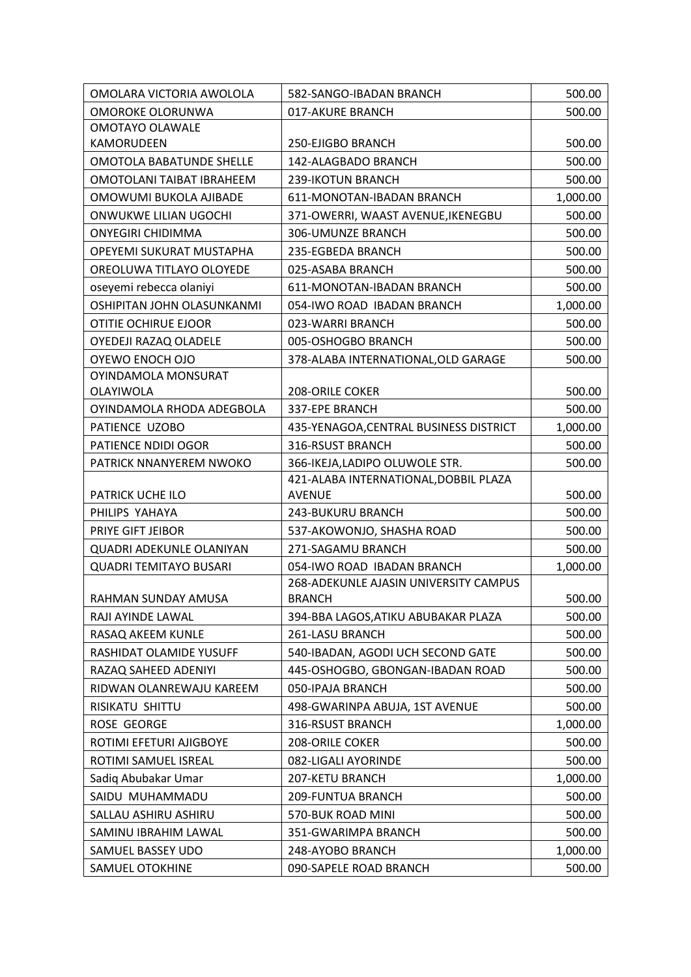| OMOLARA VICTORIA AWOLOLA        | 582-SANGO-IBADAN BRANCH                | 500.00   |
|---------------------------------|----------------------------------------|----------|
| OMOROKE OLORUNWA                | 017-AKURE BRANCH                       | 500.00   |
| OMOTAYO OLAWALE                 |                                        |          |
| KAMORUDEEN                      | 250-EJIGBO BRANCH                      | 500.00   |
| <b>OMOTOLA BABATUNDE SHELLE</b> | 142-ALAGBADO BRANCH                    | 500.00   |
| OMOTOLANI TAIBAT IBRAHEEM       | 239-IKOTUN BRANCH                      | 500.00   |
| OMOWUMI BUKOLA AJIBADE          | 611-MONOTAN-IBADAN BRANCH              | 1,000.00 |
| ONWUKWE LILIAN UGOCHI           | 371-OWERRI, WAAST AVENUE, IKENEGBU     | 500.00   |
| <b>ONYEGIRI CHIDIMMA</b>        | <b>306-UMUNZE BRANCH</b>               | 500.00   |
| OPEYEMI SUKURAT MUSTAPHA        | 235-EGBEDA BRANCH                      | 500.00   |
| OREOLUWA TITLAYO OLOYEDE        | 025-ASABA BRANCH                       | 500.00   |
| oseyemi rebecca olaniyi         | 611-MONOTAN-IBADAN BRANCH              | 500.00   |
| OSHIPITAN JOHN OLASUNKANMI      | 054-IWO ROAD IBADAN BRANCH             | 1,000.00 |
| OTITIE OCHIRUE EJOOR            | 023-WARRI BRANCH                       | 500.00   |
| OYEDEJI RAZAQ OLADELE           | 005-OSHOGBO BRANCH                     | 500.00   |
| OYEWO ENOCH OJO                 | 378-ALABA INTERNATIONAL, OLD GARAGE    | 500.00   |
| OYINDAMOLA MONSURAT             |                                        |          |
| OLAYIWOLA                       | <b>208-ORILE COKER</b>                 | 500.00   |
| OYINDAMOLA RHODA ADEGBOLA       | 337-EPE BRANCH                         | 500.00   |
| PATIENCE UZOBO                  | 435-YENAGOA, CENTRAL BUSINESS DISTRICT | 1,000.00 |
| PATIENCE NDIDI OGOR             | 316-RSUST BRANCH                       | 500.00   |
| PATRICK NNANYEREM NWOKO         | 366-IKEJA, LADIPO OLUWOLE STR.         | 500.00   |
|                                 | 421-ALABA INTERNATIONAL, DOBBIL PLAZA  |          |
| PATRICK UCHE ILO                | <b>AVENUE</b>                          | 500.00   |
| PHILIPS YAHAYA                  | 243-BUKURU BRANCH                      | 500.00   |
| PRIYE GIFT JEIBOR               | 537-AKOWONJO, SHASHA ROAD              | 500.00   |
| QUADRI ADEKUNLE OLANIYAN        | 271-SAGAMU BRANCH                      | 500.00   |
| <b>QUADRI TEMITAYO BUSARI</b>   | 054-IWO ROAD IBADAN BRANCH             | 1,000.00 |
|                                 | 268-ADEKUNLE AJASIN UNIVERSITY CAMPUS  |          |
| RAHMAN SUNDAY AMUSA             | <b>BRANCH</b>                          | 500.00   |
| RAJI AYINDE LAWAL               | 394-BBA LAGOS, ATIKU ABUBAKAR PLAZA    | 500.00   |
| RASAQ AKEEM KUNLE               | 261-LASU BRANCH                        | 500.00   |
| RASHIDAT OLAMIDE YUSUFF         | 540-IBADAN, AGODI UCH SECOND GATE      | 500.00   |
| RAZAQ SAHEED ADENIYI            | 445-OSHOGBO, GBONGAN-IBADAN ROAD       | 500.00   |
| RIDWAN OLANREWAJU KAREEM        | 050-IPAJA BRANCH                       | 500.00   |
| RISIKATU SHITTU                 | 498-GWARINPA ABUJA, 1ST AVENUE         | 500.00   |
| <b>ROSE GEORGE</b>              | 316-RSUST BRANCH                       | 1,000.00 |
| ROTIMI EFETURI AJIGBOYE         | 208-ORILE COKER                        | 500.00   |
| ROTIMI SAMUEL ISREAL            | 082-LIGALI AYORINDE                    | 500.00   |
| Sadiq Abubakar Umar             | 207-KETU BRANCH                        | 1,000.00 |
| SAIDU MUHAMMADU                 | 209-FUNTUA BRANCH                      | 500.00   |
| SALLAU ASHIRU ASHIRU            | 570-BUK ROAD MINI                      | 500.00   |
| SAMINU IBRAHIM LAWAL            | 351-GWARIMPA BRANCH                    | 500.00   |
| SAMUEL BASSEY UDO               | 248-AYOBO BRANCH                       | 1,000.00 |
| SAMUEL OTOKHINE                 | 090-SAPELE ROAD BRANCH                 | 500.00   |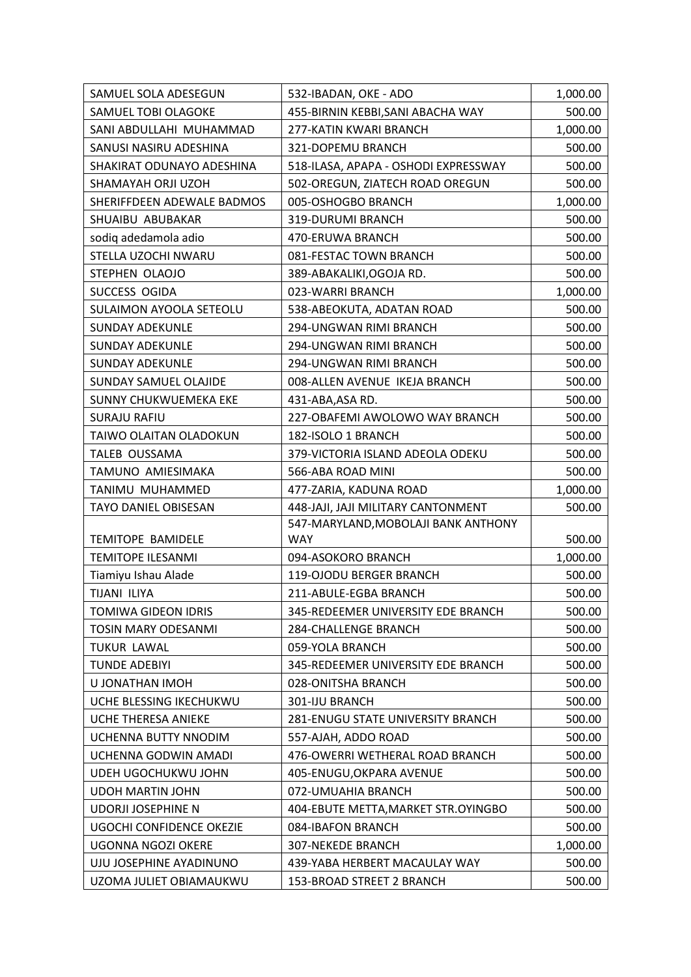| SAMUEL SOLA ADESEGUN       | 532-IBADAN, OKE - ADO                    | 1,000.00 |
|----------------------------|------------------------------------------|----------|
| SAMUEL TOBI OLAGOKE        | 455-BIRNIN KEBBI, SANI ABACHA WAY        | 500.00   |
| SANI ABDULLAHI MUHAMMAD    | 277-KATIN KWARI BRANCH                   | 1,000.00 |
| SANUSI NASIRU ADESHINA     | 321-DOPEMU BRANCH                        | 500.00   |
| SHAKIRAT ODUNAYO ADESHINA  | 518-ILASA, APAPA - OSHODI EXPRESSWAY     | 500.00   |
| SHAMAYAH ORJI UZOH         | 502-OREGUN, ZIATECH ROAD OREGUN          | 500.00   |
| SHERIFFDEEN ADEWALE BADMOS | 005-OSHOGBO BRANCH                       | 1,000.00 |
| SHUAIBU ABUBAKAR           | 319-DURUMI BRANCH                        | 500.00   |
| sodiq adedamola adio       | 470-ERUWA BRANCH                         | 500.00   |
| STELLA UZOCHI NWARU        | 081-FESTAC TOWN BRANCH                   | 500.00   |
| STEPHEN OLAOJO             | 389-ABAKALIKI, OGOJA RD.                 | 500.00   |
| SUCCESS OGIDA              | 023-WARRI BRANCH                         | 1,000.00 |
| SULAIMON AYOOLA SETEOLU    | 538-ABEOKUTA, ADATAN ROAD                | 500.00   |
| <b>SUNDAY ADEKUNLE</b>     | 294-UNGWAN RIMI BRANCH                   | 500.00   |
| <b>SUNDAY ADEKUNLE</b>     | 294-UNGWAN RIMI BRANCH                   | 500.00   |
| <b>SUNDAY ADEKUNLE</b>     | 294-UNGWAN RIMI BRANCH                   | 500.00   |
| SUNDAY SAMUEL OLAJIDE      | 008-ALLEN AVENUE IKEJA BRANCH            | 500.00   |
| SUNNY CHUKWUEMEKA EKE      | 431-ABA, ASA RD.                         | 500.00   |
| <b>SURAJU RAFIU</b>        | 227-OBAFEMI AWOLOWO WAY BRANCH           | 500.00   |
| TAIWO OLAITAN OLADOKUN     | 182-ISOLO 1 BRANCH                       | 500.00   |
| TALEB OUSSAMA              | 379-VICTORIA ISLAND ADEOLA ODEKU         | 500.00   |
| TAMUNO AMIESIMAKA          | 566-ABA ROAD MINI                        | 500.00   |
| TANIMU MUHAMMED            | 477-ZARIA, KADUNA ROAD                   | 1,000.00 |
| TAYO DANIEL OBISESAN       | 448-JAJI, JAJI MILITARY CANTONMENT       | 500.00   |
|                            | 547-MARYLAND, MOBOLAJI BANK ANTHONY      |          |
| <b>TEMITOPE BAMIDELE</b>   | <b>WAY</b>                               | 500.00   |
| <b>TEMITOPE ILESANMI</b>   | 094-ASOKORO BRANCH                       | 1,000.00 |
| Tiamiyu Ishau Alade        | 119-OJODU BERGER BRANCH                  | 500.00   |
| TIJANI ILIYA               | 211-ABULE-EGBA BRANCH                    | 500.00   |
| TOMIWA GIDEON IDRIS        | 345-REDEEMER UNIVERSITY EDE BRANCH       | 500.00   |
| <b>TOSIN MARY ODESANMI</b> | <b>284-CHALLENGE BRANCH</b>              | 500.00   |
| TUKUR LAWAL                | 059-YOLA BRANCH                          | 500.00   |
| <b>TUNDE ADEBIYI</b>       | 345-REDEEMER UNIVERSITY EDE BRANCH       | 500.00   |
| U JONATHAN IMOH            | 028-ONITSHA BRANCH                       | 500.00   |
| UCHE BLESSING IKECHUKWU    | 301-IJU BRANCH                           | 500.00   |
| UCHE THERESA ANIEKE        | <b>281-ENUGU STATE UNIVERSITY BRANCH</b> | 500.00   |
| UCHENNA BUTTY NNODIM       | 557-AJAH, ADDO ROAD                      | 500.00   |
| UCHENNA GODWIN AMADI       | 476-OWERRI WETHERAL ROAD BRANCH          | 500.00   |
| UDEH UGOCHUKWU JOHN        | 405-ENUGU, OKPARA AVENUE                 | 500.00   |
| <b>UDOH MARTIN JOHN</b>    | 072-UMUAHIA BRANCH                       | 500.00   |
| <b>UDORJI JOSEPHINE N</b>  | 404-EBUTE METTA, MARKET STR. OYINGBO     | 500.00   |
| UGOCHI CONFIDENCE OKEZIE   | 084-IBAFON BRANCH                        | 500.00   |
| UGONNA NGOZI OKERE         | <b>307-NEKEDE BRANCH</b>                 | 1,000.00 |
| UJU JOSEPHINE AYADINUNO    | 439-YABA HERBERT MACAULAY WAY            | 500.00   |
| UZOMA JULIET OBIAMAUKWU    | 153-BROAD STREET 2 BRANCH                | 500.00   |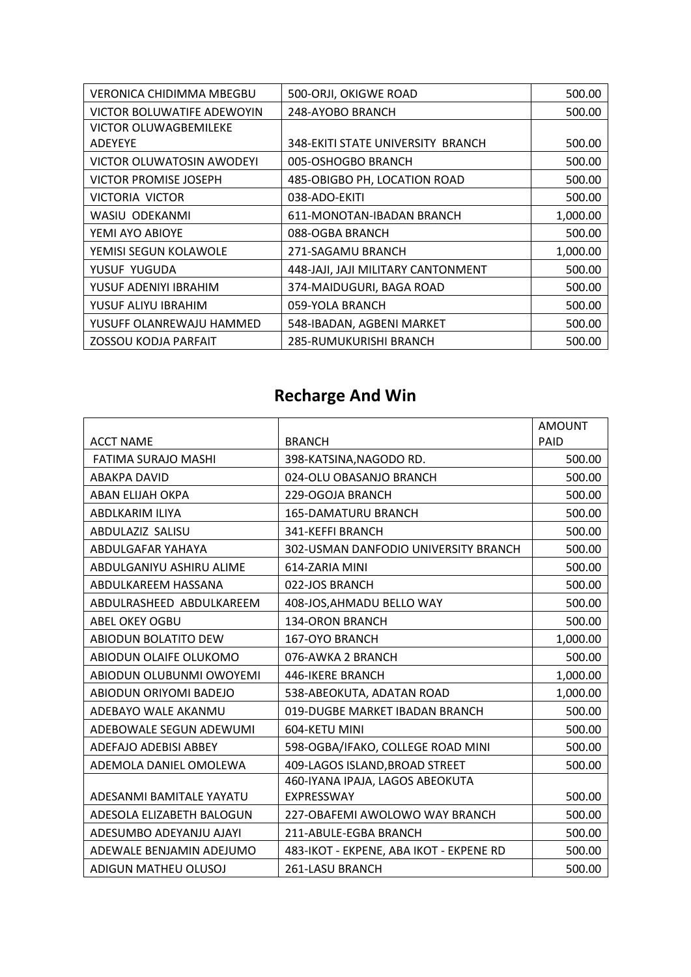| VERONICA CHIDIMMA MBEGBU   | 500-ORJI, OKIGWE ROAD              | 500.00   |
|----------------------------|------------------------------------|----------|
| VICTOR BOLUWATIFE ADEWOYIN | 248-AYOBO BRANCH                   | 500.00   |
| VICTOR OLUWAGBEMILEKE      |                                    |          |
| <b>ADEYEYE</b>             | 348-EKITI STATE UNIVERSITY BRANCH  | 500.00   |
| VICTOR OLUWATOSIN AWODEYI  | 005-OSHOGBO BRANCH                 | 500.00   |
| VICTOR PROMISE JOSEPH      | 485-OBIGBO PH, LOCATION ROAD       | 500.00   |
| <b>VICTORIA VICTOR</b>     | 038-ADO-EKITI                      | 500.00   |
| WASIU ODEKANMI             | 611-MONOTAN-IBADAN BRANCH          | 1,000.00 |
| YEMI AYO ABIOYE            | 088-OGBA BRANCH                    | 500.00   |
| YEMISI SEGUN KOLAWOLE      | 271-SAGAMU BRANCH                  | 1,000.00 |
| YUSUF YUGUDA               | 448-JAJI, JAJI MILITARY CANTONMENT | 500.00   |
| YUSUF ADENIYI IBRAHIM      | 374-MAIDUGURI, BAGA ROAD           | 500.00   |
| YUSUF ALIYU IBRAHIM        | 059-YOLA BRANCH                    | 500.00   |
| YUSUFF OLANREWAJU HAMMED   | 548-IBADAN, AGBENI MARKET          | 500.00   |
| ZOSSOU KODJA PARFAIT       | 285-RUMUKURISHI BRANCH             | 500.00   |

### **Recharge And Win**

|                             |                                         | <b>AMOUNT</b> |
|-----------------------------|-----------------------------------------|---------------|
| <b>ACCT NAME</b>            | <b>BRANCH</b>                           | PAID          |
| FATIMA SURAJO MASHI         | 398-KATSINA, NAGODO RD.                 | 500.00        |
| <b>ABAKPA DAVID</b>         | 024-OLU OBASANJO BRANCH                 | 500.00        |
| ABAN ELIJAH OKPA            | 229-OGOJA BRANCH                        | 500.00        |
| ABDLKARIM ILIYA             | 165-DAMATURU BRANCH                     | 500.00        |
| ABDULAZIZ SALISU            | 341-KEFFI BRANCH                        | 500.00        |
| ABDULGAFAR YAHAYA           | 302-USMAN DANFODIO UNIVERSITY BRANCH    | 500.00        |
| ABDULGANIYU ASHIRU ALIME    | 614-ZARIA MINI                          | 500.00        |
| ABDULKAREEM HASSANA         | 022-JOS BRANCH                          | 500.00        |
| ABDULRASHEED ABDULKAREEM    | 408-JOS, AHMADU BELLO WAY               | 500.00        |
| <b>ABEL OKEY OGBU</b>       | 134-ORON BRANCH                         | 500.00        |
| <b>ABIODUN BOLATITO DEW</b> | 167-OYO BRANCH                          | 1,000.00      |
| ABIODUN OLAIFE OLUKOMO      | 076-AWKA 2 BRANCH                       | 500.00        |
| ABIODUN OLUBUNMI OWOYEMI    | 446-IKERE BRANCH                        | 1,000.00      |
| ABIODUN ORIYOMI BADEJO      | 538-ABEOKUTA, ADATAN ROAD               | 1,000.00      |
| ADEBAYO WALE AKANMU         | 019-DUGBE MARKET IBADAN BRANCH          | 500.00        |
| ADEBOWALE SEGUN ADEWUMI     | 604-KETU MINI                           | 500.00        |
| ADEFAJO ADEBISI ABBEY       | 598-OGBA/IFAKO, COLLEGE ROAD MINI       | 500.00        |
| ADEMOLA DANIEL OMOLEWA      | 409-LAGOS ISLAND, BROAD STREET          | 500.00        |
|                             | 460-IYANA IPAJA, LAGOS ABEOKUTA         |               |
| ADESANMI BAMITALE YAYATU    | EXPRESSWAY                              | 500.00        |
| ADESOLA ELIZABETH BALOGUN   | 227-OBAFEMI AWOLOWO WAY BRANCH          | 500.00        |
| ADESUMBO ADEYANJU AJAYI     | 211-ABULE-EGBA BRANCH                   | 500.00        |
| ADEWALE BENJAMIN ADEJUMO    | 483-IKOT - EKPENE, ABA IKOT - EKPENE RD | 500.00        |
| ADIGUN MATHEU OLUSOJ        | 261-LASU BRANCH                         | 500.00        |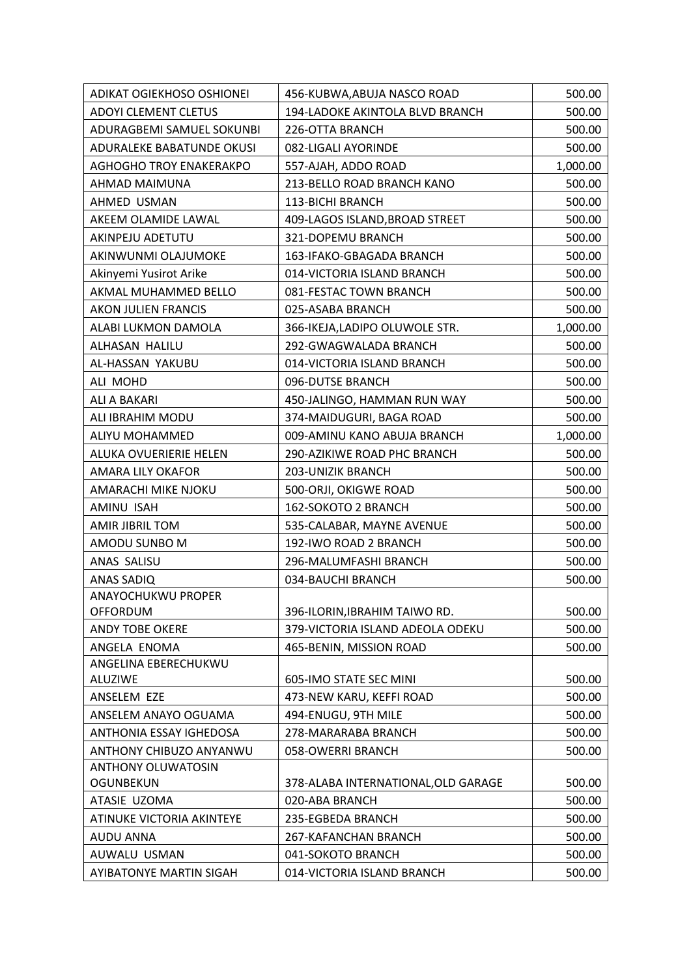| ADIKAT OGIEKHOSO OSHIONEI                     | 456-KUBWA, ABUJA NASCO ROAD         | 500.00   |
|-----------------------------------------------|-------------------------------------|----------|
| <b>ADOYI CLEMENT CLETUS</b>                   | 194-LADOKE AKINTOLA BLVD BRANCH     | 500.00   |
| ADURAGBEMI SAMUEL SOKUNBI                     | 226-OTTA BRANCH                     | 500.00   |
| ADURALEKE BABATUNDE OKUSI                     | 082-LIGALI AYORINDE                 | 500.00   |
| <b>AGHOGHO TROY ENAKERAKPO</b>                | 557-AJAH, ADDO ROAD                 | 1,000.00 |
| AHMAD MAIMUNA                                 | 213-BELLO ROAD BRANCH KANO          | 500.00   |
| AHMED USMAN                                   | 113-BICHI BRANCH                    | 500.00   |
| AKEEM OLAMIDE LAWAL                           | 409-LAGOS ISLAND, BROAD STREET      | 500.00   |
| AKINPEJU ADETUTU                              | 321-DOPEMU BRANCH                   | 500.00   |
| AKINWUNMI OLAJUMOKE                           | 163-IFAKO-GBAGADA BRANCH            | 500.00   |
| Akinyemi Yusirot Arike                        | 014-VICTORIA ISLAND BRANCH          | 500.00   |
| AKMAL MUHAMMED BELLO                          | 081-FESTAC TOWN BRANCH              | 500.00   |
| AKON JULIEN FRANCIS                           | 025-ASABA BRANCH                    | 500.00   |
| ALABI LUKMON DAMOLA                           | 366-IKEJA,LADIPO OLUWOLE STR.       | 1,000.00 |
| ALHASAN HALILU                                | 292-GWAGWALADA BRANCH               | 500.00   |
| AL-HASSAN YAKUBU                              | 014-VICTORIA ISLAND BRANCH          | 500.00   |
| ALI MOHD                                      | 096-DUTSE BRANCH                    | 500.00   |
| ALI A BAKARI                                  | 450-JALINGO, HAMMAN RUN WAY         | 500.00   |
| ALI IBRAHIM MODU                              | 374-MAIDUGURI, BAGA ROAD            | 500.00   |
| ALIYU MOHAMMED                                | 009-AMINU KANO ABUJA BRANCH         | 1,000.00 |
| ALUKA OVUERIERIE HELEN                        | 290-AZIKIWE ROAD PHC BRANCH         | 500.00   |
| AMARA LILY OKAFOR                             | 203-UNIZIK BRANCH                   | 500.00   |
| AMARACHI MIKE NJOKU                           | 500-ORJI, OKIGWE ROAD               | 500.00   |
| AMINU ISAH                                    | 162-SOKOTO 2 BRANCH                 | 500.00   |
| AMIR JIBRIL TOM                               | 535-CALABAR, MAYNE AVENUE           | 500.00   |
| AMODU SUNBO M                                 | 192-IWO ROAD 2 BRANCH               | 500.00   |
| ANAS SALISU                                   | 296-MALUMFASHI BRANCH               | 500.00   |
| <b>ANAS SADIQ</b>                             | 034-BAUCHI BRANCH                   | 500.00   |
| ANAYOCHUKWU PROPER                            |                                     |          |
| <b>OFFORDUM</b>                               | 396-ILORIN, IBRAHIM TAIWO RD.       | 500.00   |
| <b>ANDY TOBE OKERE</b>                        | 379-VICTORIA ISLAND ADEOLA ODEKU    | 500.00   |
| ANGELA ENOMA                                  | 465-BENIN, MISSION ROAD             | 500.00   |
| ANGELINA EBERECHUKWU                          |                                     |          |
| <b>ALUZIWE</b>                                | 605-IMO STATE SEC MINI              | 500.00   |
| ANSELEM EZE                                   | 473-NEW KARU, KEFFI ROAD            | 500.00   |
| ANSELEM ANAYO OGUAMA                          | 494-ENUGU, 9TH MILE                 | 500.00   |
| ANTHONIA ESSAY IGHEDOSA                       | 278-MARARABA BRANCH                 | 500.00   |
| ANTHONY CHIBUZO ANYANWU                       | 058-OWERRI BRANCH                   | 500.00   |
| <b>ANTHONY OLUWATOSIN</b><br><b>OGUNBEKUN</b> | 378-ALABA INTERNATIONAL, OLD GARAGE | 500.00   |
| ATASIE UZOMA                                  | 020-ABA BRANCH                      | 500.00   |
| ATINUKE VICTORIA AKINTEYE                     | 235-EGBEDA BRANCH                   | 500.00   |
| <b>AUDU ANNA</b>                              | 267-KAFANCHAN BRANCH                | 500.00   |
| AUWALU USMAN                                  | 041-SOKOTO BRANCH                   | 500.00   |
| AYIBATONYE MARTIN SIGAH                       | 014-VICTORIA ISLAND BRANCH          | 500.00   |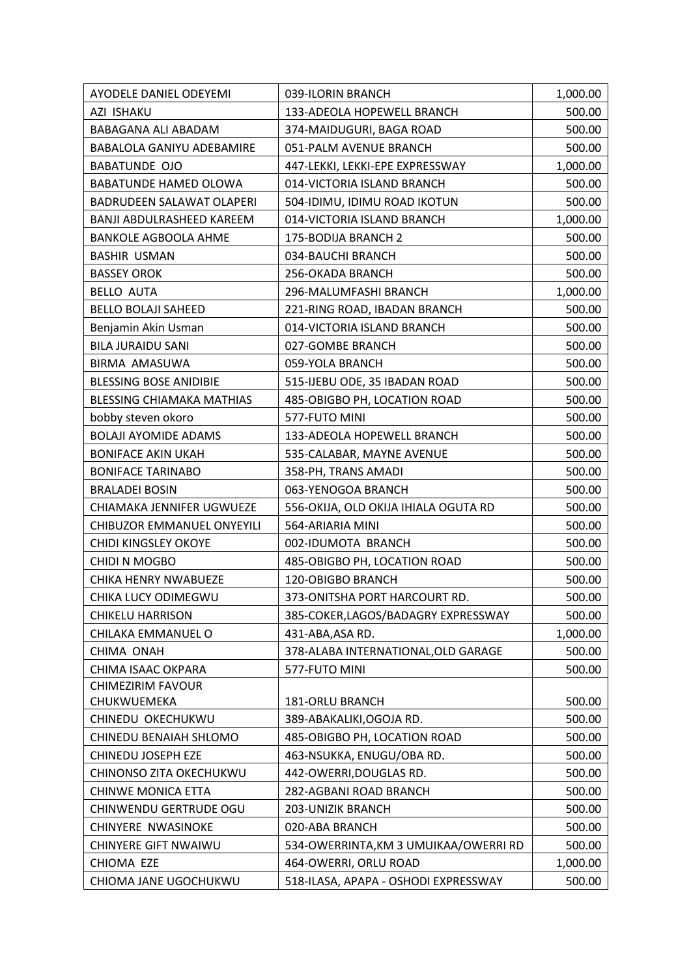| AYODELE DANIEL ODEYEMI           | 039-ILORIN BRANCH                     | 1,000.00 |
|----------------------------------|---------------------------------------|----------|
| AZI ISHAKU                       | 133-ADEOLA HOPEWELL BRANCH            | 500.00   |
| BABAGANA ALI ABADAM              | 374-MAIDUGURI, BAGA ROAD              | 500.00   |
| <b>BABALOLA GANIYU ADEBAMIRE</b> | 051-PALM AVENUE BRANCH                | 500.00   |
| <b>BABATUNDE OJO</b>             | 447-LEKKI, LEKKI-EPE EXPRESSWAY       | 1,000.00 |
| <b>BABATUNDE HAMED OLOWA</b>     | 014-VICTORIA ISLAND BRANCH            | 500.00   |
| BADRUDEEN SALAWAT OLAPERI        | 504-IDIMU, IDIMU ROAD IKOTUN          | 500.00   |
| <b>BANJI ABDULRASHEED KAREEM</b> | 014-VICTORIA ISLAND BRANCH            | 1,000.00 |
| <b>BANKOLE AGBOOLA AHME</b>      | 175-BODIJA BRANCH 2                   | 500.00   |
| <b>BASHIR USMAN</b>              | 034-BAUCHI BRANCH                     | 500.00   |
| <b>BASSEY OROK</b>               | 256-OKADA BRANCH                      | 500.00   |
| <b>BELLO AUTA</b>                | 296-MALUMFASHI BRANCH                 | 1,000.00 |
| <b>BELLO BOLAJI SAHEED</b>       | 221-RING ROAD, IBADAN BRANCH          | 500.00   |
| Benjamin Akin Usman              | 014-VICTORIA ISLAND BRANCH            | 500.00   |
| <b>BILA JURAIDU SANI</b>         | 027-GOMBE BRANCH                      | 500.00   |
| BIRMA AMASUWA                    | 059-YOLA BRANCH                       | 500.00   |
| <b>BLESSING BOSE ANIDIBIE</b>    | 515-IJEBU ODE, 35 IBADAN ROAD         | 500.00   |
| <b>BLESSING CHIAMAKA MATHIAS</b> | 485-OBIGBO PH, LOCATION ROAD          | 500.00   |
| bobby steven okoro               | 577-FUTO MINI                         | 500.00   |
| <b>BOLAJI AYOMIDE ADAMS</b>      | 133-ADEOLA HOPEWELL BRANCH            | 500.00   |
| <b>BONIFACE AKIN UKAH</b>        | 535-CALABAR, MAYNE AVENUE             | 500.00   |
| <b>BONIFACE TARINABO</b>         | 358-PH, TRANS AMADI                   | 500.00   |
| <b>BRALADEI BOSIN</b>            | 063-YENOGOA BRANCH                    | 500.00   |
| CHIAMAKA JENNIFER UGWUEZE        | 556-OKIJA, OLD OKIJA IHIALA OGUTA RD  | 500.00   |
| CHIBUZOR EMMANUEL ONYEYILI       | 564-ARIARIA MINI                      | 500.00   |
| CHIDI KINGSLEY OKOYE             | 002-IDUMOTA BRANCH                    | 500.00   |
| CHIDI N MOGBO                    | 485-OBIGBO PH, LOCATION ROAD          | 500.00   |
| CHIKA HENRY NWABUEZE             | 120-OBIGBO BRANCH                     | 500.00   |
| CHIKA LUCY ODIMEGWU              | 373-ONITSHA PORT HARCOURT RD.         | 500.00   |
| <b>CHIKELU HARRISON</b>          | 385-COKER, LAGOS/BADAGRY EXPRESSWAY   | 500.00   |
| CHILAKA EMMANUEL O               | 431-ABA, ASA RD.                      | 1,000.00 |
| CHIMA ONAH                       | 378-ALABA INTERNATIONAL, OLD GARAGE   | 500.00   |
| CHIMA ISAAC OKPARA               | 577-FUTO MINI                         | 500.00   |
| <b>CHIMEZIRIM FAVOUR</b>         |                                       |          |
| CHUKWUEMEKA                      | 181-ORLU BRANCH                       | 500.00   |
| CHINEDU OKECHUKWU                | 389-ABAKALIKI, OGOJA RD.              | 500.00   |
| CHINEDU BENAIAH SHLOMO           | 485-OBIGBO PH, LOCATION ROAD          | 500.00   |
| CHINEDU JOSEPH EZE               | 463-NSUKKA, ENUGU/OBA RD.             | 500.00   |
| CHINONSO ZITA OKECHUKWU          | 442-OWERRI, DOUGLAS RD.               | 500.00   |
| <b>CHINWE MONICA ETTA</b>        | 282-AGBANI ROAD BRANCH                | 500.00   |
| CHINWENDU GERTRUDE OGU           | <b>203-UNIZIK BRANCH</b>              | 500.00   |
| CHINYERE NWASINOKE               | 020-ABA BRANCH                        | 500.00   |
| <b>CHINYERE GIFT NWAIWU</b>      | 534-OWERRINTA, KM 3 UMUIKAA/OWERRI RD | 500.00   |
| CHIOMA EZE                       | 464-OWERRI, ORLU ROAD                 | 1,000.00 |
| CHIOMA JANE UGOCHUKWU            | 518-ILASA, APAPA - OSHODI EXPRESSWAY  | 500.00   |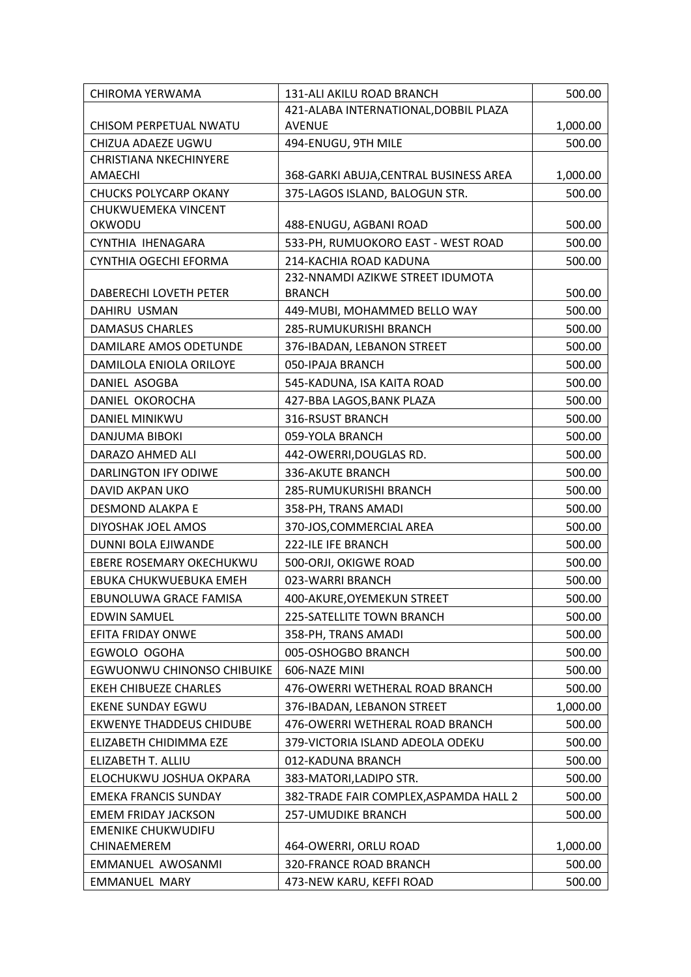| CHIROMA YERWAMA                   | 131-ALI AKILU ROAD BRANCH                                  | 500.00           |
|-----------------------------------|------------------------------------------------------------|------------------|
|                                   | 421-ALABA INTERNATIONAL, DOBBIL PLAZA                      |                  |
| CHISOM PERPETUAL NWATU            | <b>AVENUE</b>                                              | 1,000.00         |
| CHIZUA ADAEZE UGWU                | 494-ENUGU, 9TH MILE                                        | 500.00           |
| <b>CHRISTIANA NKECHINYERE</b>     |                                                            |                  |
| AMAECHI                           | 368-GARKI ABUJA, CENTRAL BUSINESS AREA                     | 1,000.00         |
| <b>CHUCKS POLYCARP OKANY</b>      | 375-LAGOS ISLAND, BALOGUN STR.                             | 500.00           |
| CHUKWUEMEKA VINCENT               |                                                            |                  |
| OKWODU                            | 488-ENUGU, AGBANI ROAD                                     | 500.00           |
| CYNTHIA IHENAGARA                 | 533-PH, RUMUOKORO EAST - WEST ROAD                         | 500.00           |
| CYNTHIA OGECHI EFORMA             | 214-KACHIA ROAD KADUNA<br>232-NNAMDI AZIKWE STREET IDUMOTA | 500.00           |
| DABERECHI LOVETH PETER            | <b>BRANCH</b>                                              | 500.00           |
| DAHIRU USMAN                      | 449-MUBI, MOHAMMED BELLO WAY                               | 500.00           |
| <b>DAMASUS CHARLES</b>            | 285-RUMUKURISHI BRANCH                                     | 500.00           |
| DAMILARE AMOS ODETUNDE            | 376-IBADAN, LEBANON STREET                                 | 500.00           |
| DAMILOLA ENIOLA ORILOYE           | 050-IPAJA BRANCH                                           | 500.00           |
| DANIEL ASOGBA                     | 545-KADUNA, ISA KAITA ROAD                                 | 500.00           |
| DANIEL OKOROCHA                   | 427-BBA LAGOS, BANK PLAZA                                  | 500.00           |
| <b>DANIEL MINIKWU</b>             | 316-RSUST BRANCH                                           | 500.00           |
| DANJUMA BIBOKI                    | 059-YOLA BRANCH                                            |                  |
| DARAZO AHMED ALI                  |                                                            | 500.00<br>500.00 |
| <b>DARLINGTON IFY ODIWE</b>       | 442-OWERRI, DOUGLAS RD.<br>336-AKUTE BRANCH                | 500.00           |
| DAVID AKPAN UKO                   | 285-RUMUKURISHI BRANCH                                     |                  |
| DESMOND ALAKPA E                  |                                                            | 500.00<br>500.00 |
|                                   | 358-PH, TRANS AMADI                                        |                  |
| DIYOSHAK JOEL AMOS                | 370-JOS, COMMERCIAL AREA                                   | 500.00           |
| DUNNI BOLA EJIWANDE               | 222-ILE IFE BRANCH                                         | 500.00           |
| EBERE ROSEMARY OKECHUKWU          | 500-ORJI, OKIGWE ROAD<br>023-WARRI BRANCH                  | 500.00           |
| EBUKA CHUKWUEBUKA EMEH            |                                                            | 500.00           |
| EBUNOLUWA GRACE FAMISA            | 400-AKURE, OYEMEKUN STREET                                 | 500.00           |
| <b>EDWIN SAMUEL</b>               | 225-SATELLITE TOWN BRANCH                                  | 500.00           |
| EFITA FRIDAY ONWE                 | 358-PH, TRANS AMADI                                        | 500.00           |
| EGWOLO OGOHA                      | 005-OSHOGBO BRANCH                                         | 500.00           |
| <b>EGWUONWU CHINONSO CHIBUIKE</b> | 606-NAZE MINI                                              | 500.00           |
| EKEH CHIBUEZE CHARLES             | 476-OWERRI WETHERAL ROAD BRANCH                            | 500.00           |
| <b>EKENE SUNDAY EGWU</b>          | 376-IBADAN, LEBANON STREET                                 | 1,000.00         |
| <b>EKWENYE THADDEUS CHIDUBE</b>   | 476-OWERRI WETHERAL ROAD BRANCH                            | 500.00           |
| ELIZABETH CHIDIMMA EZE            | 379-VICTORIA ISLAND ADEOLA ODEKU                           | 500.00           |
| ELIZABETH T. ALLIU                | 012-KADUNA BRANCH                                          | 500.00           |
| ELOCHUKWU JOSHUA OKPARA           | 383-MATORI, LADIPO STR.                                    | 500.00           |
| <b>EMEKA FRANCIS SUNDAY</b>       | 382-TRADE FAIR COMPLEX, ASPAMDA HALL 2                     | 500.00           |
| <b>EMEM FRIDAY JACKSON</b>        | <b>257-UMUDIKE BRANCH</b>                                  | 500.00           |
| <b>EMENIKE CHUKWUDIFU</b>         |                                                            |                  |
| CHINAEMEREM                       | 464-OWERRI, ORLU ROAD                                      | 1,000.00         |
| EMMANUEL AWOSANMI                 | 320-FRANCE ROAD BRANCH                                     | 500.00           |
| <b>EMMANUEL MARY</b>              | 473-NEW KARU, KEFFI ROAD                                   | 500.00           |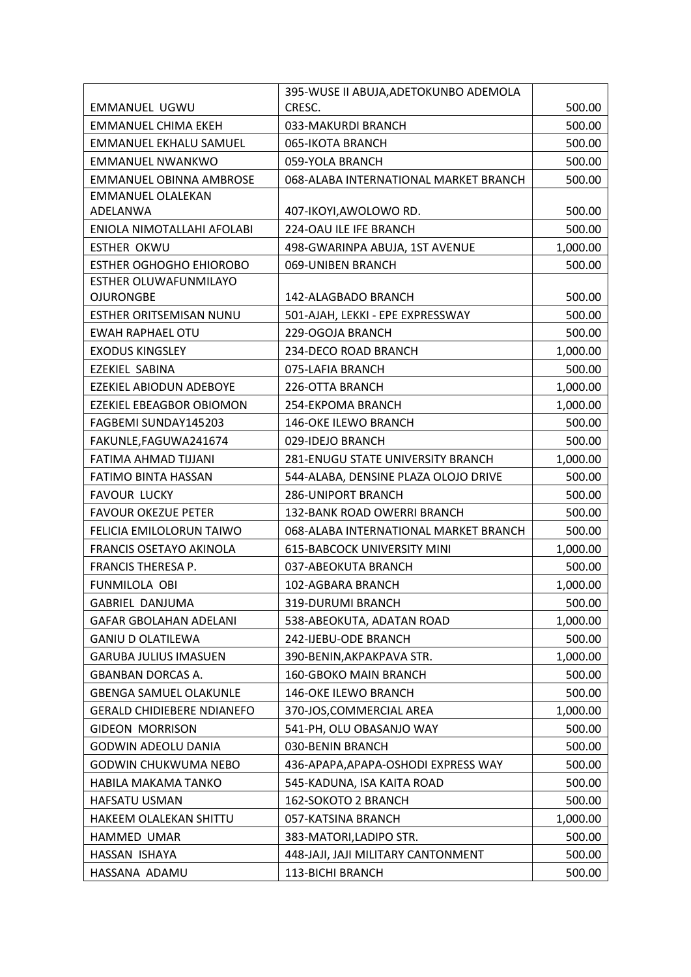|                                   | 395-WUSE II ABUJA, ADETOKUNBO ADEMOLA |          |
|-----------------------------------|---------------------------------------|----------|
| EMMANUEL UGWU                     | CRESC.                                | 500.00   |
| <b>EMMANUEL CHIMA EKEH</b>        | 033-MAKURDI BRANCH                    | 500.00   |
| <b>EMMANUEL EKHALU SAMUEL</b>     | 065-IKOTA BRANCH                      | 500.00   |
| <b>EMMANUEL NWANKWO</b>           | 059-YOLA BRANCH                       | 500.00   |
| EMMANUEL OBINNA AMBROSE           | 068-ALABA INTERNATIONAL MARKET BRANCH | 500.00   |
| <b>EMMANUEL OLALEKAN</b>          |                                       |          |
| ADELANWA                          | 407-IKOYI, AWOLOWO RD.                | 500.00   |
| ENIOLA NIMOTALLAHI AFOLABI        | 224-OAU ILE IFE BRANCH                | 500.00   |
| <b>ESTHER OKWU</b>                | 498-GWARINPA ABUJA, 1ST AVENUE        | 1,000.00 |
| <b>ESTHER OGHOGHO EHIOROBO</b>    | 069-UNIBEN BRANCH                     | 500.00   |
| ESTHER OLUWAFUNMILAYO             |                                       |          |
| <b>OJURONGBE</b>                  | 142-ALAGBADO BRANCH                   | 500.00   |
| ESTHER ORITSEMISAN NUNU           | 501-AJAH, LEKKI - EPE EXPRESSWAY      | 500.00   |
| <b>EWAH RAPHAEL OTU</b>           | 229-OGOJA BRANCH                      | 500.00   |
| <b>EXODUS KINGSLEY</b>            | 234-DECO ROAD BRANCH                  | 1,000.00 |
| EZEKIEL SABINA                    | 075-LAFIA BRANCH                      | 500.00   |
| EZEKIEL ABIODUN ADEBOYE           | 226-OTTA BRANCH                       | 1,000.00 |
| <b>EZEKIEL EBEAGBOR OBIOMON</b>   | 254-EKPOMA BRANCH                     | 1,000.00 |
| FAGBEMI SUNDAY145203              | 146-OKE ILEWO BRANCH                  | 500.00   |
| FAKUNLE, FAGUWA241674             | 029-IDEJO BRANCH                      | 500.00   |
| FATIMA AHMAD TIJJANI              | 281-ENUGU STATE UNIVERSITY BRANCH     | 1,000.00 |
| FATIMO BINTA HASSAN               | 544-ALABA, DENSINE PLAZA OLOJO DRIVE  | 500.00   |
| <b>FAVOUR LUCKY</b>               | <b>286-UNIPORT BRANCH</b>             | 500.00   |
| <b>FAVOUR OKEZUE PETER</b>        | 132-BANK ROAD OWERRI BRANCH           | 500.00   |
| FELICIA EMILOLORUN TAIWO          | 068-ALABA INTERNATIONAL MARKET BRANCH | 500.00   |
| FRANCIS OSETAYO AKINOLA           | <b>615-BABCOCK UNIVERSITY MINI</b>    | 1,000.00 |
| FRANCIS THERESA P.                | 037-ABEOKUTA BRANCH                   | 500.00   |
| FUNMILOLA OBI                     | 102-AGBARA BRANCH                     | 1,000.00 |
| GABRIEL DANJUMA                   | 319-DURUMI BRANCH                     | 500.00   |
| <b>GAFAR GBOLAHAN ADELANI</b>     | 538-ABEOKUTA, ADATAN ROAD             | 1,000.00 |
| <b>GANIU D OLATILEWA</b>          | 242-IJEBU-ODE BRANCH                  | 500.00   |
| <b>GARUBA JULIUS IMASUEN</b>      | 390-BENIN, AKPAKPAVA STR.             | 1,000.00 |
| <b>GBANBAN DORCAS A.</b>          | 160-GBOKO MAIN BRANCH                 | 500.00   |
| <b>GBENGA SAMUEL OLAKUNLE</b>     | 146-OKE ILEWO BRANCH                  | 500.00   |
| <b>GERALD CHIDIEBERE NDIANEFO</b> | 370-JOS, COMMERCIAL AREA              | 1,000.00 |
| <b>GIDEON MORRISON</b>            | 541-PH, OLU OBASANJO WAY              | 500.00   |
| GODWIN ADEOLU DANIA               | 030-BENIN BRANCH                      | 500.00   |
| GODWIN CHUKWUMA NEBO              | 436-APAPA, APAPA-OSHODI EXPRESS WAY   | 500.00   |
| HABILA MAKAMA TANKO               | 545-KADUNA, ISA KAITA ROAD            | 500.00   |
| HAFSATU USMAN                     | 162-SOKOTO 2 BRANCH                   | 500.00   |
| HAKEEM OLALEKAN SHITTU            | 057-KATSINA BRANCH                    | 1,000.00 |
| HAMMED UMAR                       | 383-MATORI, LADIPO STR.               | 500.00   |
| HASSAN ISHAYA                     | 448-JAJI, JAJI MILITARY CANTONMENT    | 500.00   |
| HASSANA ADAMU                     | 113-BICHI BRANCH                      | 500.00   |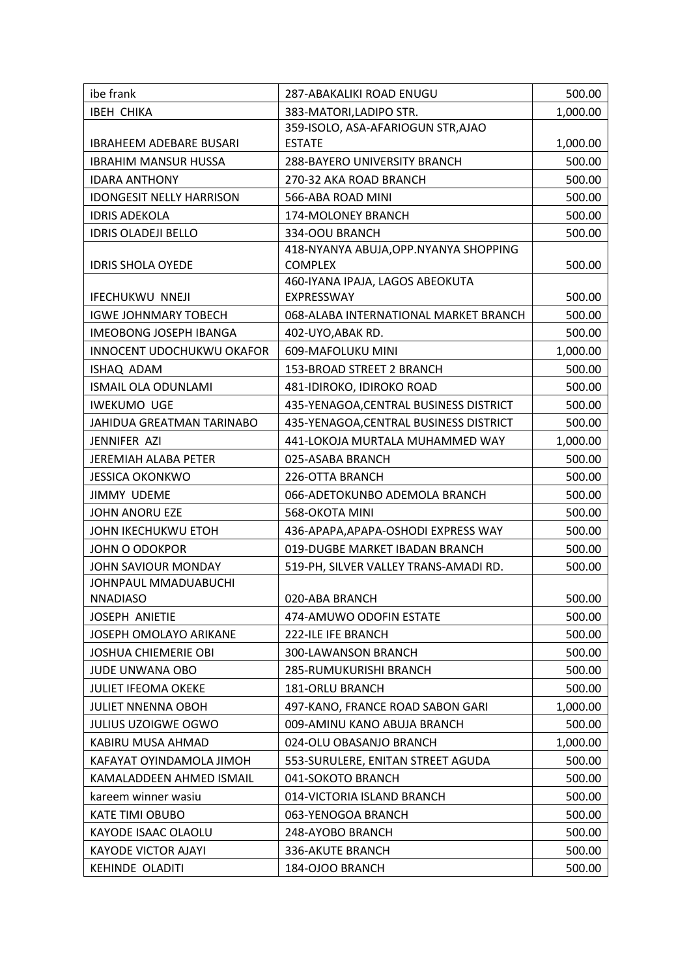| ibe frank                       | 287-ABAKALIKI ROAD ENUGU                                 | 500.00   |
|---------------------------------|----------------------------------------------------------|----------|
| <b>IBEH CHIKA</b>               | 383-MATORI, LADIPO STR.                                  | 1,000.00 |
|                                 | 359-ISOLO, ASA-AFARIOGUN STR, AJAO                       |          |
| <b>IBRAHEEM ADEBARE BUSARI</b>  | <b>ESTATE</b>                                            | 1,000.00 |
| <b>IBRAHIM MANSUR HUSSA</b>     | 288-BAYERO UNIVERSITY BRANCH                             | 500.00   |
| <b>IDARA ANTHONY</b>            | 270-32 AKA ROAD BRANCH                                   | 500.00   |
| <b>IDONGESIT NELLY HARRISON</b> | 566-ABA ROAD MINI                                        | 500.00   |
| <b>IDRIS ADEKOLA</b>            | 174-MOLONEY BRANCH                                       | 500.00   |
| <b>IDRIS OLADEJI BELLO</b>      | 334-OOU BRANCH                                           | 500.00   |
| <b>IDRIS SHOLA OYEDE</b>        | 418-NYANYA ABUJA, OPP. NYANYA SHOPPING<br><b>COMPLEX</b> | 500.00   |
|                                 | 460-IYANA IPAJA, LAGOS ABEOKUTA                          |          |
| <b>IFECHUKWU NNEJI</b>          | EXPRESSWAY                                               | 500.00   |
| <b>IGWE JOHNMARY TOBECH</b>     | 068-ALABA INTERNATIONAL MARKET BRANCH                    | 500.00   |
| <b>IMEOBONG JOSEPH IBANGA</b>   | 402-UYO, ABAK RD.                                        | 500.00   |
| INNOCENT UDOCHUKWU OKAFOR       | 609-MAFOLUKU MINI                                        | 1,000.00 |
| ISHAQ ADAM                      | 153-BROAD STREET 2 BRANCH                                | 500.00   |
| ISMAIL OLA ODUNLAMI             | 481-IDIROKO, IDIROKO ROAD                                | 500.00   |
| <b>IWEKUMO UGE</b>              | 435-YENAGOA, CENTRAL BUSINESS DISTRICT                   | 500.00   |
| JAHIDUA GREATMAN TARINABO       | 435-YENAGOA, CENTRAL BUSINESS DISTRICT                   | 500.00   |
| JENNIFER AZI                    | 441-LOKOJA MURTALA MUHAMMED WAY                          | 1,000.00 |
| <b>JEREMIAH ALABA PETER</b>     | 025-ASABA BRANCH                                         | 500.00   |
| <b>JESSICA OKONKWO</b>          | 226-OTTA BRANCH                                          | 500.00   |
| <b>JIMMY UDEME</b>              | 066-ADETOKUNBO ADEMOLA BRANCH                            | 500.00   |
| <b>JOHN ANORU EZE</b>           | 568-OKOTA MINI                                           | 500.00   |
| JOHN IKECHUKWU ETOH             | 436-APAPA, APAPA-OSHODI EXPRESS WAY                      | 500.00   |
| JOHN O ODOKPOR                  | 019-DUGBE MARKET IBADAN BRANCH                           | 500.00   |
| JOHN SAVIOUR MONDAY             | 519-PH, SILVER VALLEY TRANS-AMADI RD.                    | 500.00   |
| <b>JOHNPAUL MMADUABUCHI</b>     |                                                          |          |
| <b>NNADIASO</b>                 | 020-ABA BRANCH                                           | 500.00   |
| <b>JOSEPH ANIETIE</b>           | 474-AMUWO ODOFIN ESTATE                                  | 500.00   |
| <b>JOSEPH OMOLAYO ARIKANE</b>   | 222-ILE IFE BRANCH                                       | 500.00   |
| <b>JOSHUA CHIEMERIE OBI</b>     | 300-LAWANSON BRANCH                                      | 500.00   |
| <b>JUDE UNWANA OBO</b>          | 285-RUMUKURISHI BRANCH                                   | 500.00   |
| <b>JULIET IFEOMA OKEKE</b>      | <b>181-ORLU BRANCH</b>                                   | 500.00   |
| <b>JULIET NNENNA OBOH</b>       | 497-KANO, FRANCE ROAD SABON GARI                         | 1,000.00 |
| <b>JULIUS UZOIGWE OGWO</b>      | 009-AMINU KANO ABUJA BRANCH                              | 500.00   |
| KABIRU MUSA AHMAD               | 024-OLU OBASANJO BRANCH                                  | 1,000.00 |
| KAFAYAT OYINDAMOLA JIMOH        | 553-SURULERE, ENITAN STREET AGUDA                        | 500.00   |
| KAMALADDEEN AHMED ISMAIL        | 041-SOKOTO BRANCH                                        | 500.00   |
| kareem winner wasiu             | 014-VICTORIA ISLAND BRANCH                               | 500.00   |
| KATE TIMI OBUBO                 | 063-YENOGOA BRANCH                                       | 500.00   |
| KAYODE ISAAC OLAOLU             | 248-AYOBO BRANCH                                         | 500.00   |
| <b>KAYODE VICTOR AJAYI</b>      | 336-AKUTE BRANCH                                         | 500.00   |
| KEHINDE OLADITI                 | 184-OJOO BRANCH                                          | 500.00   |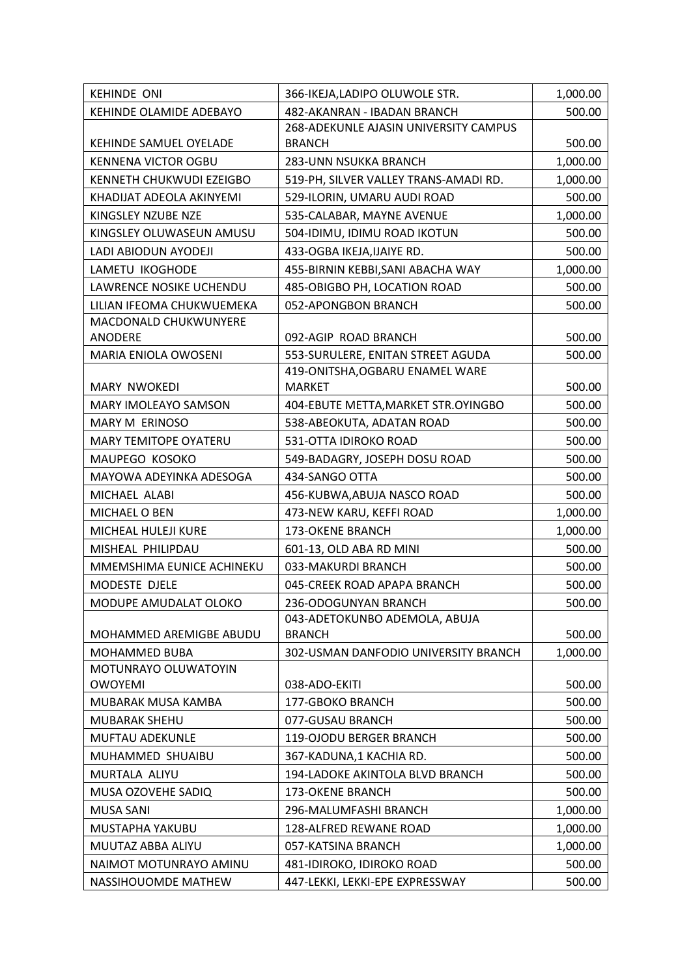| <b>KEHINDE ONI</b>           | 366-IKEJA, LADIPO OLUWOLE STR.                   | 1,000.00 |
|------------------------------|--------------------------------------------------|----------|
| KEHINDE OLAMIDE ADEBAYO      | 482-AKANRAN - IBADAN BRANCH                      | 500.00   |
|                              | 268-ADEKUNLE AJASIN UNIVERSITY CAMPUS            |          |
| KEHINDE SAMUEL OYELADE       | <b>BRANCH</b>                                    | 500.00   |
| <b>KENNENA VICTOR OGBU</b>   | 283-UNN NSUKKA BRANCH                            | 1,000.00 |
| KENNETH CHUKWUDI EZEIGBO     | 519-PH, SILVER VALLEY TRANS-AMADI RD.            | 1,000.00 |
| KHADIJAT ADEOLA AKINYEMI     | 529-ILORIN, UMARU AUDI ROAD                      | 500.00   |
| KINGSLEY NZUBE NZE           | 535-CALABAR, MAYNE AVENUE                        | 1,000.00 |
| KINGSLEY OLUWASEUN AMUSU     | 504-IDIMU, IDIMU ROAD IKOTUN                     | 500.00   |
| LADI ABIODUN AYODEJI         | 433-OGBA IKEJA, IJAIYE RD.                       | 500.00   |
| LAMETU IKOGHODE              | 455-BIRNIN KEBBI, SANI ABACHA WAY                | 1,000.00 |
| LAWRENCE NOSIKE UCHENDU      | 485-OBIGBO PH, LOCATION ROAD                     | 500.00   |
| LILIAN IFEOMA CHUKWUEMEKA    | 052-APONGBON BRANCH                              | 500.00   |
| MACDONALD CHUKWUNYERE        |                                                  |          |
| ANODERE                      | 092-AGIP ROAD BRANCH                             | 500.00   |
| MARIA ENIOLA OWOSENI         | 553-SURULERE, ENITAN STREET AGUDA                | 500.00   |
| MARY NWOKEDI                 | 419-ONITSHA, OGBARU ENAMEL WARE<br><b>MARKET</b> | 500.00   |
| <b>MARY IMOLEAYO SAMSON</b>  | 404-EBUTE METTA, MARKET STR. OYINGBO             | 500.00   |
| MARY M ERINOSO               | 538-ABEOKUTA, ADATAN ROAD                        | 500.00   |
| <b>MARY TEMITOPE OYATERU</b> | 531-OTTA IDIROKO ROAD                            | 500.00   |
| MAUPEGO KOSOKO               | 549-BADAGRY, JOSEPH DOSU ROAD                    | 500.00   |
| MAYOWA ADEYINKA ADESOGA      | 434-SANGO OTTA                                   | 500.00   |
| MICHAEL ALABI                | 456-KUBWA, ABUJA NASCO ROAD                      | 500.00   |
| MICHAEL O BEN                | 473-NEW KARU, KEFFI ROAD                         | 1,000.00 |
| MICHEAL HULEJI KURE          | 173-OKENE BRANCH                                 | 1,000.00 |
| MISHEAL PHILIPDAU            | 601-13, OLD ABA RD MINI                          | 500.00   |
| MMEMSHIMA EUNICE ACHINEKU    | 033-MAKURDI BRANCH                               | 500.00   |
| MODESTE DJELE                | 045-CREEK ROAD APAPA BRANCH                      | 500.00   |
| MODUPE AMUDALAT OLOKO        | 236-ODOGUNYAN BRANCH                             | 500.00   |
|                              | 043-ADETOKUNBO ADEMOLA, ABUJA                    |          |
| MOHAMMED AREMIGBE ABUDU      | <b>BRANCH</b>                                    | 500.00   |
| <b>MOHAMMED BUBA</b>         | 302-USMAN DANFODIO UNIVERSITY BRANCH             | 1,000.00 |
| MOTUNRAYO OLUWATOYIN         |                                                  |          |
| <b>OWOYEMI</b>               | 038-ADO-EKITI                                    | 500.00   |
| MUBARAK MUSA KAMBA           | 177-GBOKO BRANCH                                 | 500.00   |
| <b>MUBARAK SHEHU</b>         | 077-GUSAU BRANCH                                 | 500.00   |
| <b>MUFTAU ADEKUNLE</b>       | 119-OJODU BERGER BRANCH                          | 500.00   |
| MUHAMMED SHUAIBU             | 367-KADUNA,1 KACHIA RD.                          | 500.00   |
| MURTALA ALIYU                | 194-LADOKE AKINTOLA BLVD BRANCH                  | 500.00   |
| MUSA OZOVEHE SADIQ           | 173-OKENE BRANCH                                 | 500.00   |
| MUSA SANI                    | 296-MALUMFASHI BRANCH                            | 1,000.00 |
| MUSTAPHA YAKUBU              | 128-ALFRED REWANE ROAD                           | 1,000.00 |
| MUUTAZ ABBA ALIYU            | 057-KATSINA BRANCH                               | 1,000.00 |
| NAIMOT MOTUNRAYO AMINU       | 481-IDIROKO, IDIROKO ROAD                        | 500.00   |
| NASSIHOUOMDE MATHEW          | 447-LEKKI, LEKKI-EPE EXPRESSWAY                  | 500.00   |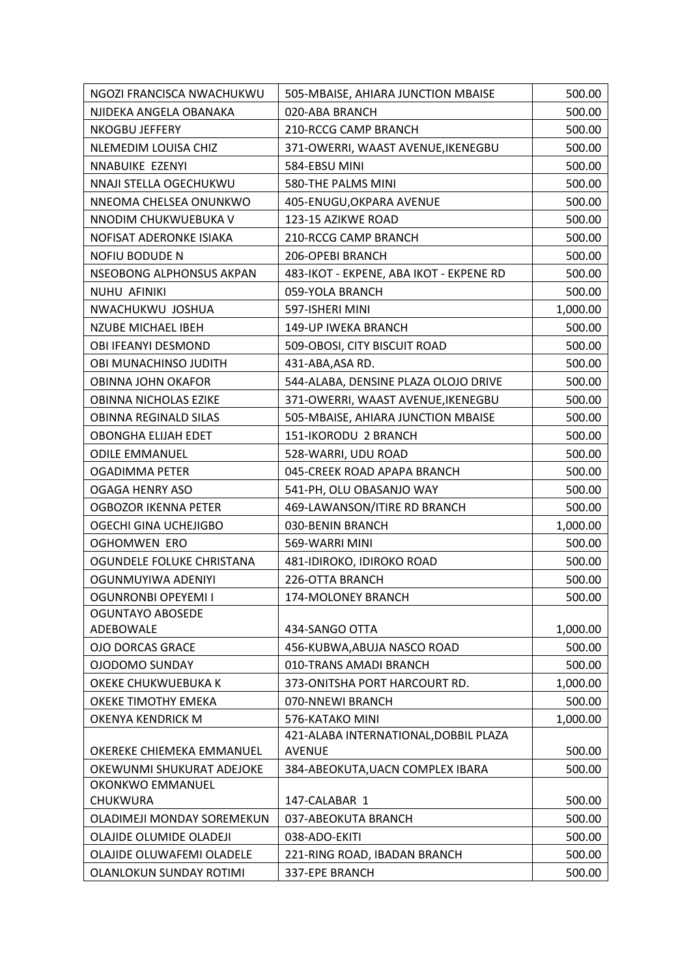| NGOZI FRANCISCA NWACHUKWU  | 505-MBAISE, AHIARA JUNCTION MBAISE                     | 500.00   |
|----------------------------|--------------------------------------------------------|----------|
| NJIDEKA ANGELA OBANAKA     | 020-ABA BRANCH                                         | 500.00   |
| NKOGBU JEFFERY             | 210-RCCG CAMP BRANCH                                   | 500.00   |
| NLEMEDIM LOUISA CHIZ       | 371-OWERRI, WAAST AVENUE, IKENEGBU                     | 500.00   |
| NNABUIKE EZENYI            | 584-EBSU MINI                                          | 500.00   |
| NNAJI STELLA OGECHUKWU     | 580-THE PALMS MINI                                     | 500.00   |
| NNEOMA CHELSEA ONUNKWO     | 405-ENUGU, OKPARA AVENUE                               | 500.00   |
| NNODIM CHUKWUEBUKA V       | 123-15 AZIKWE ROAD                                     | 500.00   |
| NOFISAT ADERONKE ISIAKA    | <b>210-RCCG CAMP BRANCH</b>                            | 500.00   |
| <b>NOFIU BODUDE N</b>      | 206-OPEBI BRANCH                                       | 500.00   |
| NSEOBONG ALPHONSUS AKPAN   | 483-IKOT - EKPENE, ABA IKOT - EKPENE RD                | 500.00   |
| NUHU AFINIKI               | 059-YOLA BRANCH                                        | 500.00   |
| NWACHUKWU JOSHUA           | 597-ISHERI MINI                                        | 1,000.00 |
| <b>NZUBE MICHAEL IBEH</b>  | 149-UP IWEKA BRANCH                                    | 500.00   |
| OBI IFEANYI DESMOND        | 509-OBOSI, CITY BISCUIT ROAD                           | 500.00   |
| OBI MUNACHINSO JUDITH      | 431-ABA, ASA RD.                                       | 500.00   |
| OBINNA JOHN OKAFOR         | 544-ALABA, DENSINE PLAZA OLOJO DRIVE                   | 500.00   |
| OBINNA NICHOLAS EZIKE      | 371-OWERRI, WAAST AVENUE, IKENEGBU                     | 500.00   |
| OBINNA REGINALD SILAS      | 505-MBAISE, AHIARA JUNCTION MBAISE                     | 500.00   |
| OBONGHA ELIJAH EDET        | 151-IKORODU 2 BRANCH                                   | 500.00   |
| <b>ODILE EMMANUEL</b>      | 528-WARRI, UDU ROAD                                    | 500.00   |
| <b>OGADIMMA PETER</b>      | 045-CREEK ROAD APAPA BRANCH                            | 500.00   |
| <b>OGAGA HENRY ASO</b>     | 541-PH, OLU OBASANJO WAY                               | 500.00   |
| OGBOZOR IKENNA PETER       | 469-LAWANSON/ITIRE RD BRANCH                           | 500.00   |
| OGECHI GINA UCHEJIGBO      | 030-BENIN BRANCH                                       | 1,000.00 |
| <b>OGHOMWEN ERO</b>        | 569-WARRI MINI                                         | 500.00   |
| OGUNDELE FOLUKE CHRISTANA  | 481-IDIROKO, IDIROKO ROAD                              | 500.00   |
| OGUNMUYIWA ADENIYI         | 226-OTTA BRANCH                                        | 500.00   |
| OGUNRONBI OPEYEMI I        | <b>174-MOLONEY BRANCH</b>                              | 500.00   |
| <b>OGUNTAYO ABOSEDE</b>    |                                                        |          |
| ADEBOWALE                  | 434-SANGO OTTA                                         | 1,000.00 |
| <b>OJO DORCAS GRACE</b>    | 456-KUBWA, ABUJA NASCO ROAD                            | 500.00   |
| <b>OJODOMO SUNDAY</b>      | 010-TRANS AMADI BRANCH                                 | 500.00   |
| OKEKE CHUKWUEBUKA K        | 373-ONITSHA PORT HARCOURT RD.                          | 1,000.00 |
| OKEKE TIMOTHY EMEKA        | 070-NNEWI BRANCH                                       | 500.00   |
| OKENYA KENDRICK M          | 576-KATAKO MINI                                        | 1,000.00 |
| OKEREKE CHIEMEKA EMMANUEL  | 421-ALABA INTERNATIONAL, DOBBIL PLAZA<br><b>AVENUE</b> | 500.00   |
| OKEWUNMI SHUKURAT ADEJOKE  | 384-ABEOKUTA, UACN COMPLEX IBARA                       | 500.00   |
| OKONKWO EMMANUEL           |                                                        |          |
| CHUKWURA                   | 147-CALABAR 1                                          | 500.00   |
| OLADIMEJI MONDAY SOREMEKUN | 037-ABEOKUTA BRANCH                                    | 500.00   |
| OLAJIDE OLUMIDE OLADEJI    | 038-ADO-EKITI                                          | 500.00   |
| OLAJIDE OLUWAFEMI OLADELE  | 221-RING ROAD, IBADAN BRANCH                           | 500.00   |
| OLANLOKUN SUNDAY ROTIMI    | 337-EPE BRANCH                                         | 500.00   |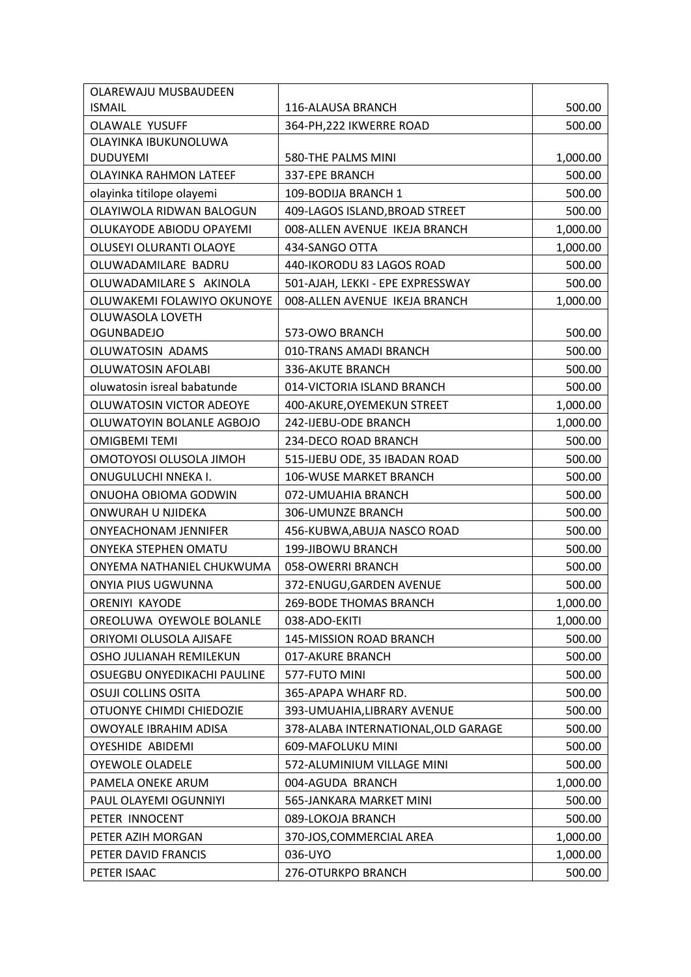| 500.00<br><b>ISMAIL</b><br>116-ALAUSA BRANCH<br><b>OLAWALE YUSUFF</b><br>364-PH, 222 IKWERRE ROAD<br>500.00<br>OLAYINKA IBUKUNOLUWA<br><b>DUDUYEMI</b><br>580-THE PALMS MINI<br>1,000.00<br><b>OLAYINKA RAHMON LATEEF</b><br>337-EPE BRANCH<br>500.00<br>olayinka titilope olayemi<br>109-BODIJA BRANCH 1<br>500.00<br>OLAYIWOLA RIDWAN BALOGUN<br>409-LAGOS ISLAND, BROAD STREET<br>500.00<br>OLUKAYODE ABIODU OPAYEMI<br>008-ALLEN AVENUE IKEJA BRANCH<br>1,000.00<br>OLUSEYI OLURANTI OLAOYE<br>434-SANGO OTTA<br>1,000.00<br>500.00<br>OLUWADAMILARE BADRU<br>440-IKORODU 83 LAGOS ROAD<br>OLUWADAMILARE S AKINOLA<br>501-AJAH, LEKKI - EPE EXPRESSWAY<br>500.00<br>OLUWAKEMI FOLAWIYO OKUNOYE<br>008-ALLEN AVENUE IKEJA BRANCH<br>1,000.00<br><b>OLUWASOLA LOVETH</b><br><b>OGUNBADEJO</b><br>573-OWO BRANCH<br>500.00<br>OLUWATOSIN ADAMS<br>010-TRANS AMADI BRANCH<br>500.00<br><b>OLUWATOSIN AFOLABI</b><br>500.00<br>336-AKUTE BRANCH<br>oluwatosin isreal babatunde<br>014-VICTORIA ISLAND BRANCH<br>500.00<br>OLUWATOSIN VICTOR ADEOYE<br>1,000.00<br>400-AKURE, OYEMEKUN STREET<br>OLUWATOYIN BOLANLE AGBOJO<br>242-IJEBU-ODE BRANCH<br>1,000.00<br><b>OMIGBEMI TEMI</b><br>234-DECO ROAD BRANCH<br>500.00<br>OMOTOYOSI OLUSOLA JIMOH<br>515-IJEBU ODE, 35 IBADAN ROAD<br>500.00<br>ONUGULUCHI NNEKA I.<br><b>106-WUSE MARKET BRANCH</b><br>500.00<br>ONUOHA OBIOMA GODWIN<br>072-UMUAHIA BRANCH<br>500.00<br>ONWURAH U NJIDEKA<br>306-UMUNZE BRANCH<br>500.00<br><b>ONYEACHONAM JENNIFER</b><br>456-KUBWA, ABUJA NASCO ROAD<br>500.00<br><b>ONYEKA STEPHEN OMATU</b><br>199-JIBOWU BRANCH<br>500.00<br>ONYEMA NATHANIEL CHUKWUMA<br>058-OWERRI BRANCH<br>500.00<br>500.00<br>ONYIA PIUS UGWUNNA<br>372-ENUGU, GARDEN AVENUE<br>1,000.00<br><b>ORENIYI KAYODE</b><br><b>269-BODE THOMAS BRANCH</b><br>OREOLUWA OYEWOLE BOLANLE<br>038-ADO-EKITI<br>1,000.00<br>ORIYOMI OLUSOLA AJISAFE<br>145-MISSION ROAD BRANCH<br>500.00<br>OSHO JULIANAH REMILEKUN<br>017-AKURE BRANCH<br>500.00<br>OSUEGBU ONYEDIKACHI PAULINE<br>500.00<br>577-FUTO MINI<br><b>OSUJI COLLINS OSITA</b><br>365-APAPA WHARF RD.<br>500.00<br>OTUONYE CHIMDI CHIEDOZIE<br>393-UMUAHIA, LIBRARY AVENUE<br>500.00<br>OWOYALE IBRAHIM ADISA<br>378-ALABA INTERNATIONAL, OLD GARAGE<br>500.00 |
|--------------------------------------------------------------------------------------------------------------------------------------------------------------------------------------------------------------------------------------------------------------------------------------------------------------------------------------------------------------------------------------------------------------------------------------------------------------------------------------------------------------------------------------------------------------------------------------------------------------------------------------------------------------------------------------------------------------------------------------------------------------------------------------------------------------------------------------------------------------------------------------------------------------------------------------------------------------------------------------------------------------------------------------------------------------------------------------------------------------------------------------------------------------------------------------------------------------------------------------------------------------------------------------------------------------------------------------------------------------------------------------------------------------------------------------------------------------------------------------------------------------------------------------------------------------------------------------------------------------------------------------------------------------------------------------------------------------------------------------------------------------------------------------------------------------------------------------------------------------------------------------------------------------------------------------------------------------------------------------------------------------------------------------------------------------------------------------------------------------------------------------------------------------------------------------------------------------------------------------------------------------------------|
|                                                                                                                                                                                                                                                                                                                                                                                                                                                                                                                                                                                                                                                                                                                                                                                                                                                                                                                                                                                                                                                                                                                                                                                                                                                                                                                                                                                                                                                                                                                                                                                                                                                                                                                                                                                                                                                                                                                                                                                                                                                                                                                                                                                                                                                                          |
|                                                                                                                                                                                                                                                                                                                                                                                                                                                                                                                                                                                                                                                                                                                                                                                                                                                                                                                                                                                                                                                                                                                                                                                                                                                                                                                                                                                                                                                                                                                                                                                                                                                                                                                                                                                                                                                                                                                                                                                                                                                                                                                                                                                                                                                                          |
|                                                                                                                                                                                                                                                                                                                                                                                                                                                                                                                                                                                                                                                                                                                                                                                                                                                                                                                                                                                                                                                                                                                                                                                                                                                                                                                                                                                                                                                                                                                                                                                                                                                                                                                                                                                                                                                                                                                                                                                                                                                                                                                                                                                                                                                                          |
|                                                                                                                                                                                                                                                                                                                                                                                                                                                                                                                                                                                                                                                                                                                                                                                                                                                                                                                                                                                                                                                                                                                                                                                                                                                                                                                                                                                                                                                                                                                                                                                                                                                                                                                                                                                                                                                                                                                                                                                                                                                                                                                                                                                                                                                                          |
|                                                                                                                                                                                                                                                                                                                                                                                                                                                                                                                                                                                                                                                                                                                                                                                                                                                                                                                                                                                                                                                                                                                                                                                                                                                                                                                                                                                                                                                                                                                                                                                                                                                                                                                                                                                                                                                                                                                                                                                                                                                                                                                                                                                                                                                                          |
|                                                                                                                                                                                                                                                                                                                                                                                                                                                                                                                                                                                                                                                                                                                                                                                                                                                                                                                                                                                                                                                                                                                                                                                                                                                                                                                                                                                                                                                                                                                                                                                                                                                                                                                                                                                                                                                                                                                                                                                                                                                                                                                                                                                                                                                                          |
|                                                                                                                                                                                                                                                                                                                                                                                                                                                                                                                                                                                                                                                                                                                                                                                                                                                                                                                                                                                                                                                                                                                                                                                                                                                                                                                                                                                                                                                                                                                                                                                                                                                                                                                                                                                                                                                                                                                                                                                                                                                                                                                                                                                                                                                                          |
|                                                                                                                                                                                                                                                                                                                                                                                                                                                                                                                                                                                                                                                                                                                                                                                                                                                                                                                                                                                                                                                                                                                                                                                                                                                                                                                                                                                                                                                                                                                                                                                                                                                                                                                                                                                                                                                                                                                                                                                                                                                                                                                                                                                                                                                                          |
|                                                                                                                                                                                                                                                                                                                                                                                                                                                                                                                                                                                                                                                                                                                                                                                                                                                                                                                                                                                                                                                                                                                                                                                                                                                                                                                                                                                                                                                                                                                                                                                                                                                                                                                                                                                                                                                                                                                                                                                                                                                                                                                                                                                                                                                                          |
|                                                                                                                                                                                                                                                                                                                                                                                                                                                                                                                                                                                                                                                                                                                                                                                                                                                                                                                                                                                                                                                                                                                                                                                                                                                                                                                                                                                                                                                                                                                                                                                                                                                                                                                                                                                                                                                                                                                                                                                                                                                                                                                                                                                                                                                                          |
|                                                                                                                                                                                                                                                                                                                                                                                                                                                                                                                                                                                                                                                                                                                                                                                                                                                                                                                                                                                                                                                                                                                                                                                                                                                                                                                                                                                                                                                                                                                                                                                                                                                                                                                                                                                                                                                                                                                                                                                                                                                                                                                                                                                                                                                                          |
|                                                                                                                                                                                                                                                                                                                                                                                                                                                                                                                                                                                                                                                                                                                                                                                                                                                                                                                                                                                                                                                                                                                                                                                                                                                                                                                                                                                                                                                                                                                                                                                                                                                                                                                                                                                                                                                                                                                                                                                                                                                                                                                                                                                                                                                                          |
|                                                                                                                                                                                                                                                                                                                                                                                                                                                                                                                                                                                                                                                                                                                                                                                                                                                                                                                                                                                                                                                                                                                                                                                                                                                                                                                                                                                                                                                                                                                                                                                                                                                                                                                                                                                                                                                                                                                                                                                                                                                                                                                                                                                                                                                                          |
|                                                                                                                                                                                                                                                                                                                                                                                                                                                                                                                                                                                                                                                                                                                                                                                                                                                                                                                                                                                                                                                                                                                                                                                                                                                                                                                                                                                                                                                                                                                                                                                                                                                                                                                                                                                                                                                                                                                                                                                                                                                                                                                                                                                                                                                                          |
|                                                                                                                                                                                                                                                                                                                                                                                                                                                                                                                                                                                                                                                                                                                                                                                                                                                                                                                                                                                                                                                                                                                                                                                                                                                                                                                                                                                                                                                                                                                                                                                                                                                                                                                                                                                                                                                                                                                                                                                                                                                                                                                                                                                                                                                                          |
|                                                                                                                                                                                                                                                                                                                                                                                                                                                                                                                                                                                                                                                                                                                                                                                                                                                                                                                                                                                                                                                                                                                                                                                                                                                                                                                                                                                                                                                                                                                                                                                                                                                                                                                                                                                                                                                                                                                                                                                                                                                                                                                                                                                                                                                                          |
|                                                                                                                                                                                                                                                                                                                                                                                                                                                                                                                                                                                                                                                                                                                                                                                                                                                                                                                                                                                                                                                                                                                                                                                                                                                                                                                                                                                                                                                                                                                                                                                                                                                                                                                                                                                                                                                                                                                                                                                                                                                                                                                                                                                                                                                                          |
|                                                                                                                                                                                                                                                                                                                                                                                                                                                                                                                                                                                                                                                                                                                                                                                                                                                                                                                                                                                                                                                                                                                                                                                                                                                                                                                                                                                                                                                                                                                                                                                                                                                                                                                                                                                                                                                                                                                                                                                                                                                                                                                                                                                                                                                                          |
|                                                                                                                                                                                                                                                                                                                                                                                                                                                                                                                                                                                                                                                                                                                                                                                                                                                                                                                                                                                                                                                                                                                                                                                                                                                                                                                                                                                                                                                                                                                                                                                                                                                                                                                                                                                                                                                                                                                                                                                                                                                                                                                                                                                                                                                                          |
|                                                                                                                                                                                                                                                                                                                                                                                                                                                                                                                                                                                                                                                                                                                                                                                                                                                                                                                                                                                                                                                                                                                                                                                                                                                                                                                                                                                                                                                                                                                                                                                                                                                                                                                                                                                                                                                                                                                                                                                                                                                                                                                                                                                                                                                                          |
|                                                                                                                                                                                                                                                                                                                                                                                                                                                                                                                                                                                                                                                                                                                                                                                                                                                                                                                                                                                                                                                                                                                                                                                                                                                                                                                                                                                                                                                                                                                                                                                                                                                                                                                                                                                                                                                                                                                                                                                                                                                                                                                                                                                                                                                                          |
|                                                                                                                                                                                                                                                                                                                                                                                                                                                                                                                                                                                                                                                                                                                                                                                                                                                                                                                                                                                                                                                                                                                                                                                                                                                                                                                                                                                                                                                                                                                                                                                                                                                                                                                                                                                                                                                                                                                                                                                                                                                                                                                                                                                                                                                                          |
|                                                                                                                                                                                                                                                                                                                                                                                                                                                                                                                                                                                                                                                                                                                                                                                                                                                                                                                                                                                                                                                                                                                                                                                                                                                                                                                                                                                                                                                                                                                                                                                                                                                                                                                                                                                                                                                                                                                                                                                                                                                                                                                                                                                                                                                                          |
|                                                                                                                                                                                                                                                                                                                                                                                                                                                                                                                                                                                                                                                                                                                                                                                                                                                                                                                                                                                                                                                                                                                                                                                                                                                                                                                                                                                                                                                                                                                                                                                                                                                                                                                                                                                                                                                                                                                                                                                                                                                                                                                                                                                                                                                                          |
|                                                                                                                                                                                                                                                                                                                                                                                                                                                                                                                                                                                                                                                                                                                                                                                                                                                                                                                                                                                                                                                                                                                                                                                                                                                                                                                                                                                                                                                                                                                                                                                                                                                                                                                                                                                                                                                                                                                                                                                                                                                                                                                                                                                                                                                                          |
|                                                                                                                                                                                                                                                                                                                                                                                                                                                                                                                                                                                                                                                                                                                                                                                                                                                                                                                                                                                                                                                                                                                                                                                                                                                                                                                                                                                                                                                                                                                                                                                                                                                                                                                                                                                                                                                                                                                                                                                                                                                                                                                                                                                                                                                                          |
|                                                                                                                                                                                                                                                                                                                                                                                                                                                                                                                                                                                                                                                                                                                                                                                                                                                                                                                                                                                                                                                                                                                                                                                                                                                                                                                                                                                                                                                                                                                                                                                                                                                                                                                                                                                                                                                                                                                                                                                                                                                                                                                                                                                                                                                                          |
|                                                                                                                                                                                                                                                                                                                                                                                                                                                                                                                                                                                                                                                                                                                                                                                                                                                                                                                                                                                                                                                                                                                                                                                                                                                                                                                                                                                                                                                                                                                                                                                                                                                                                                                                                                                                                                                                                                                                                                                                                                                                                                                                                                                                                                                                          |
|                                                                                                                                                                                                                                                                                                                                                                                                                                                                                                                                                                                                                                                                                                                                                                                                                                                                                                                                                                                                                                                                                                                                                                                                                                                                                                                                                                                                                                                                                                                                                                                                                                                                                                                                                                                                                                                                                                                                                                                                                                                                                                                                                                                                                                                                          |
|                                                                                                                                                                                                                                                                                                                                                                                                                                                                                                                                                                                                                                                                                                                                                                                                                                                                                                                                                                                                                                                                                                                                                                                                                                                                                                                                                                                                                                                                                                                                                                                                                                                                                                                                                                                                                                                                                                                                                                                                                                                                                                                                                                                                                                                                          |
|                                                                                                                                                                                                                                                                                                                                                                                                                                                                                                                                                                                                                                                                                                                                                                                                                                                                                                                                                                                                                                                                                                                                                                                                                                                                                                                                                                                                                                                                                                                                                                                                                                                                                                                                                                                                                                                                                                                                                                                                                                                                                                                                                                                                                                                                          |
|                                                                                                                                                                                                                                                                                                                                                                                                                                                                                                                                                                                                                                                                                                                                                                                                                                                                                                                                                                                                                                                                                                                                                                                                                                                                                                                                                                                                                                                                                                                                                                                                                                                                                                                                                                                                                                                                                                                                                                                                                                                                                                                                                                                                                                                                          |
|                                                                                                                                                                                                                                                                                                                                                                                                                                                                                                                                                                                                                                                                                                                                                                                                                                                                                                                                                                                                                                                                                                                                                                                                                                                                                                                                                                                                                                                                                                                                                                                                                                                                                                                                                                                                                                                                                                                                                                                                                                                                                                                                                                                                                                                                          |
|                                                                                                                                                                                                                                                                                                                                                                                                                                                                                                                                                                                                                                                                                                                                                                                                                                                                                                                                                                                                                                                                                                                                                                                                                                                                                                                                                                                                                                                                                                                                                                                                                                                                                                                                                                                                                                                                                                                                                                                                                                                                                                                                                                                                                                                                          |
|                                                                                                                                                                                                                                                                                                                                                                                                                                                                                                                                                                                                                                                                                                                                                                                                                                                                                                                                                                                                                                                                                                                                                                                                                                                                                                                                                                                                                                                                                                                                                                                                                                                                                                                                                                                                                                                                                                                                                                                                                                                                                                                                                                                                                                                                          |
|                                                                                                                                                                                                                                                                                                                                                                                                                                                                                                                                                                                                                                                                                                                                                                                                                                                                                                                                                                                                                                                                                                                                                                                                                                                                                                                                                                                                                                                                                                                                                                                                                                                                                                                                                                                                                                                                                                                                                                                                                                                                                                                                                                                                                                                                          |
| 609-MAFOLUKU MINI<br><b>OYESHIDE ABIDEMI</b><br>500.00                                                                                                                                                                                                                                                                                                                                                                                                                                                                                                                                                                                                                                                                                                                                                                                                                                                                                                                                                                                                                                                                                                                                                                                                                                                                                                                                                                                                                                                                                                                                                                                                                                                                                                                                                                                                                                                                                                                                                                                                                                                                                                                                                                                                                   |
| <b>OYEWOLE OLADELE</b><br>572-ALUMINIUM VILLAGE MINI<br>500.00                                                                                                                                                                                                                                                                                                                                                                                                                                                                                                                                                                                                                                                                                                                                                                                                                                                                                                                                                                                                                                                                                                                                                                                                                                                                                                                                                                                                                                                                                                                                                                                                                                                                                                                                                                                                                                                                                                                                                                                                                                                                                                                                                                                                           |
| PAMELA ONEKE ARUM<br>004-AGUDA BRANCH<br>1,000.00                                                                                                                                                                                                                                                                                                                                                                                                                                                                                                                                                                                                                                                                                                                                                                                                                                                                                                                                                                                                                                                                                                                                                                                                                                                                                                                                                                                                                                                                                                                                                                                                                                                                                                                                                                                                                                                                                                                                                                                                                                                                                                                                                                                                                        |
| PAUL OLAYEMI OGUNNIYI<br>565-JANKARA MARKET MINI<br>500.00                                                                                                                                                                                                                                                                                                                                                                                                                                                                                                                                                                                                                                                                                                                                                                                                                                                                                                                                                                                                                                                                                                                                                                                                                                                                                                                                                                                                                                                                                                                                                                                                                                                                                                                                                                                                                                                                                                                                                                                                                                                                                                                                                                                                               |
| PETER INNOCENT<br>089-LOKOJA BRANCH<br>500.00                                                                                                                                                                                                                                                                                                                                                                                                                                                                                                                                                                                                                                                                                                                                                                                                                                                                                                                                                                                                                                                                                                                                                                                                                                                                                                                                                                                                                                                                                                                                                                                                                                                                                                                                                                                                                                                                                                                                                                                                                                                                                                                                                                                                                            |
| PETER AZIH MORGAN<br>370-JOS, COMMERCIAL AREA<br>1,000.00                                                                                                                                                                                                                                                                                                                                                                                                                                                                                                                                                                                                                                                                                                                                                                                                                                                                                                                                                                                                                                                                                                                                                                                                                                                                                                                                                                                                                                                                                                                                                                                                                                                                                                                                                                                                                                                                                                                                                                                                                                                                                                                                                                                                                |
| PETER DAVID FRANCIS<br>036-UYO<br>1,000.00                                                                                                                                                                                                                                                                                                                                                                                                                                                                                                                                                                                                                                                                                                                                                                                                                                                                                                                                                                                                                                                                                                                                                                                                                                                                                                                                                                                                                                                                                                                                                                                                                                                                                                                                                                                                                                                                                                                                                                                                                                                                                                                                                                                                                               |
| PETER ISAAC<br>276-OTURKPO BRANCH<br>500.00                                                                                                                                                                                                                                                                                                                                                                                                                                                                                                                                                                                                                                                                                                                                                                                                                                                                                                                                                                                                                                                                                                                                                                                                                                                                                                                                                                                                                                                                                                                                                                                                                                                                                                                                                                                                                                                                                                                                                                                                                                                                                                                                                                                                                              |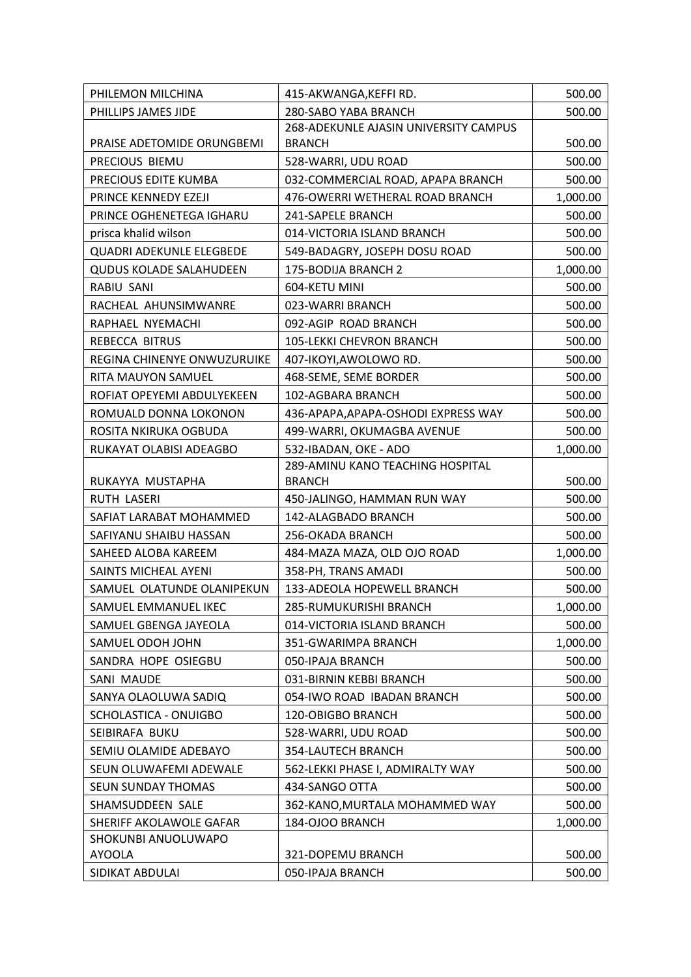| PHILLIPS JAMES JIDE<br>280-SABO YABA BRANCH<br>500.00<br>268-ADEKUNLE AJASIN UNIVERSITY CAMPUS<br>PRAISE ADETOMIDE ORUNGBEMI<br><b>BRANCH</b><br>500.00<br>PRECIOUS BIEMU<br>528-WARRI, UDU ROAD<br>500.00<br>PRECIOUS EDITE KUMBA<br>032-COMMERCIAL ROAD, APAPA BRANCH<br>500.00<br>PRINCE KENNEDY EZEJI<br>476-OWERRI WETHERAL ROAD BRANCH<br>1,000.00<br>PRINCE OGHENETEGA IGHARU<br>241-SAPELE BRANCH<br>500.00<br>prisca khalid wilson<br>014-VICTORIA ISLAND BRANCH<br>500.00<br><b>QUADRI ADEKUNLE ELEGBEDE</b><br>549-BADAGRY, JOSEPH DOSU ROAD<br>500.00<br><b>QUDUS KOLADE SALAHUDEEN</b><br>175-BODIJA BRANCH 2<br>1,000.00<br>RABIU SANI<br>604-KETU MINI<br>500.00<br>500.00<br>RACHEAL AHUNSIMWANRE<br>023-WARRI BRANCH<br>092-AGIP ROAD BRANCH<br>RAPHAEL NYEMACHI<br>500.00<br>REBECCA BITRUS<br><b>105-LEKKI CHEVRON BRANCH</b><br>500.00<br>REGINA CHINENYE ONWUZURUIKE<br>407-IKOYI, AWOLOWO RD.<br>500.00<br>468-SEME, SEME BORDER<br>500.00<br>RITA MAUYON SAMUEL<br>ROFIAT OPEYEMI ABDULYEKEEN<br>102-AGBARA BRANCH<br>500.00<br>436-APAPA, APAPA-OSHODI EXPRESS WAY<br>ROMUALD DONNA LOKONON<br>500.00<br>499-WARRI, OKUMAGBA AVENUE<br>500.00<br>ROSITA NKIRUKA OGBUDA<br>RUKAYAT OLABISI ADEAGBO<br>532-IBADAN, OKE - ADO<br>1,000.00<br>289-AMINU KANO TEACHING HOSPITAL<br>RUKAYYA MUSTAPHA<br><b>BRANCH</b><br>500.00<br>RUTH LASERI<br>450-JALINGO, HAMMAN RUN WAY<br>500.00<br>SAFIAT LARABAT MOHAMMED<br>142-ALAGBADO BRANCH<br>500.00<br>SAFIYANU SHAIBU HASSAN<br>256-OKADA BRANCH<br>500.00<br>1,000.00<br>SAHEED ALOBA KAREEM<br>484-MAZA MAZA, OLD OJO ROAD<br>358-PH, TRANS AMADI<br>500.00<br>SAINTS MICHEAL AYENI<br>SAMUEL OLATUNDE OLANIPEKUN<br>133-ADEOLA HOPEWELL BRANCH<br>500.00<br>285-RUMUKURISHI BRANCH<br>1,000.00<br>SAMUEL EMMANUEL IKEC<br>SAMUEL GBENGA JAYEOLA<br>014-VICTORIA ISLAND BRANCH<br>500.00<br>SAMUEL ODOH JOHN<br>351-GWARIMPA BRANCH<br>1,000.00<br>SANDRA HOPE OSIEGBU<br>050-IPAJA BRANCH<br>500.00<br>SANI MAUDE<br>031-BIRNIN KEBBI BRANCH<br>500.00<br>SANYA OLAOLUWA SADIQ<br>054-IWO ROAD IBADAN BRANCH<br>500.00<br>SCHOLASTICA - ONUIGBO<br>120-OBIGBO BRANCH<br>500.00<br>SEIBIRAFA BUKU<br>528-WARRI, UDU ROAD<br>500.00<br>SEMIU OLAMIDE ADEBAYO<br>354-LAUTECH BRANCH<br>500.00<br>SEUN OLUWAFEMI ADEWALE<br>562-LEKKI PHASE I, ADMIRALTY WAY<br>500.00<br><b>SEUN SUNDAY THOMAS</b><br>434-SANGO OTTA<br>500.00<br>SHAMSUDDEEN SALE<br>362-KANO, MURTALA MOHAMMED WAY<br>500.00<br>184-OJOO BRANCH<br>SHERIFF AKOLAWOLE GAFAR<br>1,000.00<br>SHOKUNBI ANUOLUWAPO | PHILEMON MILCHINA | 415-AKWANGA, KEFFI RD. | 500.00 |
|----------------------------------------------------------------------------------------------------------------------------------------------------------------------------------------------------------------------------------------------------------------------------------------------------------------------------------------------------------------------------------------------------------------------------------------------------------------------------------------------------------------------------------------------------------------------------------------------------------------------------------------------------------------------------------------------------------------------------------------------------------------------------------------------------------------------------------------------------------------------------------------------------------------------------------------------------------------------------------------------------------------------------------------------------------------------------------------------------------------------------------------------------------------------------------------------------------------------------------------------------------------------------------------------------------------------------------------------------------------------------------------------------------------------------------------------------------------------------------------------------------------------------------------------------------------------------------------------------------------------------------------------------------------------------------------------------------------------------------------------------------------------------------------------------------------------------------------------------------------------------------------------------------------------------------------------------------------------------------------------------------------------------------------------------------------------------------------------------------------------------------------------------------------------------------------------------------------------------------------------------------------------------------------------------------------------------------------------------------------------------------------------------------------------------------------------------------------------------------------------------------------------------------------------------|-------------------|------------------------|--------|
|                                                                                                                                                                                                                                                                                                                                                                                                                                                                                                                                                                                                                                                                                                                                                                                                                                                                                                                                                                                                                                                                                                                                                                                                                                                                                                                                                                                                                                                                                                                                                                                                                                                                                                                                                                                                                                                                                                                                                                                                                                                                                                                                                                                                                                                                                                                                                                                                                                                                                                                                                    |                   |                        |        |
|                                                                                                                                                                                                                                                                                                                                                                                                                                                                                                                                                                                                                                                                                                                                                                                                                                                                                                                                                                                                                                                                                                                                                                                                                                                                                                                                                                                                                                                                                                                                                                                                                                                                                                                                                                                                                                                                                                                                                                                                                                                                                                                                                                                                                                                                                                                                                                                                                                                                                                                                                    |                   |                        |        |
|                                                                                                                                                                                                                                                                                                                                                                                                                                                                                                                                                                                                                                                                                                                                                                                                                                                                                                                                                                                                                                                                                                                                                                                                                                                                                                                                                                                                                                                                                                                                                                                                                                                                                                                                                                                                                                                                                                                                                                                                                                                                                                                                                                                                                                                                                                                                                                                                                                                                                                                                                    |                   |                        |        |
|                                                                                                                                                                                                                                                                                                                                                                                                                                                                                                                                                                                                                                                                                                                                                                                                                                                                                                                                                                                                                                                                                                                                                                                                                                                                                                                                                                                                                                                                                                                                                                                                                                                                                                                                                                                                                                                                                                                                                                                                                                                                                                                                                                                                                                                                                                                                                                                                                                                                                                                                                    |                   |                        |        |
|                                                                                                                                                                                                                                                                                                                                                                                                                                                                                                                                                                                                                                                                                                                                                                                                                                                                                                                                                                                                                                                                                                                                                                                                                                                                                                                                                                                                                                                                                                                                                                                                                                                                                                                                                                                                                                                                                                                                                                                                                                                                                                                                                                                                                                                                                                                                                                                                                                                                                                                                                    |                   |                        |        |
|                                                                                                                                                                                                                                                                                                                                                                                                                                                                                                                                                                                                                                                                                                                                                                                                                                                                                                                                                                                                                                                                                                                                                                                                                                                                                                                                                                                                                                                                                                                                                                                                                                                                                                                                                                                                                                                                                                                                                                                                                                                                                                                                                                                                                                                                                                                                                                                                                                                                                                                                                    |                   |                        |        |
|                                                                                                                                                                                                                                                                                                                                                                                                                                                                                                                                                                                                                                                                                                                                                                                                                                                                                                                                                                                                                                                                                                                                                                                                                                                                                                                                                                                                                                                                                                                                                                                                                                                                                                                                                                                                                                                                                                                                                                                                                                                                                                                                                                                                                                                                                                                                                                                                                                                                                                                                                    |                   |                        |        |
|                                                                                                                                                                                                                                                                                                                                                                                                                                                                                                                                                                                                                                                                                                                                                                                                                                                                                                                                                                                                                                                                                                                                                                                                                                                                                                                                                                                                                                                                                                                                                                                                                                                                                                                                                                                                                                                                                                                                                                                                                                                                                                                                                                                                                                                                                                                                                                                                                                                                                                                                                    |                   |                        |        |
|                                                                                                                                                                                                                                                                                                                                                                                                                                                                                                                                                                                                                                                                                                                                                                                                                                                                                                                                                                                                                                                                                                                                                                                                                                                                                                                                                                                                                                                                                                                                                                                                                                                                                                                                                                                                                                                                                                                                                                                                                                                                                                                                                                                                                                                                                                                                                                                                                                                                                                                                                    |                   |                        |        |
|                                                                                                                                                                                                                                                                                                                                                                                                                                                                                                                                                                                                                                                                                                                                                                                                                                                                                                                                                                                                                                                                                                                                                                                                                                                                                                                                                                                                                                                                                                                                                                                                                                                                                                                                                                                                                                                                                                                                                                                                                                                                                                                                                                                                                                                                                                                                                                                                                                                                                                                                                    |                   |                        |        |
|                                                                                                                                                                                                                                                                                                                                                                                                                                                                                                                                                                                                                                                                                                                                                                                                                                                                                                                                                                                                                                                                                                                                                                                                                                                                                                                                                                                                                                                                                                                                                                                                                                                                                                                                                                                                                                                                                                                                                                                                                                                                                                                                                                                                                                                                                                                                                                                                                                                                                                                                                    |                   |                        |        |
|                                                                                                                                                                                                                                                                                                                                                                                                                                                                                                                                                                                                                                                                                                                                                                                                                                                                                                                                                                                                                                                                                                                                                                                                                                                                                                                                                                                                                                                                                                                                                                                                                                                                                                                                                                                                                                                                                                                                                                                                                                                                                                                                                                                                                                                                                                                                                                                                                                                                                                                                                    |                   |                        |        |
|                                                                                                                                                                                                                                                                                                                                                                                                                                                                                                                                                                                                                                                                                                                                                                                                                                                                                                                                                                                                                                                                                                                                                                                                                                                                                                                                                                                                                                                                                                                                                                                                                                                                                                                                                                                                                                                                                                                                                                                                                                                                                                                                                                                                                                                                                                                                                                                                                                                                                                                                                    |                   |                        |        |
|                                                                                                                                                                                                                                                                                                                                                                                                                                                                                                                                                                                                                                                                                                                                                                                                                                                                                                                                                                                                                                                                                                                                                                                                                                                                                                                                                                                                                                                                                                                                                                                                                                                                                                                                                                                                                                                                                                                                                                                                                                                                                                                                                                                                                                                                                                                                                                                                                                                                                                                                                    |                   |                        |        |
|                                                                                                                                                                                                                                                                                                                                                                                                                                                                                                                                                                                                                                                                                                                                                                                                                                                                                                                                                                                                                                                                                                                                                                                                                                                                                                                                                                                                                                                                                                                                                                                                                                                                                                                                                                                                                                                                                                                                                                                                                                                                                                                                                                                                                                                                                                                                                                                                                                                                                                                                                    |                   |                        |        |
|                                                                                                                                                                                                                                                                                                                                                                                                                                                                                                                                                                                                                                                                                                                                                                                                                                                                                                                                                                                                                                                                                                                                                                                                                                                                                                                                                                                                                                                                                                                                                                                                                                                                                                                                                                                                                                                                                                                                                                                                                                                                                                                                                                                                                                                                                                                                                                                                                                                                                                                                                    |                   |                        |        |
|                                                                                                                                                                                                                                                                                                                                                                                                                                                                                                                                                                                                                                                                                                                                                                                                                                                                                                                                                                                                                                                                                                                                                                                                                                                                                                                                                                                                                                                                                                                                                                                                                                                                                                                                                                                                                                                                                                                                                                                                                                                                                                                                                                                                                                                                                                                                                                                                                                                                                                                                                    |                   |                        |        |
|                                                                                                                                                                                                                                                                                                                                                                                                                                                                                                                                                                                                                                                                                                                                                                                                                                                                                                                                                                                                                                                                                                                                                                                                                                                                                                                                                                                                                                                                                                                                                                                                                                                                                                                                                                                                                                                                                                                                                                                                                                                                                                                                                                                                                                                                                                                                                                                                                                                                                                                                                    |                   |                        |        |
|                                                                                                                                                                                                                                                                                                                                                                                                                                                                                                                                                                                                                                                                                                                                                                                                                                                                                                                                                                                                                                                                                                                                                                                                                                                                                                                                                                                                                                                                                                                                                                                                                                                                                                                                                                                                                                                                                                                                                                                                                                                                                                                                                                                                                                                                                                                                                                                                                                                                                                                                                    |                   |                        |        |
|                                                                                                                                                                                                                                                                                                                                                                                                                                                                                                                                                                                                                                                                                                                                                                                                                                                                                                                                                                                                                                                                                                                                                                                                                                                                                                                                                                                                                                                                                                                                                                                                                                                                                                                                                                                                                                                                                                                                                                                                                                                                                                                                                                                                                                                                                                                                                                                                                                                                                                                                                    |                   |                        |        |
|                                                                                                                                                                                                                                                                                                                                                                                                                                                                                                                                                                                                                                                                                                                                                                                                                                                                                                                                                                                                                                                                                                                                                                                                                                                                                                                                                                                                                                                                                                                                                                                                                                                                                                                                                                                                                                                                                                                                                                                                                                                                                                                                                                                                                                                                                                                                                                                                                                                                                                                                                    |                   |                        |        |
|                                                                                                                                                                                                                                                                                                                                                                                                                                                                                                                                                                                                                                                                                                                                                                                                                                                                                                                                                                                                                                                                                                                                                                                                                                                                                                                                                                                                                                                                                                                                                                                                                                                                                                                                                                                                                                                                                                                                                                                                                                                                                                                                                                                                                                                                                                                                                                                                                                                                                                                                                    |                   |                        |        |
|                                                                                                                                                                                                                                                                                                                                                                                                                                                                                                                                                                                                                                                                                                                                                                                                                                                                                                                                                                                                                                                                                                                                                                                                                                                                                                                                                                                                                                                                                                                                                                                                                                                                                                                                                                                                                                                                                                                                                                                                                                                                                                                                                                                                                                                                                                                                                                                                                                                                                                                                                    |                   |                        |        |
|                                                                                                                                                                                                                                                                                                                                                                                                                                                                                                                                                                                                                                                                                                                                                                                                                                                                                                                                                                                                                                                                                                                                                                                                                                                                                                                                                                                                                                                                                                                                                                                                                                                                                                                                                                                                                                                                                                                                                                                                                                                                                                                                                                                                                                                                                                                                                                                                                                                                                                                                                    |                   |                        |        |
|                                                                                                                                                                                                                                                                                                                                                                                                                                                                                                                                                                                                                                                                                                                                                                                                                                                                                                                                                                                                                                                                                                                                                                                                                                                                                                                                                                                                                                                                                                                                                                                                                                                                                                                                                                                                                                                                                                                                                                                                                                                                                                                                                                                                                                                                                                                                                                                                                                                                                                                                                    |                   |                        |        |
|                                                                                                                                                                                                                                                                                                                                                                                                                                                                                                                                                                                                                                                                                                                                                                                                                                                                                                                                                                                                                                                                                                                                                                                                                                                                                                                                                                                                                                                                                                                                                                                                                                                                                                                                                                                                                                                                                                                                                                                                                                                                                                                                                                                                                                                                                                                                                                                                                                                                                                                                                    |                   |                        |        |
|                                                                                                                                                                                                                                                                                                                                                                                                                                                                                                                                                                                                                                                                                                                                                                                                                                                                                                                                                                                                                                                                                                                                                                                                                                                                                                                                                                                                                                                                                                                                                                                                                                                                                                                                                                                                                                                                                                                                                                                                                                                                                                                                                                                                                                                                                                                                                                                                                                                                                                                                                    |                   |                        |        |
|                                                                                                                                                                                                                                                                                                                                                                                                                                                                                                                                                                                                                                                                                                                                                                                                                                                                                                                                                                                                                                                                                                                                                                                                                                                                                                                                                                                                                                                                                                                                                                                                                                                                                                                                                                                                                                                                                                                                                                                                                                                                                                                                                                                                                                                                                                                                                                                                                                                                                                                                                    |                   |                        |        |
|                                                                                                                                                                                                                                                                                                                                                                                                                                                                                                                                                                                                                                                                                                                                                                                                                                                                                                                                                                                                                                                                                                                                                                                                                                                                                                                                                                                                                                                                                                                                                                                                                                                                                                                                                                                                                                                                                                                                                                                                                                                                                                                                                                                                                                                                                                                                                                                                                                                                                                                                                    |                   |                        |        |
|                                                                                                                                                                                                                                                                                                                                                                                                                                                                                                                                                                                                                                                                                                                                                                                                                                                                                                                                                                                                                                                                                                                                                                                                                                                                                                                                                                                                                                                                                                                                                                                                                                                                                                                                                                                                                                                                                                                                                                                                                                                                                                                                                                                                                                                                                                                                                                                                                                                                                                                                                    |                   |                        |        |
|                                                                                                                                                                                                                                                                                                                                                                                                                                                                                                                                                                                                                                                                                                                                                                                                                                                                                                                                                                                                                                                                                                                                                                                                                                                                                                                                                                                                                                                                                                                                                                                                                                                                                                                                                                                                                                                                                                                                                                                                                                                                                                                                                                                                                                                                                                                                                                                                                                                                                                                                                    |                   |                        |        |
|                                                                                                                                                                                                                                                                                                                                                                                                                                                                                                                                                                                                                                                                                                                                                                                                                                                                                                                                                                                                                                                                                                                                                                                                                                                                                                                                                                                                                                                                                                                                                                                                                                                                                                                                                                                                                                                                                                                                                                                                                                                                                                                                                                                                                                                                                                                                                                                                                                                                                                                                                    |                   |                        |        |
|                                                                                                                                                                                                                                                                                                                                                                                                                                                                                                                                                                                                                                                                                                                                                                                                                                                                                                                                                                                                                                                                                                                                                                                                                                                                                                                                                                                                                                                                                                                                                                                                                                                                                                                                                                                                                                                                                                                                                                                                                                                                                                                                                                                                                                                                                                                                                                                                                                                                                                                                                    |                   |                        |        |
|                                                                                                                                                                                                                                                                                                                                                                                                                                                                                                                                                                                                                                                                                                                                                                                                                                                                                                                                                                                                                                                                                                                                                                                                                                                                                                                                                                                                                                                                                                                                                                                                                                                                                                                                                                                                                                                                                                                                                                                                                                                                                                                                                                                                                                                                                                                                                                                                                                                                                                                                                    |                   |                        |        |
|                                                                                                                                                                                                                                                                                                                                                                                                                                                                                                                                                                                                                                                                                                                                                                                                                                                                                                                                                                                                                                                                                                                                                                                                                                                                                                                                                                                                                                                                                                                                                                                                                                                                                                                                                                                                                                                                                                                                                                                                                                                                                                                                                                                                                                                                                                                                                                                                                                                                                                                                                    |                   |                        |        |
|                                                                                                                                                                                                                                                                                                                                                                                                                                                                                                                                                                                                                                                                                                                                                                                                                                                                                                                                                                                                                                                                                                                                                                                                                                                                                                                                                                                                                                                                                                                                                                                                                                                                                                                                                                                                                                                                                                                                                                                                                                                                                                                                                                                                                                                                                                                                                                                                                                                                                                                                                    |                   |                        |        |
|                                                                                                                                                                                                                                                                                                                                                                                                                                                                                                                                                                                                                                                                                                                                                                                                                                                                                                                                                                                                                                                                                                                                                                                                                                                                                                                                                                                                                                                                                                                                                                                                                                                                                                                                                                                                                                                                                                                                                                                                                                                                                                                                                                                                                                                                                                                                                                                                                                                                                                                                                    |                   |                        |        |
|                                                                                                                                                                                                                                                                                                                                                                                                                                                                                                                                                                                                                                                                                                                                                                                                                                                                                                                                                                                                                                                                                                                                                                                                                                                                                                                                                                                                                                                                                                                                                                                                                                                                                                                                                                                                                                                                                                                                                                                                                                                                                                                                                                                                                                                                                                                                                                                                                                                                                                                                                    |                   |                        |        |
|                                                                                                                                                                                                                                                                                                                                                                                                                                                                                                                                                                                                                                                                                                                                                                                                                                                                                                                                                                                                                                                                                                                                                                                                                                                                                                                                                                                                                                                                                                                                                                                                                                                                                                                                                                                                                                                                                                                                                                                                                                                                                                                                                                                                                                                                                                                                                                                                                                                                                                                                                    |                   |                        |        |
|                                                                                                                                                                                                                                                                                                                                                                                                                                                                                                                                                                                                                                                                                                                                                                                                                                                                                                                                                                                                                                                                                                                                                                                                                                                                                                                                                                                                                                                                                                                                                                                                                                                                                                                                                                                                                                                                                                                                                                                                                                                                                                                                                                                                                                                                                                                                                                                                                                                                                                                                                    |                   |                        |        |
|                                                                                                                                                                                                                                                                                                                                                                                                                                                                                                                                                                                                                                                                                                                                                                                                                                                                                                                                                                                                                                                                                                                                                                                                                                                                                                                                                                                                                                                                                                                                                                                                                                                                                                                                                                                                                                                                                                                                                                                                                                                                                                                                                                                                                                                                                                                                                                                                                                                                                                                                                    |                   |                        |        |
| 321-DOPEMU BRANCH<br>500.00<br>AYOOLA                                                                                                                                                                                                                                                                                                                                                                                                                                                                                                                                                                                                                                                                                                                                                                                                                                                                                                                                                                                                                                                                                                                                                                                                                                                                                                                                                                                                                                                                                                                                                                                                                                                                                                                                                                                                                                                                                                                                                                                                                                                                                                                                                                                                                                                                                                                                                                                                                                                                                                              |                   |                        |        |
| SIDIKAT ABDULAI<br>050-IPAJA BRANCH<br>500.00                                                                                                                                                                                                                                                                                                                                                                                                                                                                                                                                                                                                                                                                                                                                                                                                                                                                                                                                                                                                                                                                                                                                                                                                                                                                                                                                                                                                                                                                                                                                                                                                                                                                                                                                                                                                                                                                                                                                                                                                                                                                                                                                                                                                                                                                                                                                                                                                                                                                                                      |                   |                        |        |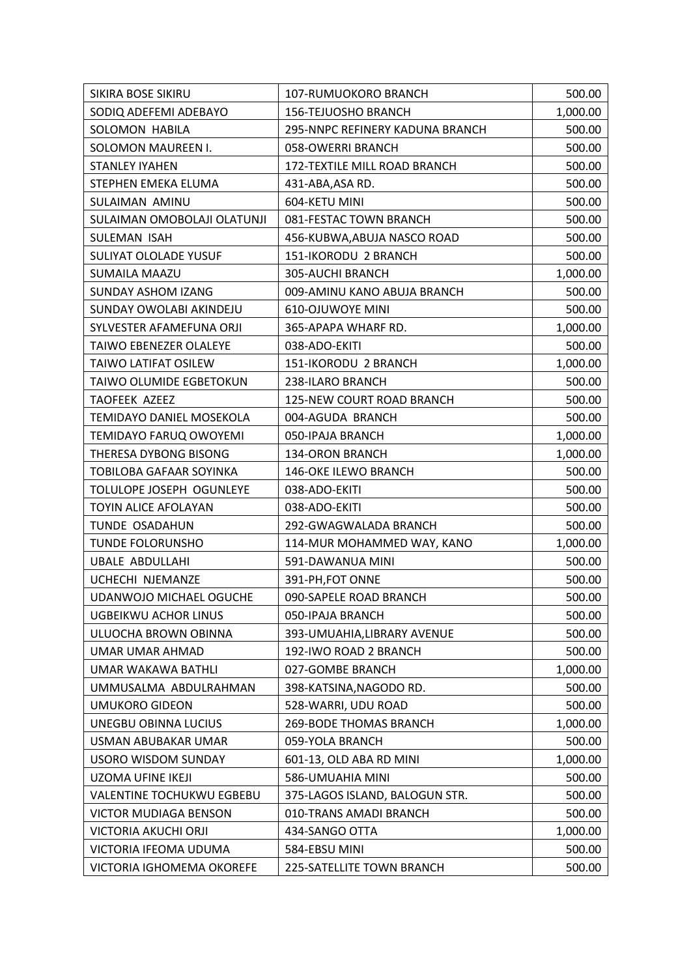| SIKIRA BOSE SIKIRU               | 107-RUMUOKORO BRANCH            | 500.00   |
|----------------------------------|---------------------------------|----------|
| SODIQ ADEFEMI ADEBAYO            | <b>156-TEJUOSHO BRANCH</b>      | 1,000.00 |
| SOLOMON HABILA                   | 295-NNPC REFINERY KADUNA BRANCH | 500.00   |
| SOLOMON MAUREEN I.               | 058-OWERRI BRANCH               | 500.00   |
| <b>STANLEY IYAHEN</b>            | 172-TEXTILE MILL ROAD BRANCH    | 500.00   |
| STEPHEN EMEKA ELUMA              | 431-ABA, ASA RD.                | 500.00   |
| SULAIMAN AMINU                   | 604-KETU MINI                   | 500.00   |
| SULAIMAN OMOBOLAJI OLATUNJI      | 081-FESTAC TOWN BRANCH          | 500.00   |
| SULEMAN ISAH                     | 456-KUBWA, ABUJA NASCO ROAD     | 500.00   |
| <b>SULIYAT OLOLADE YUSUF</b>     | 151-IKORODU 2 BRANCH            | 500.00   |
| <b>SUMAILA MAAZU</b>             | 305-AUCHI BRANCH                | 1,000.00 |
| <b>SUNDAY ASHOM IZANG</b>        | 009-AMINU KANO ABUJA BRANCH     | 500.00   |
| SUNDAY OWOLABI AKINDEJU          | 610-OJUWOYE MINI                | 500.00   |
| SYLVESTER AFAMEFUNA ORJI         | 365-APAPA WHARF RD.             | 1,000.00 |
| TAIWO EBENEZER OLALEYE           | 038-ADO-EKITI                   | 500.00   |
| <b>TAIWO LATIFAT OSILEW</b>      | 151-IKORODU 2 BRANCH            | 1,000.00 |
| TAIWO OLUMIDE EGBETOKUN          | 238-ILARO BRANCH                | 500.00   |
| <b>TAOFEEK AZEEZ</b>             | 125-NEW COURT ROAD BRANCH       | 500.00   |
| TEMIDAYO DANIEL MOSEKOLA         | 004-AGUDA BRANCH                | 500.00   |
| TEMIDAYO FARUQ OWOYEMI           | 050-IPAJA BRANCH                | 1,000.00 |
| THERESA DYBONG BISONG            | <b>134-ORON BRANCH</b>          | 1,000.00 |
| TOBILOBA GAFAAR SOYINKA          | 146-OKE ILEWO BRANCH            | 500.00   |
| TOLULOPE JOSEPH OGUNLEYE         | 038-ADO-EKITI                   | 500.00   |
| TOYIN ALICE AFOLAYAN             | 038-ADO-EKITI                   | 500.00   |
| TUNDE OSADAHUN                   | 292-GWAGWALADA BRANCH           | 500.00   |
| <b>TUNDE FOLORUNSHO</b>          | 114-MUR MOHAMMED WAY, KANO      | 1,000.00 |
| <b>UBALE ABDULLAHI</b>           | 591-DAWANUA MINI                | 500.00   |
| UCHECHI NJEMANZE                 | 391-PH, FOT ONNE                | 500.00   |
| UDANWOJO MICHAEL OGUCHE          | 090-SAPELE ROAD BRANCH          | 500.00   |
| UGBEIKWU ACHOR LINUS             | 050-IPAJA BRANCH                | 500.00   |
| ULUOCHA BROWN OBINNA             | 393-UMUAHIA, LIBRARY AVENUE     | 500.00   |
| UMAR UMAR AHMAD                  | 192-IWO ROAD 2 BRANCH           | 500.00   |
| UMAR WAKAWA BATHLI               | 027-GOMBE BRANCH                | 1,000.00 |
| UMMUSALMA ABDULRAHMAN            | 398-KATSINA, NAGODO RD.         | 500.00   |
| UMUKORO GIDEON                   | 528-WARRI, UDU ROAD             | 500.00   |
| UNEGBU OBINNA LUCIUS             | <b>269-BODE THOMAS BRANCH</b>   | 1,000.00 |
| USMAN ABUBAKAR UMAR              | 059-YOLA BRANCH                 | 500.00   |
| <b>USORO WISDOM SUNDAY</b>       | 601-13, OLD ABA RD MINI         | 1,000.00 |
| <b>UZOMA UFINE IKEJI</b>         | 586-UMUAHIA MINI                | 500.00   |
| <b>VALENTINE TOCHUKWU EGBEBU</b> | 375-LAGOS ISLAND, BALOGUN STR.  | 500.00   |
| <b>VICTOR MUDIAGA BENSON</b>     | 010-TRANS AMADI BRANCH          | 500.00   |
| VICTORIA AKUCHI ORJI             | 434-SANGO OTTA                  | 1,000.00 |
| VICTORIA IFEOMA UDUMA            | 584-EBSU MINI                   | 500.00   |
| VICTORIA IGHOMEMA OKOREFE        | 225-SATELLITE TOWN BRANCH       | 500.00   |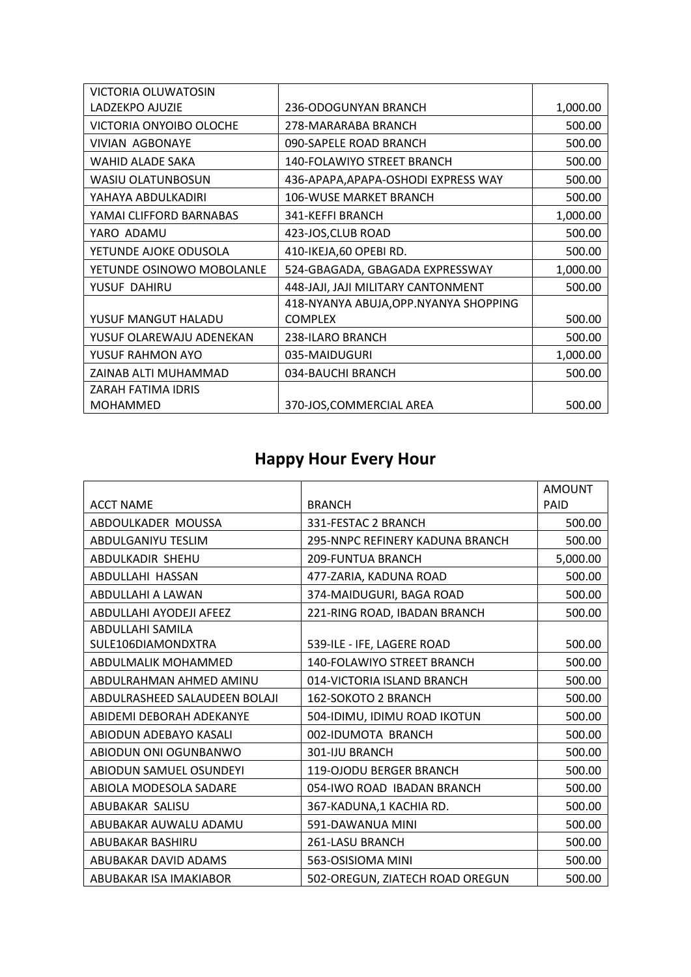| VICTORIA OLUWATOSIN       |                                       |          |
|---------------------------|---------------------------------------|----------|
| LADZEKPO AJUZIE           | 236-ODOGUNYAN BRANCH                  | 1,000.00 |
| VICTORIA ONYOIBO OLOCHE   | 278-MARARABA BRANCH                   | 500.00   |
| <b>VIVIAN AGBONAYE</b>    | 090-SAPELE ROAD BRANCH                | 500.00   |
| WAHID ALADE SAKA          | <b>140-FOLAWIYO STREET BRANCH</b>     | 500.00   |
| WASIU OLATUNBOSUN         | 436-APAPA, APAPA-OSHODI EXPRESS WAY   | 500.00   |
| YAHAYA ABDULKADIRI        | 106-WUSE MARKET BRANCH                | 500.00   |
| YAMAI CLIFFORD BARNABAS   | 341-KEFFI BRANCH                      | 1,000.00 |
| YARO ADAMU                | 423-JOS, CLUB ROAD                    | 500.00   |
| YETUNDE AJOKE ODUSOLA     | 410-IKEJA,60 OPEBI RD.                | 500.00   |
| YETUNDE OSINOWO MOBOLANLE | 524-GBAGADA, GBAGADA EXPRESSWAY       | 1,000.00 |
| YUSUF DAHIRU              | 448-JAJI, JAJI MILITARY CANTONMENT    | 500.00   |
|                           | 418-NYANYA ABUJA, OPP.NYANYA SHOPPING |          |
| YUSUF MANGUT HALADU       | <b>COMPLEX</b>                        | 500.00   |
| YUSUF OLAREWAJU ADENEKAN  | 238-ILARO BRANCH                      | 500.00   |
| YUSUF RAHMON AYO          | 035-MAIDUGURI                         | 1,000.00 |
| ZAINAB ALTI MUHAMMAD      | 034-BAUCHI BRANCH                     | 500.00   |
| ZARAH FATIMA IDRIS        |                                       |          |
| <b>MOHAMMED</b>           | 370-JOS, COMMERCIAL AREA              | 500.00   |

# **Happy Hour Every Hour**

|                               |                                        | <b>AMOUNT</b> |
|-------------------------------|----------------------------------------|---------------|
| <b>ACCT NAME</b>              | <b>BRANCH</b>                          | PAID          |
| ABDOULKADER MOUSSA            | 331-FESTAC 2 BRANCH                    | 500.00        |
| ABDULGANIYU TESLIM            | <b>295-NNPC REFINERY KADUNA BRANCH</b> | 500.00        |
| ABDULKADIR SHEHU              | <b>209-FUNTUA BRANCH</b>               | 5,000.00      |
| ABDULLAHI HASSAN              | 477-ZARIA, KADUNA ROAD                 | 500.00        |
| ABDULLAHI A LAWAN             | 374-MAIDUGURI, BAGA ROAD               | 500.00        |
| ABDULLAHI AYODEJI AFEEZ       | 221-RING ROAD, IBADAN BRANCH           | 500.00        |
| ABDULLAHI SAMILA              |                                        |               |
| SULE106DIAMONDXTRA            | 539-ILE - IFE, LAGERE ROAD             | 500.00        |
| ABDULMALIK MOHAMMED           | 140-FOLAWIYO STREET BRANCH             | 500.00        |
| ABDULRAHMAN AHMED AMINU       | 014-VICTORIA ISLAND BRANCH             | 500.00        |
| ABDULRASHEED SALAUDEEN BOLAJI | 162-SOKOTO 2 BRANCH                    | 500.00        |
| ABIDEMI DEBORAH ADEKANYE      | 504-IDIMU, IDIMU ROAD IKOTUN           | 500.00        |
| ABIODUN ADEBAYO KASALI        | 002-IDUMOTA BRANCH                     | 500.00        |
| ABIODUN ONI OGUNBANWO         | 301-IJU BRANCH                         | 500.00        |
| ABIODUN SAMUEL OSUNDEYI       | 119-OJODU BERGER BRANCH                | 500.00        |
| ABIOLA MODESOLA SADARE        | 054-IWO ROAD IBADAN BRANCH             | 500.00        |
| ABUBAKAR SALISU               | 367-KADUNA,1 KACHIA RD.                | 500.00        |
| ABUBAKAR AUWALU ADAMU         | 591-DAWANUA MINI                       | 500.00        |
| ABUBAKAR BASHIRU              | 261-LASU BRANCH                        | 500.00        |
| ABUBAKAR DAVID ADAMS          | 563-OSISIOMA MINI                      | 500.00        |
| ABUBAKAR ISA IMAKIABOR        | 502-OREGUN, ZIATECH ROAD OREGUN        | 500.00        |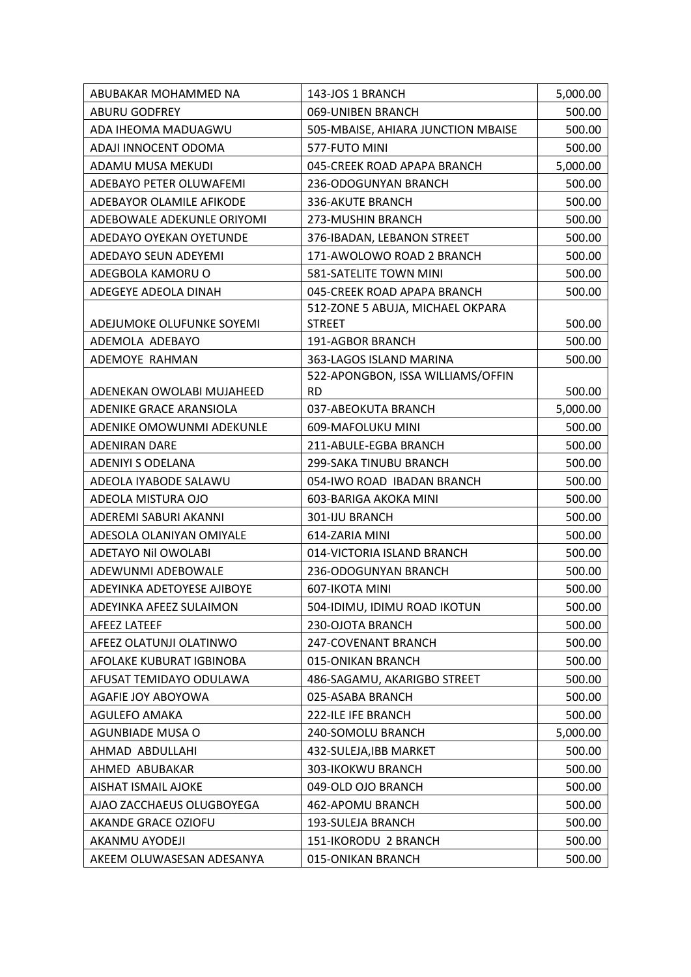| ABUBAKAR MOHAMMED NA           | 143-JOS 1 BRANCH                               | 5,000.00 |
|--------------------------------|------------------------------------------------|----------|
| <b>ABURU GODFREY</b>           | 069-UNIBEN BRANCH                              | 500.00   |
| ADA IHEOMA MADUAGWU            | 505-MBAISE, AHIARA JUNCTION MBAISE             | 500.00   |
| ADAJI INNOCENT ODOMA           | 577-FUTO MINI                                  | 500.00   |
| ADAMU MUSA MEKUDI              | 045-CREEK ROAD APAPA BRANCH                    | 5,000.00 |
| ADEBAYO PETER OLUWAFEMI        | 236-ODOGUNYAN BRANCH                           | 500.00   |
| ADEBAYOR OLAMILE AFIKODE       | 336-AKUTE BRANCH                               | 500.00   |
| ADEBOWALE ADEKUNLE ORIYOMI     | 273-MUSHIN BRANCH                              | 500.00   |
| ADEDAYO OYEKAN OYETUNDE        | 376-IBADAN, LEBANON STREET                     | 500.00   |
| ADEDAYO SEUN ADEYEMI           | 171-AWOLOWO ROAD 2 BRANCH                      | 500.00   |
| ADEGBOLA KAMORU O              | 581-SATELITE TOWN MINI                         | 500.00   |
| ADEGEYE ADEOLA DINAH           | 045-CREEK ROAD APAPA BRANCH                    | 500.00   |
|                                | 512-ZONE 5 ABUJA, MICHAEL OKPARA               |          |
| ADEJUMOKE OLUFUNKE SOYEMI      | <b>STREET</b>                                  | 500.00   |
| ADEMOLA ADEBAYO                | 191-AGBOR BRANCH                               | 500.00   |
| ADEMOYE RAHMAN                 | 363-LAGOS ISLAND MARINA                        | 500.00   |
| ADENEKAN OWOLABI MUJAHEED      | 522-APONGBON, ISSA WILLIAMS/OFFIN<br><b>RD</b> | 500.00   |
| <b>ADENIKE GRACE ARANSIOLA</b> | 037-ABEOKUTA BRANCH                            | 5,000.00 |
| ADENIKE OMOWUNMI ADEKUNLE      | 609-MAFOLUKU MINI                              | 500.00   |
| <b>ADENIRAN DARE</b>           | 211-ABULE-EGBA BRANCH                          | 500.00   |
| <b>ADENIYI S ODELANA</b>       | 299-SAKA TINUBU BRANCH                         | 500.00   |
| ADEOLA IYABODE SALAWU          | 054-IWO ROAD IBADAN BRANCH                     | 500.00   |
| ADEOLA MISTURA OJO             | 603-BARIGA AKOKA MINI                          | 500.00   |
| ADEREMI SABURI AKANNI          | 301-IJU BRANCH                                 | 500.00   |
| ADESOLA OLANIYAN OMIYALE       | 614-ZARIA MINI                                 | 500.00   |
| <b>ADETAYO Nil OWOLABI</b>     | 014-VICTORIA ISLAND BRANCH                     | 500.00   |
| ADEWUNMI ADEBOWALE             | 236-ODOGUNYAN BRANCH                           | 500.00   |
| ADEYINKA ADETOYESE AJIBOYE     | 607-IKOTA MINI                                 | 500.00   |
| ADEYINKA AFEEZ SULAIMON        | 504-IDIMU, IDIMU ROAD IKOTUN                   | 500.00   |
| <b>AFEEZ LATEEF</b>            | 230-OJOTA BRANCH                               | 500.00   |
| AFEEZ OLATUNJI OLATINWO        | 247-COVENANT BRANCH                            | 500.00   |
| AFOLAKE KUBURAT IGBINOBA       | 015-ONIKAN BRANCH                              | 500.00   |
| AFUSAT TEMIDAYO ODULAWA        | 486-SAGAMU, AKARIGBO STREET                    | 500.00   |
| AGAFIE JOY ABOYOWA             | 025-ASABA BRANCH                               | 500.00   |
| AGULEFO AMAKA                  | 222-ILE IFE BRANCH                             | 500.00   |
| <b>AGUNBIADE MUSA O</b>        | 240-SOMOLU BRANCH                              | 5,000.00 |
| AHMAD ABDULLAHI                | 432-SULEJA, IBB MARKET                         | 500.00   |
| AHMED ABUBAKAR                 | 303-IKOKWU BRANCH                              | 500.00   |
| <b>AISHAT ISMAIL AJOKE</b>     | 049-OLD OJO BRANCH                             | 500.00   |
| AJAO ZACCHAEUS OLUGBOYEGA      | 462-APOMU BRANCH                               | 500.00   |
| AKANDE GRACE OZIOFU            | 193-SULEJA BRANCH                              | 500.00   |
| AKANMU AYODEJI                 | 151-IKORODU 2 BRANCH                           | 500.00   |
| AKEEM OLUWASESAN ADESANYA      | 015-ONIKAN BRANCH                              | 500.00   |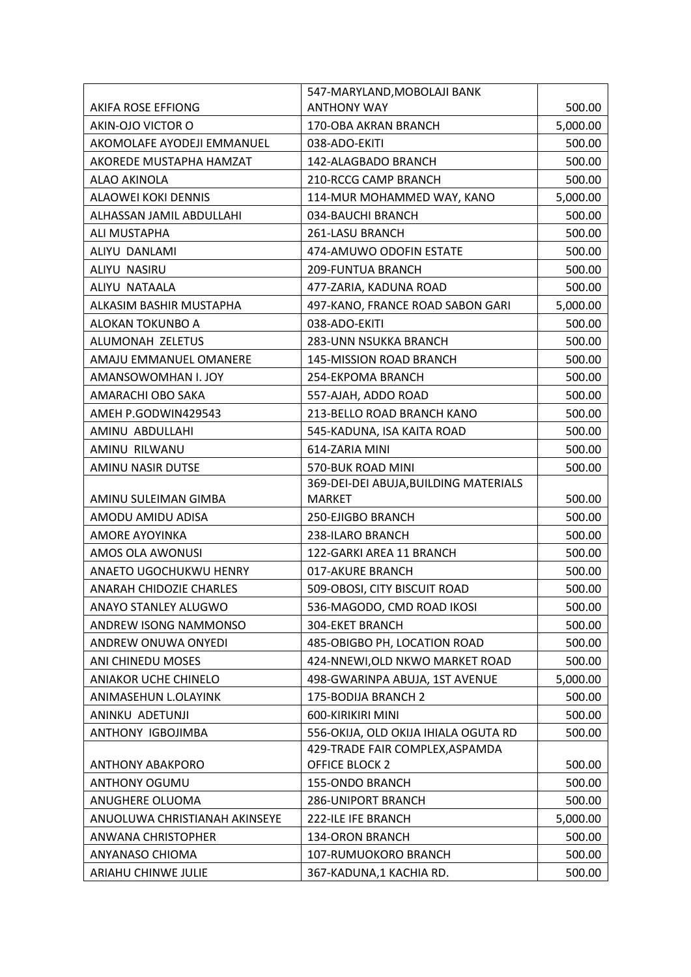|                               | 547-MARYLAND, MOBOLAJI BANK           |          |
|-------------------------------|---------------------------------------|----------|
| AKIFA ROSE EFFIONG            | <b>ANTHONY WAY</b>                    | 500.00   |
| AKIN-OJO VICTOR O             | 170-OBA AKRAN BRANCH                  | 5,000.00 |
| AKOMOLAFE AYODEJI EMMANUEL    | 038-ADO-EKITI                         | 500.00   |
| AKOREDE MUSTAPHA HAMZAT       | 142-ALAGBADO BRANCH                   | 500.00   |
| ALAO AKINOLA                  | 210-RCCG CAMP BRANCH                  | 500.00   |
| <b>ALAOWEI KOKI DENNIS</b>    | 114-MUR MOHAMMED WAY, KANO            | 5,000.00 |
| ALHASSAN JAMIL ABDULLAHI      | 034-BAUCHI BRANCH                     | 500.00   |
| ALI MUSTAPHA                  | 261-LASU BRANCH                       | 500.00   |
| ALIYU DANLAMI                 | 474-AMUWO ODOFIN ESTATE               | 500.00   |
| ALIYU NASIRU                  | 209-FUNTUA BRANCH                     | 500.00   |
| ALIYU NATAALA                 | 477-ZARIA, KADUNA ROAD                | 500.00   |
| ALKASIM BASHIR MUSTAPHA       | 497-KANO, FRANCE ROAD SABON GARI      | 5,000.00 |
| ALOKAN TOKUNBO A              | 038-ADO-EKITI                         | 500.00   |
| ALUMONAH ZELETUS              | 283-UNN NSUKKA BRANCH                 | 500.00   |
| AMAJU EMMANUEL OMANERE        | 145-MISSION ROAD BRANCH               | 500.00   |
| AMANSOWOMHAN I. JOY           | 254-EKPOMA BRANCH                     | 500.00   |
| AMARACHI OBO SAKA             | 557-AJAH, ADDO ROAD                   | 500.00   |
| AMEH P.GODWIN429543           | 213-BELLO ROAD BRANCH KANO            | 500.00   |
| AMINU ABDULLAHI               | 545-KADUNA, ISA KAITA ROAD            | 500.00   |
| AMINU RILWANU                 | 614-ZARIA MINI                        | 500.00   |
| AMINU NASIR DUTSE             | 570-BUK ROAD MINI                     | 500.00   |
|                               | 369-DEI-DEI ABUJA, BUILDING MATERIALS |          |
| AMINU SULEIMAN GIMBA          | <b>MARKET</b>                         | 500.00   |
| AMODU AMIDU ADISA             | 250-EJIGBO BRANCH                     | 500.00   |
| <b>AMORE AYOYINKA</b>         | 238-ILARO BRANCH                      | 500.00   |
| AMOS OLA AWONUSI              | 122-GARKI AREA 11 BRANCH              | 500.00   |
| ANAETO UGOCHUKWU HENRY        | 017-AKURE BRANCH                      | 500.00   |
| ANARAH CHIDOZIE CHARLES       | 509-OBOSI, CITY BISCUIT ROAD          | 500.00   |
| ANAYO STANLEY ALUGWO          | 536-MAGODO, CMD ROAD IKOSI            | 500.00   |
| ANDREW ISONG NAMMONSO         | <b>304-EKET BRANCH</b>                | 500.00   |
| ANDREW ONUWA ONYEDI           | 485-OBIGBO PH, LOCATION ROAD          | 500.00   |
| ANI CHINEDU MOSES             | 424-NNEWI, OLD NKWO MARKET ROAD       | 500.00   |
| <b>ANIAKOR UCHE CHINELO</b>   | 498-GWARINPA ABUJA, 1ST AVENUE        | 5,000.00 |
| ANIMASEHUN L.OLAYINK          | 175-BODIJA BRANCH 2                   | 500.00   |
| ANINKU ADETUNJI               | 600-KIRIKIRI MINI                     | 500.00   |
| ANTHONY IGBOJIMBA             | 556-OKIJA, OLD OKIJA IHIALA OGUTA RD  | 500.00   |
|                               | 429-TRADE FAIR COMPLEX, ASPAMDA       |          |
| <b>ANTHONY ABAKPORO</b>       | OFFICE BLOCK 2                        | 500.00   |
| <b>ANTHONY OGUMU</b>          | 155-ONDO BRANCH                       | 500.00   |
| ANUGHERE OLUOMA               | <b>286-UNIPORT BRANCH</b>             | 500.00   |
| ANUOLUWA CHRISTIANAH AKINSEYE | 222-ILE IFE BRANCH                    | 5,000.00 |
| ANWANA CHRISTOPHER            | 134-ORON BRANCH                       | 500.00   |
| ANYANASO CHIOMA               | 107-RUMUOKORO BRANCH                  | 500.00   |
| ARIAHU CHINWE JULIE           | 367-KADUNA,1 KACHIA RD.               | 500.00   |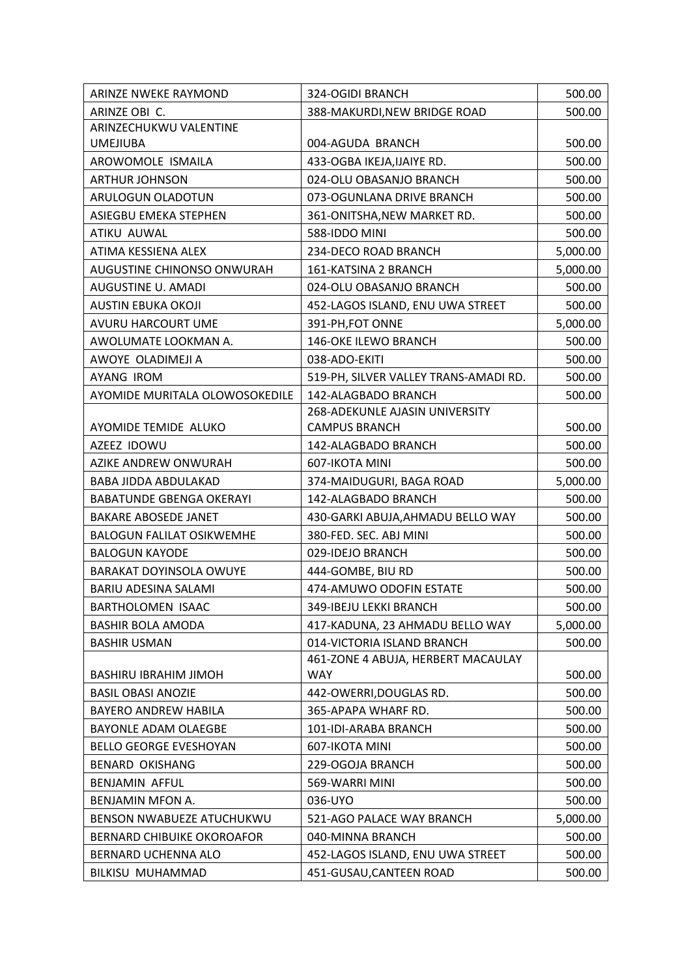| ARINZE NWEKE RAYMOND              | 324-OGIDI BRANCH                      | 500.00   |
|-----------------------------------|---------------------------------------|----------|
| ARINZE OBI C.                     | 388-MAKURDI, NEW BRIDGE ROAD          | 500.00   |
| ARINZECHUKWU VALENTINE            |                                       |          |
| <b>UMEJIUBA</b>                   | 004-AGUDA BRANCH                      | 500.00   |
| AROWOMOLE ISMAILA                 | 433-OGBA IKEJA, IJAIYE RD.            | 500.00   |
| <b>ARTHUR JOHNSON</b>             | 024-OLU OBASANJO BRANCH               | 500.00   |
| ARULOGUN OLADOTUN                 | 073-OGUNLANA DRIVE BRANCH             | 500.00   |
| ASIEGBU EMEKA STEPHEN             | 361-ONITSHA, NEW MARKET RD.           | 500.00   |
| ATIKU AUWAL                       | 588-IDDO MINI                         | 500.00   |
| ATIMA KESSIENA ALEX               | 234-DECO ROAD BRANCH                  | 5,000.00 |
| AUGUSTINE CHINONSO ONWURAH        | 161-KATSINA 2 BRANCH                  | 5,000.00 |
| AUGUSTINE U. AMADI                | 024-OLU OBASANJO BRANCH               | 500.00   |
| AUSTIN EBUKA OKOJI                | 452-LAGOS ISLAND, ENU UWA STREET      | 500.00   |
| AVURU HARCOURT UME                | 391-PH, FOT ONNE                      | 5,000.00 |
| AWOLUMATE LOOKMAN A.              | 146-OKE ILEWO BRANCH                  | 500.00   |
| AWOYE OLADIMEJI A                 | 038-ADO-EKITI                         | 500.00   |
| AYANG IROM                        | 519-PH, SILVER VALLEY TRANS-AMADI RD. | 500.00   |
| AYOMIDE MURITALA OLOWOSOKEDILE    | 142-ALAGBADO BRANCH                   | 500.00   |
|                                   | 268-ADEKUNLE AJASIN UNIVERSITY        |          |
| AYOMIDE TEMIDE ALUKO              | <b>CAMPUS BRANCH</b>                  | 500.00   |
| AZEEZ IDOWU                       | 142-ALAGBADO BRANCH                   | 500.00   |
| AZIKE ANDREW ONWURAH              | 607-IKOTA MINI                        | 500.00   |
| BABA JIDDA ABDULAKAD              | 374-MAIDUGURI, BAGA ROAD              | 5,000.00 |
| <b>BABATUNDE GBENGA OKERAYI</b>   | 142-ALAGBADO BRANCH                   | 500.00   |
| <b>BAKARE ABOSEDE JANET</b>       | 430-GARKI ABUJA, AHMADU BELLO WAY     | 500.00   |
| <b>BALOGUN FALILAT OSIKWEMHE</b>  | 380-FED. SEC. ABJ MINI                | 500.00   |
| <b>BALOGUN KAYODE</b>             | 029-IDEJO BRANCH                      | 500.00   |
| <b>BARAKAT DOYINSOLA OWUYE</b>    | 444-GOMBE, BIU RD                     | 500.00   |
| BARIU ADESINA SALAMI              | 474-AMUWO ODOFIN ESTATE               | 500.00   |
| <b>BARTHOLOMEN ISAAC</b>          | 349-IBEJU LEKKI BRANCH                | 500.00   |
| <b>BASHIR BOLA AMODA</b>          | 417-KADUNA, 23 AHMADU BELLO WAY       | 5,000.00 |
| <b>BASHIR USMAN</b>               | 014-VICTORIA ISLAND BRANCH            | 500.00   |
|                                   | 461-ZONE 4 ABUJA, HERBERT MACAULAY    |          |
| <b>BASHIRU IBRAHIM JIMOH</b>      | WAY                                   | 500.00   |
| <b>BASIL OBASI ANOZIE</b>         | 442-OWERRI, DOUGLAS RD.               | 500.00   |
| <b>BAYERO ANDREW HABILA</b>       | 365-APAPA WHARF RD.                   | 500.00   |
| BAYONLE ADAM OLAEGBE              | 101-IDI-ARABA BRANCH                  | 500.00   |
| <b>BELLO GEORGE EVESHOYAN</b>     | 607-IKOTA MINI                        | 500.00   |
| <b>BENARD OKISHANG</b>            | 229-OGOJA BRANCH                      | 500.00   |
| BENJAMIN AFFUL                    | 569-WARRI MINI                        | 500.00   |
| BENJAMIN MFON A.                  | 036-UYO                               | 500.00   |
| BENSON NWABUEZE ATUCHUKWU         | 521-AGO PALACE WAY BRANCH             | 5,000.00 |
| <b>BERNARD CHIBUIKE OKOROAFOR</b> | 040-MINNA BRANCH                      | 500.00   |
| BERNARD UCHENNA ALO               | 452-LAGOS ISLAND, ENU UWA STREET      | 500.00   |
| BILKISU MUHAMMAD                  | 451-GUSAU, CANTEEN ROAD               | 500.00   |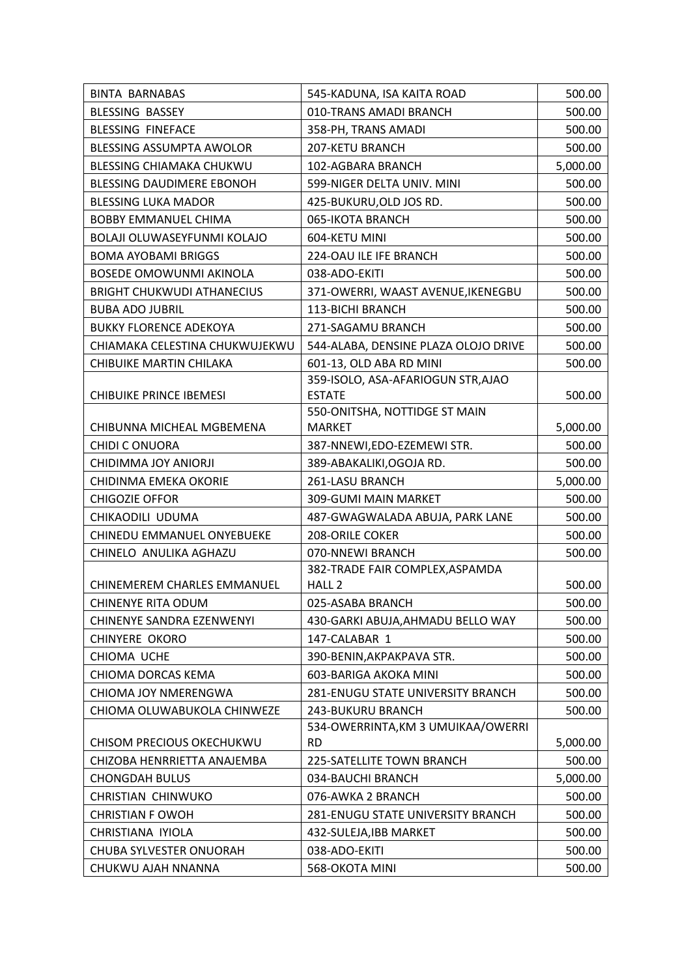| <b>BINTA BARNABAS</b>             | 545-KADUNA, ISA KAITA ROAD                          | 500.00   |
|-----------------------------------|-----------------------------------------------------|----------|
| <b>BLESSING BASSEY</b>            | 010-TRANS AMADI BRANCH                              | 500.00   |
| <b>BLESSING FINEFACE</b>          | 358-PH, TRANS AMADI                                 | 500.00   |
| BLESSING ASSUMPTA AWOLOR          | 207-KETU BRANCH                                     | 500.00   |
| <b>BLESSING CHIAMAKA CHUKWU</b>   | 102-AGBARA BRANCH                                   | 5,000.00 |
| <b>BLESSING DAUDIMERE EBONOH</b>  | 599-NIGER DELTA UNIV. MINI                          | 500.00   |
| <b>BLESSING LUKA MADOR</b>        | 425-BUKURU, OLD JOS RD.                             | 500.00   |
| <b>BOBBY EMMANUEL CHIMA</b>       | 065-IKOTA BRANCH                                    | 500.00   |
| BOLAJI OLUWASEYFUNMI KOLAJO       | 604-KETU MINI                                       | 500.00   |
| <b>BOMA AYOBAMI BRIGGS</b>        | 224-OAU ILE IFE BRANCH                              | 500.00   |
| <b>BOSEDE OMOWUNMI AKINOLA</b>    | 038-ADO-EKITI                                       | 500.00   |
| <b>BRIGHT CHUKWUDI ATHANECIUS</b> | 371-OWERRI, WAAST AVENUE, IKENEGBU                  | 500.00   |
| <b>BUBA ADO JUBRIL</b>            | 113-BICHI BRANCH                                    | 500.00   |
| <b>BUKKY FLORENCE ADEKOYA</b>     | 271-SAGAMU BRANCH                                   | 500.00   |
| CHIAMAKA CELESTINA CHUKWUJEKWU    | 544-ALABA, DENSINE PLAZA OLOJO DRIVE                | 500.00   |
| <b>CHIBUIKE MARTIN CHILAKA</b>    | 601-13, OLD ABA RD MINI                             | 500.00   |
|                                   | 359-ISOLO, ASA-AFARIOGUN STR, AJAO                  |          |
| <b>CHIBUIKE PRINCE IBEMESI</b>    | <b>ESTATE</b>                                       | 500.00   |
|                                   | 550-ONITSHA, NOTTIDGE ST MAIN                       |          |
| CHIBUNNA MICHEAL MGBEMENA         | <b>MARKET</b>                                       | 5,000.00 |
| <b>CHIDI C ONUORA</b>             | 387-NNEWI, EDO-EZEMEWI STR.                         | 500.00   |
| CHIDIMMA JOY ANIORJI              | 389-ABAKALIKI, OGOJA RD.                            | 500.00   |
| CHIDINMA EMEKA OKORIE             | 261-LASU BRANCH                                     | 5,000.00 |
| <b>CHIGOZIE OFFOR</b>             | 309-GUMI MAIN MARKET                                | 500.00   |
| CHIKAODILI UDUMA                  | 487-GWAGWALADA ABUJA, PARK LANE<br>208-ORILE COKER  | 500.00   |
| CHINEDU EMMANUEL ONYEBUEKE        |                                                     | 500.00   |
| CHINELO ANULIKA AGHAZU            | 070-NNEWI BRANCH<br>382-TRADE FAIR COMPLEX, ASPAMDA | 500.00   |
| CHINEMEREM CHARLES EMMANUEL       | HALL <sub>2</sub>                                   | 500.00   |
| CHINENYE RITA ODUM                | 025-ASABA BRANCH                                    | 500.00   |
| CHINENYE SANDRA EZENWENYI         | 430-GARKI ABUJA, AHMADU BELLO WAY                   | 500.00   |
| <b>CHINYERE OKORO</b>             | 147-CALABAR 1                                       | 500.00   |
| CHIOMA UCHE                       | 390-BENIN, AKPAKPAVA STR.                           | 500.00   |
| CHIOMA DORCAS KEMA                | 603-BARIGA AKOKA MINI                               | 500.00   |
| CHIOMA JOY NMERENGWA              | 281-ENUGU STATE UNIVERSITY BRANCH                   | 500.00   |
| CHIOMA OLUWABUKOLA CHINWEZE       | <b>243-BUKURU BRANCH</b>                            | 500.00   |
|                                   | 534-OWERRINTA, KM 3 UMUIKAA/OWERRI                  |          |
| CHISOM PRECIOUS OKECHUKWU         | <b>RD</b>                                           | 5,000.00 |
| CHIZOBA HENRRIETTA ANAJEMBA       | 225-SATELLITE TOWN BRANCH                           | 500.00   |
| <b>CHONGDAH BULUS</b>             | 034-BAUCHI BRANCH                                   | 5,000.00 |
| CHRISTIAN CHINWUKO                | 076-AWKA 2 BRANCH                                   | 500.00   |
| <b>CHRISTIAN F OWOH</b>           | <b>281-ENUGU STATE UNIVERSITY BRANCH</b>            | 500.00   |
| CHRISTIANA IYIOLA                 | 432-SULEJA, IBB MARKET                              | 500.00   |
| CHUBA SYLVESTER ONUORAH           | 038-ADO-EKITI                                       | 500.00   |
| CHUKWU AJAH NNANNA                | 568-OKOTA MINI                                      | 500.00   |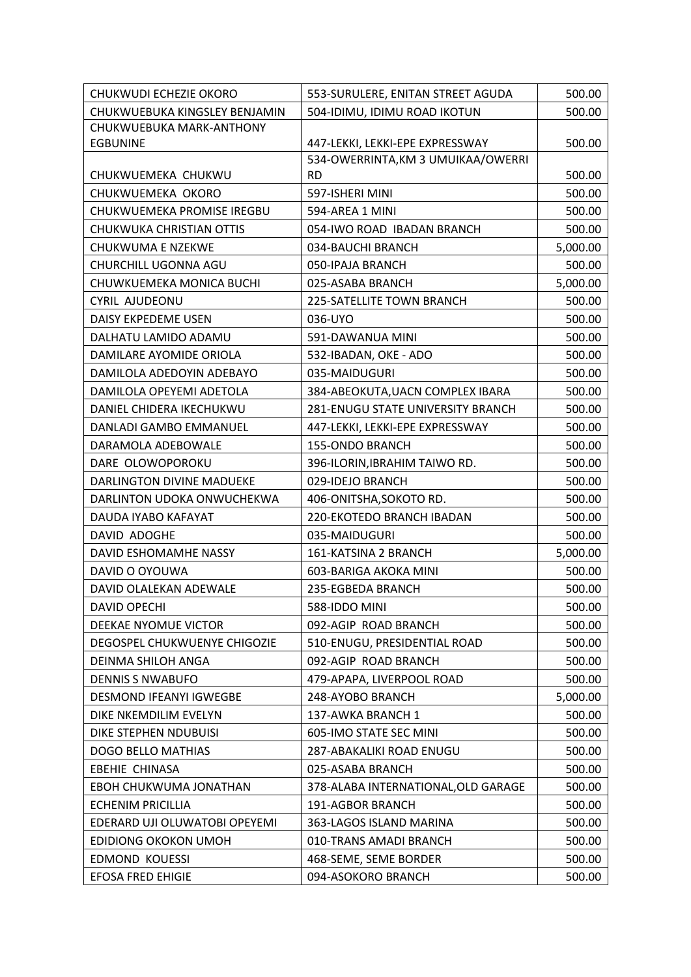| 504-IDIMU, IDIMU ROAD IKOTUN<br>CHUKWUEBUKA KINGSLEY BENJAMIN<br>500.00<br>CHUKWUEBUKA MARK-ANTHONY<br>447-LEKKI, LEKKI-EPE EXPRESSWAY<br><b>EGBUNINE</b><br>500.00<br>534-OWERRINTA, KM 3 UMUIKAA/OWERRI<br><b>RD</b><br>CHUKWUEMEKA CHUKWU<br>500.00<br>597-ISHERI MINI<br>500.00<br>CHUKWUEMEKA OKORO<br>CHUKWUEMEKA PROMISE IREGBU<br>594-AREA 1 MINI<br>500.00<br>CHUKWUKA CHRISTIAN OTTIS<br>054-IWO ROAD IBADAN BRANCH<br>500.00<br><b>CHUKWUMA E NZEKWE</b><br>034-BAUCHI BRANCH<br>5,000.00<br>500.00<br>CHURCHILL UGONNA AGU<br>050-IPAJA BRANCH<br>CHUWKUEMEKA MONICA BUCHI<br>025-ASABA BRANCH<br>5,000.00<br>500.00<br><b>CYRIL AJUDEONU</b><br>225-SATELLITE TOWN BRANCH<br>DAISY EKPEDEME USEN<br>036-UYO<br>500.00<br>DALHATU LAMIDO ADAMU<br>591-DAWANUA MINI<br>500.00<br>500.00<br>DAMILARE AYOMIDE ORIOLA<br>532-IBADAN, OKE - ADO |
|--------------------------------------------------------------------------------------------------------------------------------------------------------------------------------------------------------------------------------------------------------------------------------------------------------------------------------------------------------------------------------------------------------------------------------------------------------------------------------------------------------------------------------------------------------------------------------------------------------------------------------------------------------------------------------------------------------------------------------------------------------------------------------------------------------------------------------------------------------|
|                                                                                                                                                                                                                                                                                                                                                                                                                                                                                                                                                                                                                                                                                                                                                                                                                                                        |
|                                                                                                                                                                                                                                                                                                                                                                                                                                                                                                                                                                                                                                                                                                                                                                                                                                                        |
|                                                                                                                                                                                                                                                                                                                                                                                                                                                                                                                                                                                                                                                                                                                                                                                                                                                        |
|                                                                                                                                                                                                                                                                                                                                                                                                                                                                                                                                                                                                                                                                                                                                                                                                                                                        |
|                                                                                                                                                                                                                                                                                                                                                                                                                                                                                                                                                                                                                                                                                                                                                                                                                                                        |
|                                                                                                                                                                                                                                                                                                                                                                                                                                                                                                                                                                                                                                                                                                                                                                                                                                                        |
|                                                                                                                                                                                                                                                                                                                                                                                                                                                                                                                                                                                                                                                                                                                                                                                                                                                        |
|                                                                                                                                                                                                                                                                                                                                                                                                                                                                                                                                                                                                                                                                                                                                                                                                                                                        |
|                                                                                                                                                                                                                                                                                                                                                                                                                                                                                                                                                                                                                                                                                                                                                                                                                                                        |
|                                                                                                                                                                                                                                                                                                                                                                                                                                                                                                                                                                                                                                                                                                                                                                                                                                                        |
|                                                                                                                                                                                                                                                                                                                                                                                                                                                                                                                                                                                                                                                                                                                                                                                                                                                        |
|                                                                                                                                                                                                                                                                                                                                                                                                                                                                                                                                                                                                                                                                                                                                                                                                                                                        |
|                                                                                                                                                                                                                                                                                                                                                                                                                                                                                                                                                                                                                                                                                                                                                                                                                                                        |
|                                                                                                                                                                                                                                                                                                                                                                                                                                                                                                                                                                                                                                                                                                                                                                                                                                                        |
|                                                                                                                                                                                                                                                                                                                                                                                                                                                                                                                                                                                                                                                                                                                                                                                                                                                        |
| 035-MAIDUGURI<br>DAMILOLA ADEDOYIN ADEBAYO<br>500.00                                                                                                                                                                                                                                                                                                                                                                                                                                                                                                                                                                                                                                                                                                                                                                                                   |
| DAMILOLA OPEYEMI ADETOLA<br>384-ABEOKUTA, UACN COMPLEX IBARA<br>500.00                                                                                                                                                                                                                                                                                                                                                                                                                                                                                                                                                                                                                                                                                                                                                                                 |
| DANIEL CHIDERA IKECHUKWU<br>281-ENUGU STATE UNIVERSITY BRANCH<br>500.00                                                                                                                                                                                                                                                                                                                                                                                                                                                                                                                                                                                                                                                                                                                                                                                |
| DANLADI GAMBO EMMANUEL<br>447-LEKKI, LEKKI-EPE EXPRESSWAY<br>500.00                                                                                                                                                                                                                                                                                                                                                                                                                                                                                                                                                                                                                                                                                                                                                                                    |
| 155-ONDO BRANCH<br>DARAMOLA ADEBOWALE<br>500.00                                                                                                                                                                                                                                                                                                                                                                                                                                                                                                                                                                                                                                                                                                                                                                                                        |
| DARE OLOWOPOROKU<br>396-ILORIN, IBRAHIM TAIWO RD.<br>500.00                                                                                                                                                                                                                                                                                                                                                                                                                                                                                                                                                                                                                                                                                                                                                                                            |
| DARLINGTON DIVINE MADUEKE<br>029-IDEJO BRANCH<br>500.00                                                                                                                                                                                                                                                                                                                                                                                                                                                                                                                                                                                                                                                                                                                                                                                                |
| DARLINTON UDOKA ONWUCHEKWA<br>406-ONITSHA, SOKOTO RD.<br>500.00                                                                                                                                                                                                                                                                                                                                                                                                                                                                                                                                                                                                                                                                                                                                                                                        |
| DAUDA IYABO KAFAYAT<br>220-EKOTEDO BRANCH IBADAN<br>500.00                                                                                                                                                                                                                                                                                                                                                                                                                                                                                                                                                                                                                                                                                                                                                                                             |
| DAVID ADOGHE<br>035-MAIDUGURI<br>500.00                                                                                                                                                                                                                                                                                                                                                                                                                                                                                                                                                                                                                                                                                                                                                                                                                |
| DAVID ESHOMAMHE NASSY<br>161-KATSINA 2 BRANCH<br>5,000.00                                                                                                                                                                                                                                                                                                                                                                                                                                                                                                                                                                                                                                                                                                                                                                                              |
| DAVID O OYOUWA<br>603-BARIGA AKOKA MINI<br>500.00                                                                                                                                                                                                                                                                                                                                                                                                                                                                                                                                                                                                                                                                                                                                                                                                      |
| DAVID OLALEKAN ADEWALE<br>235-EGBEDA BRANCH<br>500.00                                                                                                                                                                                                                                                                                                                                                                                                                                                                                                                                                                                                                                                                                                                                                                                                  |
| 500.00<br>588-IDDO MINI<br><b>DAVID OPECHI</b>                                                                                                                                                                                                                                                                                                                                                                                                                                                                                                                                                                                                                                                                                                                                                                                                         |
| 092-AGIP ROAD BRANCH<br>DEEKAE NYOMUE VICTOR<br>500.00                                                                                                                                                                                                                                                                                                                                                                                                                                                                                                                                                                                                                                                                                                                                                                                                 |
| 510-ENUGU, PRESIDENTIAL ROAD<br>DEGOSPEL CHUKWUENYE CHIGOZIE<br>500.00                                                                                                                                                                                                                                                                                                                                                                                                                                                                                                                                                                                                                                                                                                                                                                                 |
| 092-AGIP ROAD BRANCH<br>DEINMA SHILOH ANGA<br>500.00                                                                                                                                                                                                                                                                                                                                                                                                                                                                                                                                                                                                                                                                                                                                                                                                   |
| <b>DENNIS S NWABUFO</b><br>479-APAPA, LIVERPOOL ROAD<br>500.00                                                                                                                                                                                                                                                                                                                                                                                                                                                                                                                                                                                                                                                                                                                                                                                         |
| <b>DESMOND IFEANYI IGWEGBE</b><br>248-AYOBO BRANCH<br>5,000.00                                                                                                                                                                                                                                                                                                                                                                                                                                                                                                                                                                                                                                                                                                                                                                                         |
| 500.00<br>DIKE NKEMDILIM EVELYN<br>137-AWKA BRANCH 1                                                                                                                                                                                                                                                                                                                                                                                                                                                                                                                                                                                                                                                                                                                                                                                                   |
| DIKE STEPHEN NDUBUISI<br>605-IMO STATE SEC MINI<br>500.00                                                                                                                                                                                                                                                                                                                                                                                                                                                                                                                                                                                                                                                                                                                                                                                              |
| <b>DOGO BELLO MATHIAS</b><br>287-ABAKALIKI ROAD ENUGU<br>500.00                                                                                                                                                                                                                                                                                                                                                                                                                                                                                                                                                                                                                                                                                                                                                                                        |
| <b>EBEHIE CHINASA</b><br>025-ASABA BRANCH<br>500.00                                                                                                                                                                                                                                                                                                                                                                                                                                                                                                                                                                                                                                                                                                                                                                                                    |
| EBOH CHUKWUMA JONATHAN<br>378-ALABA INTERNATIONAL, OLD GARAGE<br>500.00                                                                                                                                                                                                                                                                                                                                                                                                                                                                                                                                                                                                                                                                                                                                                                                |
| <b>ECHENIM PRICILLIA</b><br>191-AGBOR BRANCH<br>500.00                                                                                                                                                                                                                                                                                                                                                                                                                                                                                                                                                                                                                                                                                                                                                                                                 |
| EDERARD UJI OLUWATOBI OPEYEMI<br>500.00<br>363-LAGOS ISLAND MARINA                                                                                                                                                                                                                                                                                                                                                                                                                                                                                                                                                                                                                                                                                                                                                                                     |
| 010-TRANS AMADI BRANCH<br>EDIDIONG OKOKON UMOH<br>500.00                                                                                                                                                                                                                                                                                                                                                                                                                                                                                                                                                                                                                                                                                                                                                                                               |
| <b>EDMOND KOUESSI</b><br>468-SEME, SEME BORDER<br>500.00                                                                                                                                                                                                                                                                                                                                                                                                                                                                                                                                                                                                                                                                                                                                                                                               |
| <b>EFOSA FRED EHIGIE</b><br>094-ASOKORO BRANCH<br>500.00                                                                                                                                                                                                                                                                                                                                                                                                                                                                                                                                                                                                                                                                                                                                                                                               |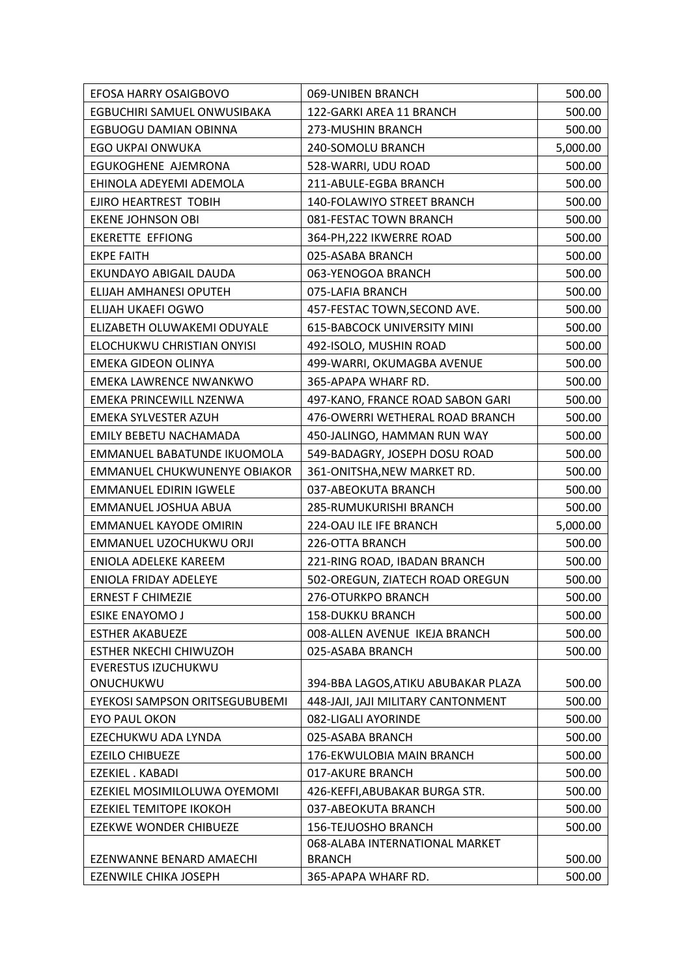| EFOSA HARRY OSAIGBOVO          | 069-UNIBEN BRANCH                   | 500.00   |
|--------------------------------|-------------------------------------|----------|
| EGBUCHIRI SAMUEL ONWUSIBAKA    | 122-GARKI AREA 11 BRANCH            | 500.00   |
| EGBUOGU DAMIAN OBINNA          | 273-MUSHIN BRANCH                   | 500.00   |
| <b>EGO UKPAI ONWUKA</b>        | 240-SOMOLU BRANCH                   | 5,000.00 |
| EGUKOGHENE AJEMRONA            | 528-WARRI, UDU ROAD                 | 500.00   |
| EHINOLA ADEYEMI ADEMOLA        | 211-ABULE-EGBA BRANCH               | 500.00   |
| EJIRO HEARTREST TOBIH          | 140-FOLAWIYO STREET BRANCH          | 500.00   |
| <b>EKENE JOHNSON OBI</b>       | 081-FESTAC TOWN BRANCH              | 500.00   |
| <b>EKERETTE EFFIONG</b>        | 364-PH, 222 IKWERRE ROAD            | 500.00   |
| <b>EKPE FAITH</b>              | 025-ASABA BRANCH                    | 500.00   |
| EKUNDAYO ABIGAIL DAUDA         | 063-YENOGOA BRANCH                  | 500.00   |
| ELIJAH AMHANESI OPUTEH         | 075-LAFIA BRANCH                    | 500.00   |
| ELIJAH UKAEFI OGWO             | 457-FESTAC TOWN, SECOND AVE.        | 500.00   |
| ELIZABETH OLUWAKEMI ODUYALE    | <b>615-BABCOCK UNIVERSITY MINI</b>  | 500.00   |
| ELOCHUKWU CHRISTIAN ONYISI     | 492-ISOLO, MUSHIN ROAD              | 500.00   |
| <b>EMEKA GIDEON OLINYA</b>     | 499-WARRI, OKUMAGBA AVENUE          | 500.00   |
| <b>EMEKA LAWRENCE NWANKWO</b>  | 365-APAPA WHARF RD.                 | 500.00   |
| EMEKA PRINCEWILL NZENWA        | 497-KANO, FRANCE ROAD SABON GARI    | 500.00   |
| EMEKA SYLVESTER AZUH           | 476-OWERRI WETHERAL ROAD BRANCH     | 500.00   |
| EMILY BEBETU NACHAMADA         | 450-JALINGO, HAMMAN RUN WAY         | 500.00   |
| EMMANUEL BABATUNDE IKUOMOLA    | 549-BADAGRY, JOSEPH DOSU ROAD       | 500.00   |
| EMMANUEL CHUKWUNENYE OBIAKOR   | 361-ONITSHA, NEW MARKET RD.         | 500.00   |
| <b>EMMANUEL EDIRIN IGWELE</b>  | 037-ABEOKUTA BRANCH                 | 500.00   |
| EMMANUEL JOSHUA ABUA           | 285-RUMUKURISHI BRANCH              | 500.00   |
| <b>EMMANUEL KAYODE OMIRIN</b>  | 224-OAU ILE IFE BRANCH              | 5,000.00 |
| EMMANUEL UZOCHUKWU ORJI        | 226-OTTA BRANCH                     | 500.00   |
| <b>ENIOLA ADELEKE KAREEM</b>   | 221-RING ROAD, IBADAN BRANCH        | 500.00   |
| ENIOLA FRIDAY ADELEYE          | 502-OREGUN, ZIATECH ROAD OREGUN     | 500.00   |
| <b>ERNEST F CHIMEZIE</b>       | 276-OTURKPO BRANCH                  | 500.00   |
| ESIKE ENAYOMO J                | <b>158-DUKKU BRANCH</b>             | 500.00   |
| <b>ESTHER AKABUEZE</b>         | 008-ALLEN AVENUE IKEJA BRANCH       | 500.00   |
| <b>ESTHER NKECHI CHIWUZOH</b>  | 025-ASABA BRANCH                    | 500.00   |
| EVERESTUS IZUCHUKWU            |                                     |          |
| ONUCHUKWU                      | 394-BBA LAGOS, ATIKU ABUBAKAR PLAZA | 500.00   |
| EYEKOSI SAMPSON ORITSEGUBUBEMI | 448-JAJI, JAJI MILITARY CANTONMENT  | 500.00   |
| <b>EYO PAUL OKON</b>           | 082-LIGALI AYORINDE                 | 500.00   |
| EZECHUKWU ADA LYNDA            | 025-ASABA BRANCH                    | 500.00   |
| <b>EZEILO CHIBUEZE</b>         | 176-EKWULOBIA MAIN BRANCH           | 500.00   |
| EZEKIEL . KABADI               | 017-AKURE BRANCH                    | 500.00   |
| EZEKIEL MOSIMILOLUWA OYEMOMI   | 426-KEFFI, ABUBAKAR BURGA STR.      | 500.00   |
| <b>EZEKIEL TEMITOPE IKOKOH</b> | 037-ABEOKUTA BRANCH                 | 500.00   |
| EZEKWE WONDER CHIBUEZE         | 156-TEJUOSHO BRANCH                 | 500.00   |
| EZENWANNE BENARD AMAECHI       | 068-ALABA INTERNATIONAL MARKET      |          |
|                                | <b>BRANCH</b>                       | 500.00   |
| EZENWILE CHIKA JOSEPH          | 365-APAPA WHARF RD.                 | 500.00   |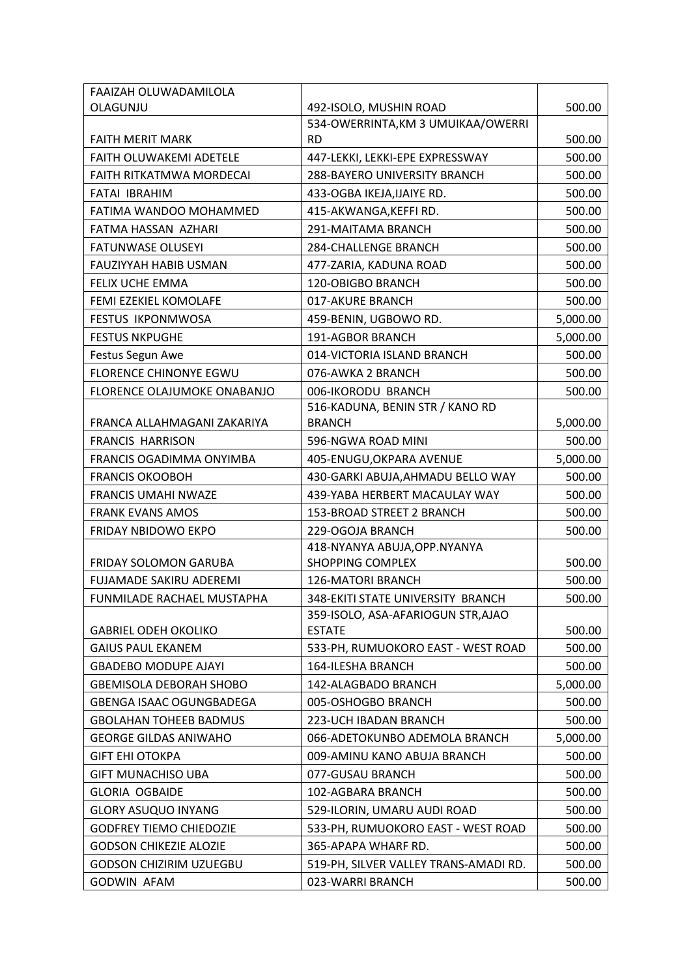| FAAIZAH OLUWADAMILOLA           |                                       |          |
|---------------------------------|---------------------------------------|----------|
| OLAGUNJU                        | 492-ISOLO, MUSHIN ROAD                | 500.00   |
|                                 | 534-OWERRINTA, KM 3 UMUIKAA/OWERRI    |          |
| <b>FAITH MERIT MARK</b>         | <b>RD</b>                             | 500.00   |
| <b>FAITH OLUWAKEMI ADETELE</b>  | 447-LEKKI, LEKKI-EPE EXPRESSWAY       | 500.00   |
| FAITH RITKATMWA MORDECAI        | 288-BAYERO UNIVERSITY BRANCH          | 500.00   |
| FATAI IBRAHIM                   | 433-OGBA IKEJA, IJAIYE RD.            | 500.00   |
| FATIMA WANDOO MOHAMMED          | 415-AKWANGA, KEFFIRD.                 | 500.00   |
| FATMA HASSAN AZHARI             | 291-MAITAMA BRANCH                    | 500.00   |
| <b>FATUNWASE OLUSEYI</b>        | <b>284-CHALLENGE BRANCH</b>           | 500.00   |
| FAUZIYYAH HABIB USMAN           | 477-ZARIA, KADUNA ROAD                | 500.00   |
| FELIX UCHE EMMA                 | 120-OBIGBO BRANCH                     | 500.00   |
| FEMI EZEKIEL KOMOLAFE           | 017-AKURE BRANCH                      | 500.00   |
| <b>FESTUS IKPONMWOSA</b>        | 459-BENIN, UGBOWO RD.                 | 5,000.00 |
| <b>FESTUS NKPUGHE</b>           | 191-AGBOR BRANCH                      | 5,000.00 |
| Festus Segun Awe                | 014-VICTORIA ISLAND BRANCH            | 500.00   |
| <b>FLORENCE CHINONYE EGWU</b>   | 076-AWKA 2 BRANCH                     | 500.00   |
| FLORENCE OLAJUMOKE ONABANJO     | 006-IKORODU BRANCH                    | 500.00   |
|                                 | 516-KADUNA, BENIN STR / KANO RD       |          |
| FRANCA ALLAHMAGANI ZAKARIYA     | <b>BRANCH</b>                         | 5,000.00 |
| <b>FRANCIS HARRISON</b>         | 596-NGWA ROAD MINI                    | 500.00   |
| FRANCIS OGADIMMA ONYIMBA        | 405-ENUGU, OKPARA AVENUE              | 5,000.00 |
| <b>FRANCIS OKOOBOH</b>          | 430-GARKI ABUJA, AHMADU BELLO WAY     | 500.00   |
| <b>FRANCIS UMAHI NWAZE</b>      | 439-YABA HERBERT MACAULAY WAY         | 500.00   |
| <b>FRANK EVANS AMOS</b>         | 153-BROAD STREET 2 BRANCH             | 500.00   |
| FRIDAY NBIDOWO EKPO             | 229-OGOJA BRANCH                      | 500.00   |
|                                 | 418-NYANYA ABUJA, OPP. NYANYA         |          |
| <b>FRIDAY SOLOMON GARUBA</b>    | <b>SHOPPING COMPLEX</b>               | 500.00   |
| <b>FUJAMADE SAKIRU ADEREMI</b>  | 126-MATORI BRANCH                     | 500.00   |
| FUNMILADE RACHAEL MUSTAPHA      | 348-EKITI STATE UNIVERSITY BRANCH     | 500.00   |
|                                 | 359-ISOLO, ASA-AFARIOGUN STR, AJAO    |          |
| <b>GABRIEL ODEH OKOLIKO</b>     | <b>ESTATE</b>                         | 500.00   |
| <b>GAIUS PAUL EKANEM</b>        | 533-PH, RUMUOKORO EAST - WEST ROAD    | 500.00   |
| <b>GBADEBO MODUPE AJAYI</b>     | <b>164-ILESHA BRANCH</b>              | 500.00   |
| GBEMISOLA DEBORAH SHOBO         | 142-ALAGBADO BRANCH                   | 5,000.00 |
| <b>GBENGA ISAAC OGUNGBADEGA</b> | 005-OSHOGBO BRANCH                    | 500.00   |
| <b>GBOLAHAN TOHEEB BADMUS</b>   | 223-UCH IBADAN BRANCH                 | 500.00   |
| <b>GEORGE GILDAS ANIWAHO</b>    | 066-ADETOKUNBO ADEMOLA BRANCH         | 5,000.00 |
| <b>GIFT EHI OTOKPA</b>          | 009-AMINU KANO ABUJA BRANCH           | 500.00   |
| <b>GIFT MUNACHISO UBA</b>       | 077-GUSAU BRANCH                      | 500.00   |
| <b>GLORIA OGBAIDE</b>           | 102-AGBARA BRANCH                     | 500.00   |
| <b>GLORY ASUQUO INYANG</b>      | 529-ILORIN, UMARU AUDI ROAD           | 500.00   |
| <b>GODFREY TIEMO CHIEDOZIE</b>  | 533-PH, RUMUOKORO EAST - WEST ROAD    | 500.00   |
| <b>GODSON CHIKEZIE ALOZIE</b>   | 365-APAPA WHARF RD.                   | 500.00   |
| GODSON CHIZIRIM UZUEGBU         | 519-PH, SILVER VALLEY TRANS-AMADI RD. | 500.00   |
| <b>GODWIN AFAM</b>              | 023-WARRI BRANCH                      | 500.00   |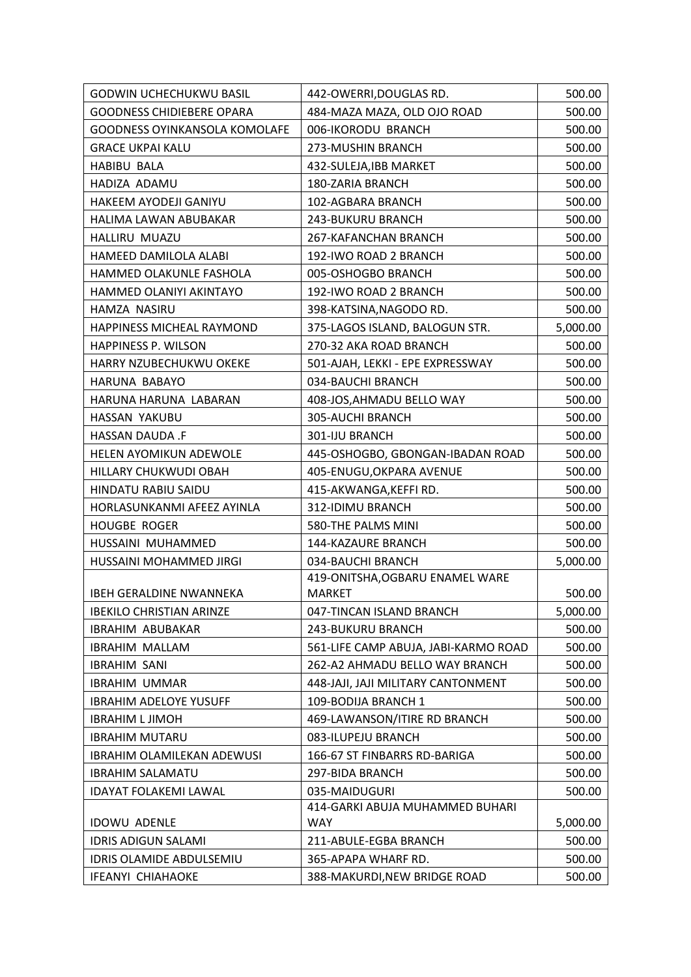| <b>GODWIN UCHECHUKWU BASIL</b>    | 442-OWERRI, DOUGLAS RD.                | 500.00   |
|-----------------------------------|----------------------------------------|----------|
| <b>GOODNESS CHIDIEBERE OPARA</b>  | 484-MAZA MAZA, OLD OJO ROAD            | 500.00   |
| GOODNESS OYINKANSOLA KOMOLAFE     | 006-IKORODU BRANCH                     | 500.00   |
| <b>GRACE UKPAI KALU</b>           | 273-MUSHIN BRANCH                      | 500.00   |
| <b>HABIBU BALA</b>                | 432-SULEJA, IBB MARKET                 | 500.00   |
| HADIZA ADAMU                      | 180-ZARIA BRANCH                       | 500.00   |
| HAKEEM AYODEJI GANIYU             | 102-AGBARA BRANCH                      | 500.00   |
| HALIMA LAWAN ABUBAKAR             | 243-BUKURU BRANCH                      | 500.00   |
| HALLIRU MUAZU                     | 267-KAFANCHAN BRANCH                   | 500.00   |
| HAMEED DAMILOLA ALABI             | 192-IWO ROAD 2 BRANCH                  | 500.00   |
| HAMMED OLAKUNLE FASHOLA           | 005-OSHOGBO BRANCH                     | 500.00   |
| HAMMED OLANIYI AKINTAYO           | 192-IWO ROAD 2 BRANCH                  | 500.00   |
| HAMZA NASIRU                      | 398-KATSINA, NAGODO RD.                | 500.00   |
| HAPPINESS MICHEAL RAYMOND         | 375-LAGOS ISLAND, BALOGUN STR.         | 5,000.00 |
| HAPPINESS P. WILSON               | 270-32 AKA ROAD BRANCH                 | 500.00   |
| HARRY NZUBECHUKWU OKEKE           | 501-AJAH, LEKKI - EPE EXPRESSWAY       | 500.00   |
| HARUNA BABAYO                     | 034-BAUCHI BRANCH                      | 500.00   |
| HARUNA HARUNA LABARAN             | 408-JOS, AHMADU BELLO WAY              | 500.00   |
| HASSAN YAKUBU                     | 305-AUCHI BRANCH                       | 500.00   |
| HASSAN DAUDA .F                   | 301-IJU BRANCH                         | 500.00   |
| <b>HELEN AYOMIKUN ADEWOLE</b>     | 445-OSHOGBO, GBONGAN-IBADAN ROAD       | 500.00   |
| HILLARY CHUKWUDI OBAH             | 405-ENUGU, OKPARA AVENUE               | 500.00   |
| HINDATU RABIU SAIDU               | 415-AKWANGA, KEFFIRD.                  | 500.00   |
| HORLASUNKANMI AFEEZ AYINLA        | 312-IDIMU BRANCH                       | 500.00   |
| <b>HOUGBE ROGER</b>               | 580-THE PALMS MINI                     | 500.00   |
| HUSSAINI MUHAMMED                 | 144-KAZAURE BRANCH                     | 500.00   |
| HUSSAINI MOHAMMED JIRGI           | 034-BAUCHI BRANCH                      | 5,000.00 |
|                                   | 419-ONITSHA, OGBARU ENAMEL WARE        |          |
| <b>IBEH GERALDINE NWANNEKA</b>    | <b>MARKET</b>                          | 500.00   |
| <b>IBEKILO CHRISTIAN ARINZE</b>   | 047-TINCAN ISLAND BRANCH               | 5,000.00 |
| <b>IBRAHIM ABUBAKAR</b>           | 243-BUKURU BRANCH                      | 500.00   |
| <b>IBRAHIM MALLAM</b>             | 561-LIFE CAMP ABUJA, JABI-KARMO ROAD   | 500.00   |
| <b>IBRAHIM SANI</b>               | 262-A2 AHMADU BELLO WAY BRANCH         | 500.00   |
| <b>IBRAHIM UMMAR</b>              | 448-JAJI, JAJI MILITARY CANTONMENT     | 500.00   |
| <b>IBRAHIM ADELOYE YUSUFF</b>     | 109-BODIJA BRANCH 1                    | 500.00   |
| <b>IBRAHIM L JIMOH</b>            | 469-LAWANSON/ITIRE RD BRANCH           | 500.00   |
| <b>IBRAHIM MUTARU</b>             | 083-ILUPEJU BRANCH                     | 500.00   |
| <b>IBRAHIM OLAMILEKAN ADEWUSI</b> | 166-67 ST FINBARRS RD-BARIGA           | 500.00   |
| <b>IBRAHIM SALAMATU</b>           | 297-BIDA BRANCH                        | 500.00   |
| <b>IDAYAT FOLAKEMI LAWAL</b>      | 035-MAIDUGURI                          | 500.00   |
| <b>IDOWU ADENLE</b>               | 414-GARKI ABUJA MUHAMMED BUHARI<br>WAY | 5,000.00 |
| <b>IDRIS ADIGUN SALAMI</b>        | 211-ABULE-EGBA BRANCH                  | 500.00   |
| IDRIS OLAMIDE ABDULSEMIU          | 365-APAPA WHARF RD.                    | 500.00   |
| <b>IFEANYI CHIAHAOKE</b>          | 388-MAKURDI, NEW BRIDGE ROAD           | 500.00   |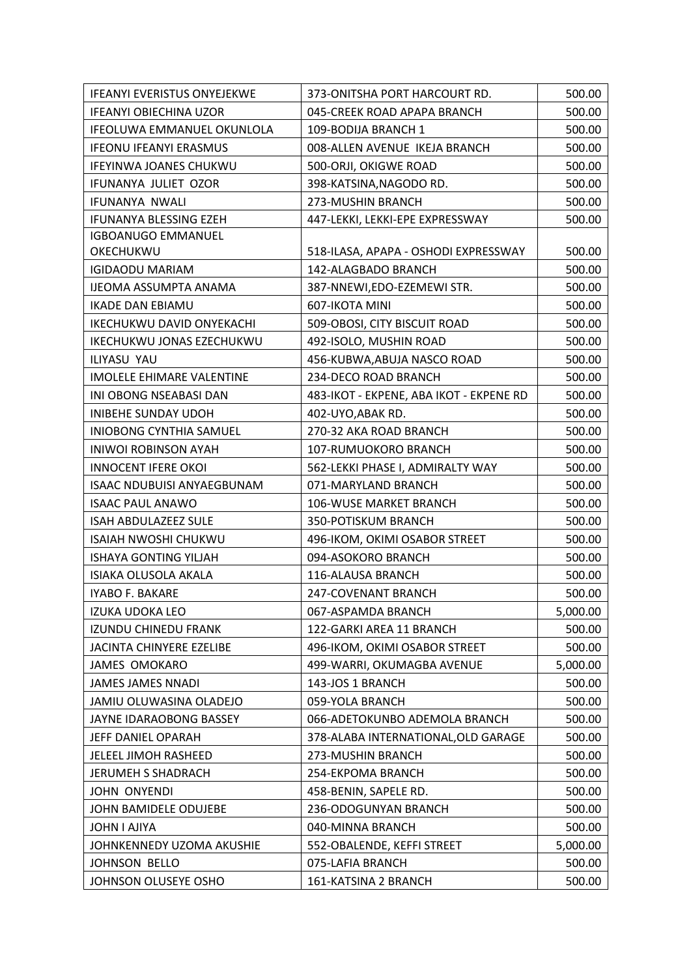| <b>IFEANYI EVERISTUS ONYEJEKWE</b> | 373-ONITSHA PORT HARCOURT RD.           | 500.00   |
|------------------------------------|-----------------------------------------|----------|
| <b>IFEANYI OBIECHINA UZOR</b>      | 045-CREEK ROAD APAPA BRANCH             | 500.00   |
| IFEOLUWA EMMANUEL OKUNLOLA         | 109-BODIJA BRANCH 1                     | 500.00   |
| <b>IFEONU IFEANYI ERASMUS</b>      | 008-ALLEN AVENUE IKEJA BRANCH           | 500.00   |
| <b>IFEYINWA JOANES CHUKWU</b>      | 500-ORJI, OKIGWE ROAD                   | 500.00   |
| IFUNANYA JULIET OZOR               | 398-KATSINA, NAGODO RD.                 | 500.00   |
| IFUNANYA NWALI                     | 273-MUSHIN BRANCH                       | 500.00   |
| IFUNANYA BLESSING EZEH             | 447-LEKKI, LEKKI-EPE EXPRESSWAY         | 500.00   |
| <b>IGBOANUGO EMMANUEL</b>          |                                         |          |
| OKECHUKWU                          | 518-ILASA, APAPA - OSHODI EXPRESSWAY    | 500.00   |
| <b>IGIDAODU MARIAM</b>             | 142-ALAGBADO BRANCH                     | 500.00   |
| IJEOMA ASSUMPTA ANAMA              | 387-NNEWI, EDO-EZEMEWI STR.             | 500.00   |
| <b>IKADE DAN EBIAMU</b>            | 607-IKOTA MINI                          | 500.00   |
| IKECHUKWU DAVID ONYEKACHI          | 509-OBOSI, CITY BISCUIT ROAD            | 500.00   |
| IKECHUKWU JONAS EZECHUKWU          | 492-ISOLO, MUSHIN ROAD                  | 500.00   |
| ILIYASU YAU                        | 456-KUBWA, ABUJA NASCO ROAD             | 500.00   |
| <b>IMOLELE EHIMARE VALENTINE</b>   | 234-DECO ROAD BRANCH                    | 500.00   |
| INI OBONG NSEABASI DAN             | 483-IKOT - EKPENE, ABA IKOT - EKPENE RD | 500.00   |
| INIBEHE SUNDAY UDOH                | 402-UYO, ABAK RD.                       | 500.00   |
| INIOBONG CYNTHIA SAMUEL            | 270-32 AKA ROAD BRANCH                  | 500.00   |
| <b>INIWOI ROBINSON AYAH</b>        | 107-RUMUOKORO BRANCH                    | 500.00   |
| <b>INNOCENT IFERE OKOI</b>         | 562-LEKKI PHASE I, ADMIRALTY WAY        | 500.00   |
| ISAAC NDUBUISI ANYAEGBUNAM         | 071-MARYLAND BRANCH                     | 500.00   |
| <b>ISAAC PAUL ANAWO</b>            | 106-WUSE MARKET BRANCH                  | 500.00   |
| <b>ISAH ABDULAZEEZ SULE</b>        | 350-POTISKUM BRANCH                     | 500.00   |
| <b>ISAIAH NWOSHI CHUKWU</b>        | 496-IKOM, OKIMI OSABOR STREET           | 500.00   |
| <b>ISHAYA GONTING YILJAH</b>       | 094-ASOKORO BRANCH                      | 500.00   |
| ISIAKA OLUSOLA AKALA               | 116-ALAUSA BRANCH                       | 500.00   |
| <b>IYABO F. BAKARE</b>             | 247-COVENANT BRANCH                     | 500.00   |
| <b>IZUKA UDOKA LEO</b>             | 067-ASPAMDA BRANCH                      | 5,000.00 |
| <b>IZUNDU CHINEDU FRANK</b>        | 122-GARKI AREA 11 BRANCH                | 500.00   |
| <b>JACINTA CHINYERE EZELIBE</b>    | 496-IKOM, OKIMI OSABOR STREET           | 500.00   |
| <b>JAMES OMOKARO</b>               | 499-WARRI, OKUMAGBA AVENUE              | 5,000.00 |
| <b>JAMES JAMES NNADI</b>           | 143-JOS 1 BRANCH                        | 500.00   |
| JAMIU OLUWASINA OLADEJO            | 059-YOLA BRANCH                         | 500.00   |
| JAYNE IDARAOBONG BASSEY            | 066-ADETOKUNBO ADEMOLA BRANCH           | 500.00   |
| JEFF DANIEL OPARAH                 | 378-ALABA INTERNATIONAL, OLD GARAGE     | 500.00   |
| JELEEL JIMOH RASHEED               | 273-MUSHIN BRANCH                       | 500.00   |
| <b>JERUMEH S SHADRACH</b>          | 254-EKPOMA BRANCH                       | 500.00   |
| <b>JOHN ONYENDI</b>                | 458-BENIN, SAPELE RD.                   | 500.00   |
| JOHN BAMIDELE ODUJEBE              | 236-ODOGUNYAN BRANCH                    | 500.00   |
| JOHN I AJIYA                       | 040-MINNA BRANCH                        | 500.00   |
| JOHNKENNEDY UZOMA AKUSHIE          | 552-OBALENDE, KEFFI STREET              | 5,000.00 |
| <b>JOHNSON BELLO</b>               | 075-LAFIA BRANCH                        | 500.00   |
| JOHNSON OLUSEYE OSHO               | 161-KATSINA 2 BRANCH                    | 500.00   |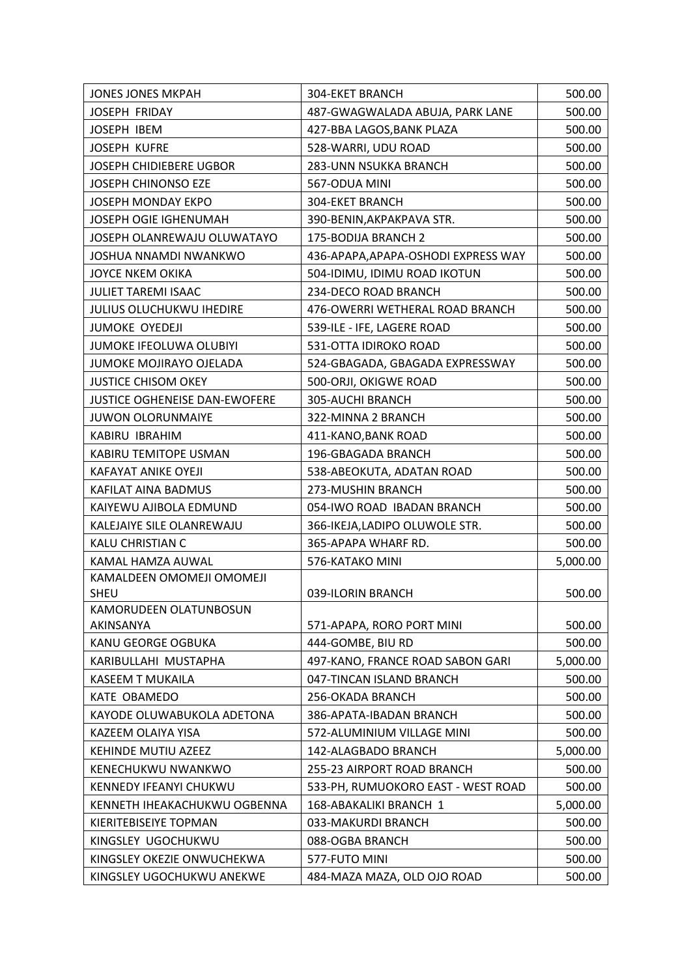| <b>JONES JONES MKPAH</b>                         | <b>304-EKET BRANCH</b>                         | 500.00           |
|--------------------------------------------------|------------------------------------------------|------------------|
| <b>JOSEPH FRIDAY</b>                             | 487-GWAGWALADA ABUJA, PARK LANE                | 500.00           |
| JOSEPH IBEM                                      | 427-BBA LAGOS, BANK PLAZA                      | 500.00           |
| <b>JOSEPH KUFRE</b>                              | 528-WARRI, UDU ROAD                            | 500.00           |
| <b>JOSEPH CHIDIEBERE UGBOR</b>                   | 283-UNN NSUKKA BRANCH                          | 500.00           |
| <b>JOSEPH CHINONSO EZE</b>                       | 567-ODUA MINI                                  | 500.00           |
| <b>JOSEPH MONDAY EKPO</b>                        | <b>304-EKET BRANCH</b>                         | 500.00           |
| JOSEPH OGIE IGHENUMAH                            | 390-BENIN, AKPAKPAVA STR.                      | 500.00           |
| JOSEPH OLANREWAJU OLUWATAYO                      | 175-BODIJA BRANCH 2                            | 500.00           |
| JOSHUA NNAMDI NWANKWO                            | 436-APAPA, APAPA-OSHODI EXPRESS WAY            | 500.00           |
| <b>JOYCE NKEM OKIKA</b>                          | 504-IDIMU, IDIMU ROAD IKOTUN                   | 500.00           |
| <b>JULIET TAREMI ISAAC</b>                       | 234-DECO ROAD BRANCH                           | 500.00           |
| <b>JULIUS OLUCHUKWU IHEDIRE</b>                  | 476-OWERRI WETHERAL ROAD BRANCH                | 500.00           |
| <b>JUMOKE OYEDEJI</b>                            | 539-ILE - IFE, LAGERE ROAD                     | 500.00           |
| JUMOKE IFEOLUWA OLUBIYI                          | 531-OTTA IDIROKO ROAD                          | 500.00           |
| JUMOKE MOJIRAYO OJELADA                          | 524-GBAGADA, GBAGADA EXPRESSWAY                | 500.00           |
| <b>JUSTICE CHISOM OKEY</b>                       | 500-ORJI, OKIGWE ROAD                          | 500.00           |
| <b>JUSTICE OGHENEISE DAN-EWOFERE</b>             | 305-AUCHI BRANCH                               | 500.00           |
| <b>JUWON OLORUNMAIYE</b>                         | 322-MINNA 2 BRANCH                             | 500.00           |
| KABIRU IBRAHIM                                   | 411-KANO, BANK ROAD                            | 500.00           |
| KABIRU TEMITOPE USMAN                            | 196-GBAGADA BRANCH                             | 500.00           |
| <b>KAFAYAT ANIKE OYEJI</b>                       | 538-ABEOKUTA, ADATAN ROAD                      | 500.00           |
| KAFILAT AINA BADMUS                              | 273-MUSHIN BRANCH                              | 500.00           |
| KAIYEWU AJIBOLA EDMUND                           | 054-IWO ROAD IBADAN BRANCH                     | 500.00           |
| KALEJAIYE SILE OLANREWAJU                        | 366-IKEJA,LADIPO OLUWOLE STR.                  | 500.00           |
| KALU CHRISTIAN C                                 | 365-APAPA WHARF RD.                            | 500.00           |
| KAMAL HAMZA AUWAL                                | 576-KATAKO MINI                                | 5,000.00         |
| KAMALDEEN OMOMEJI OMOMEJI                        |                                                |                  |
| <b>SHEU</b>                                      | 039-ILORIN BRANCH                              | 500.00           |
| KAMORUDEEN OLATUNBOSUN                           |                                                |                  |
| AKINSANYA<br>KANU GEORGE OGBUKA                  | 571-APAPA, RORO PORT MINI<br>444-GOMBE, BIU RD | 500.00           |
|                                                  |                                                | 500.00           |
| KARIBULLAHI MUSTAPHA                             | 497-KANO, FRANCE ROAD SABON GARI               | 5,000.00         |
| <b>KASEEM T MUKAILA</b>                          | 047-TINCAN ISLAND BRANCH                       | 500.00           |
| KATE OBAMEDO                                     | 256-OKADA BRANCH<br>386-APATA-IBADAN BRANCH    | 500.00           |
| KAYODE OLUWABUKOLA ADETONA<br>KAZEEM OLAIYA YISA |                                                | 500.00<br>500.00 |
| <b>KEHINDE MUTIU AZEEZ</b>                       | 572-ALUMINIUM VILLAGE MINI                     |                  |
|                                                  | 142-ALAGBADO BRANCH                            | 5,000.00         |
| KENECHUKWU NWANKWO                               | 255-23 AIRPORT ROAD BRANCH                     | 500.00           |
| KENNEDY IFEANYI CHUKWU                           | 533-PH, RUMUOKORO EAST - WEST ROAD             | 500.00           |
| KENNETH IHEAKACHUKWU OGBENNA                     | 168-ABAKALIKI BRANCH 1                         | 5,000.00         |
| KIERITEBISEIYE TOPMAN                            | 033-MAKURDI BRANCH                             | 500.00           |
| KINGSLEY UGOCHUKWU<br>KINGSLEY OKEZIE ONWUCHEKWA | 088-OGBA BRANCH<br>577-FUTO MINI               | 500.00           |
|                                                  |                                                | 500.00           |
| KINGSLEY UGOCHUKWU ANEKWE                        | 484-MAZA MAZA, OLD OJO ROAD                    | 500.00           |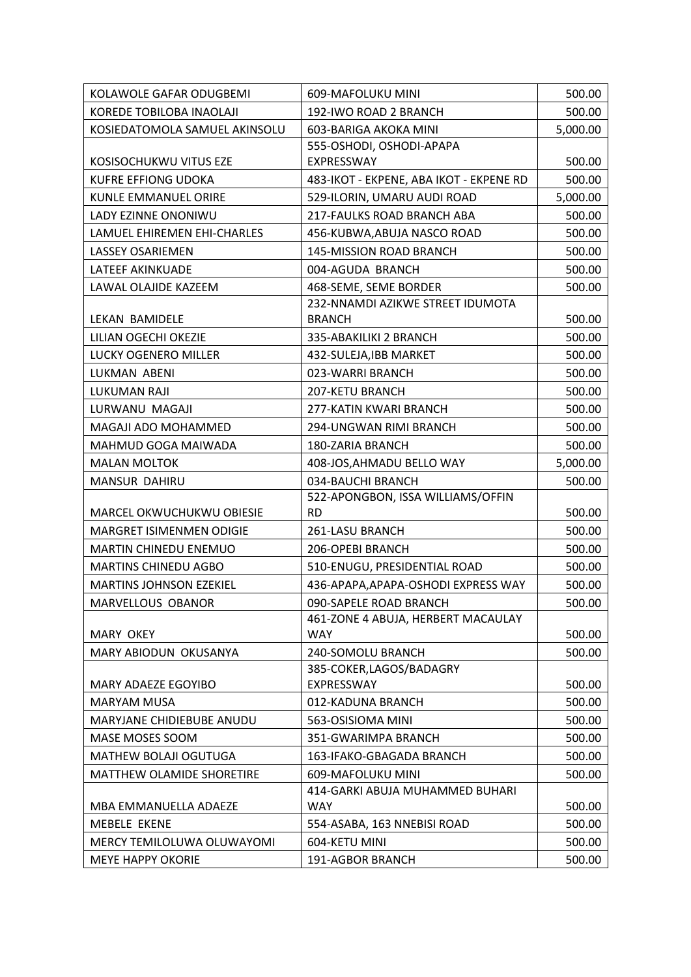| KOLAWOLE GAFAR ODUGBEMI        | 609-MAFOLUKU MINI                             | 500.00   |
|--------------------------------|-----------------------------------------------|----------|
| KOREDE TOBILOBA INAOLAJI       | 192-IWO ROAD 2 BRANCH                         | 500.00   |
| KOSIEDATOMOLA SAMUEL AKINSOLU  | 603-BARIGA AKOKA MINI                         | 5,000.00 |
|                                | 555-OSHODI, OSHODI-APAPA                      |          |
| KOSISOCHUKWU VITUS EZE         | EXPRESSWAY                                    | 500.00   |
| <b>KUFRE EFFIONG UDOKA</b>     | 483-IKOT - EKPENE, ABA IKOT - EKPENE RD       | 500.00   |
| KUNLE EMMANUEL ORIRE           | 529-ILORIN, UMARU AUDI ROAD                   | 5,000.00 |
| LADY EZINNE ONONIWU            | 217-FAULKS ROAD BRANCH ABA                    | 500.00   |
| LAMUEL EHIREMEN EHI-CHARLES    | 456-KUBWA, ABUJA NASCO ROAD                   | 500.00   |
| <b>LASSEY OSARIEMEN</b>        | 145-MISSION ROAD BRANCH                       | 500.00   |
| LATEEF AKINKUADE               | 004-AGUDA BRANCH                              | 500.00   |
| LAWAL OLAJIDE KAZEEM           | 468-SEME, SEME BORDER                         | 500.00   |
|                                | 232-NNAMDI AZIKWE STREET IDUMOTA              |          |
| LEKAN BAMIDELE                 | <b>BRANCH</b>                                 | 500.00   |
| LILIAN OGECHI OKEZIE           | 335-ABAKILIKI 2 BRANCH                        | 500.00   |
| LUCKY OGENERO MILLER           | 432-SULEJA, IBB MARKET                        | 500.00   |
| LUKMAN ABENI                   | 023-WARRI BRANCH                              | 500.00   |
| <b>LUKUMAN RAJI</b>            | 207-KETU BRANCH                               | 500.00   |
| LURWANU MAGAJI                 | 277-KATIN KWARI BRANCH                        | 500.00   |
| MAGAJI ADO MOHAMMED            | 294-UNGWAN RIMI BRANCH                        | 500.00   |
| MAHMUD GOGA MAIWADA            | 180-ZARIA BRANCH                              | 500.00   |
| <b>MALAN MOLTOK</b>            | 408-JOS, AHMADU BELLO WAY                     | 5,000.00 |
| MANSUR DAHIRU                  | 034-BAUCHI BRANCH                             | 500.00   |
|                                | 522-APONGBON, ISSA WILLIAMS/OFFIN             |          |
| MARCEL OKWUCHUKWU OBIESIE      | <b>RD</b>                                     | 500.00   |
| MARGRET ISIMENMEN ODIGIE       | 261-LASU BRANCH                               | 500.00   |
| MARTIN CHINEDU ENEMUO          | 206-OPEBI BRANCH                              | 500.00   |
| <b>MARTINS CHINEDU AGBO</b>    | 510-ENUGU, PRESIDENTIAL ROAD                  | 500.00   |
| <b>MARTINS JOHNSON EZEKIEL</b> | 436-APAPA, APAPA-OSHODI EXPRESS WAY           | 500.00   |
| MARVELLOUS OBANOR              | 090-SAPELE ROAD BRANCH                        | 500.00   |
|                                | 461-ZONE 4 ABUJA, HERBERT MACAULAY            |          |
| <b>MARY OKEY</b>               | <b>WAY</b>                                    | 500.00   |
| MARY ABIODUN OKUSANYA          | 240-SOMOLU BRANCH                             | 500.00   |
|                                | 385-COKER, LAGOS/BADAGRY<br>EXPRESSWAY        |          |
| MARY ADAEZE EGOYIBO            | 012-KADUNA BRANCH                             | 500.00   |
| <b>MARYAM MUSA</b>             |                                               | 500.00   |
| MARYJANE CHIDIEBUBE ANUDU      | 563-OSISIOMA MINI                             | 500.00   |
| MASE MOSES SOOM                | 351-GWARIMPA BRANCH                           | 500.00   |
| MATHEW BOLAJI OGUTUGA          | 163-IFAKO-GBAGADA BRANCH                      | 500.00   |
| MATTHEW OLAMIDE SHORETIRE      | 609-MAFOLUKU MINI                             | 500.00   |
| MBA EMMANUELLA ADAEZE          | 414-GARKI ABUJA MUHAMMED BUHARI<br><b>WAY</b> | 500.00   |
| <b>MEBELE EKENE</b>            | 554-ASABA, 163 NNEBISI ROAD                   | 500.00   |
| MERCY TEMILOLUWA OLUWAYOMI     | 604-KETU MINI                                 | 500.00   |
| <b>MEYE HAPPY OKORIE</b>       | 191-AGBOR BRANCH                              | 500.00   |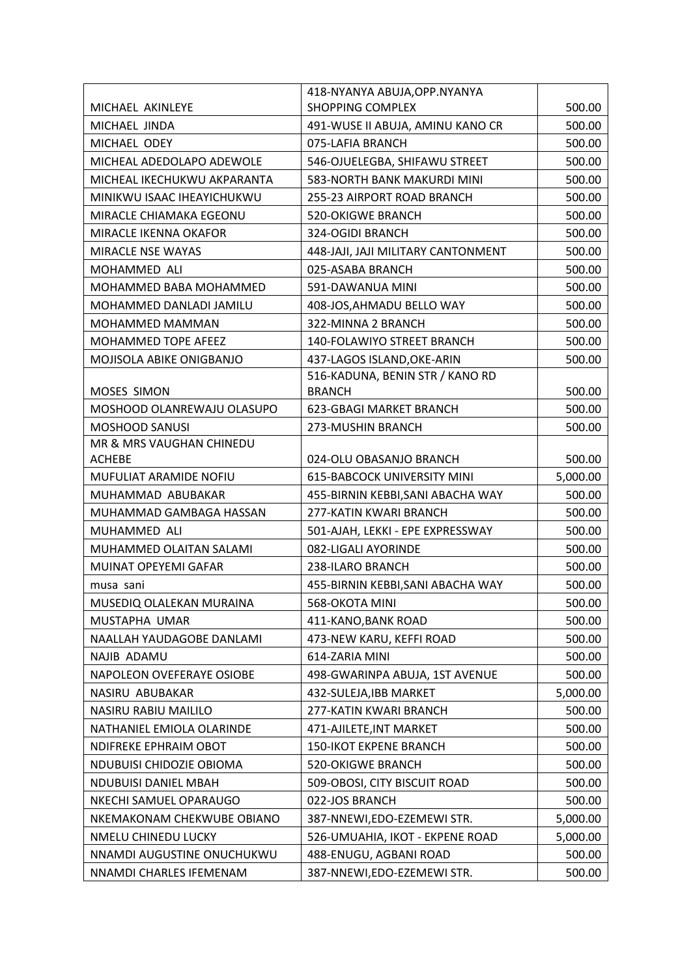|                             | 418-NYANYA ABUJA, OPP. NYANYA      |          |
|-----------------------------|------------------------------------|----------|
| MICHAEL AKINLEYE            | <b>SHOPPING COMPLEX</b>            | 500.00   |
| MICHAEL JINDA               | 491-WUSE II ABUJA, AMINU KANO CR   | 500.00   |
| MICHAEL ODEY                | 075-LAFIA BRANCH                   | 500.00   |
| MICHEAL ADEDOLAPO ADEWOLE   | 546-OJUELEGBA, SHIFAWU STREET      | 500.00   |
| MICHEAL IKECHUKWU AKPARANTA | 583-NORTH BANK MAKURDI MINI        | 500.00   |
| MINIKWU ISAAC IHEAYICHUKWU  | 255-23 AIRPORT ROAD BRANCH         | 500.00   |
| MIRACLE CHIAMAKA EGEONU     | <b>520-OKIGWE BRANCH</b>           | 500.00   |
| MIRACLE IKENNA OKAFOR       | 324-OGIDI BRANCH                   | 500.00   |
| MIRACLE NSE WAYAS           | 448-JAJI, JAJI MILITARY CANTONMENT | 500.00   |
| MOHAMMED ALI                | 025-ASABA BRANCH                   | 500.00   |
| MOHAMMED BABA MOHAMMED      | 591-DAWANUA MINI                   | 500.00   |
| MOHAMMED DANLADI JAMILU     | 408-JOS, AHMADU BELLO WAY          | 500.00   |
| MOHAMMED MAMMAN             | 322-MINNA 2 BRANCH                 | 500.00   |
| MOHAMMED TOPE AFEEZ         | 140-FOLAWIYO STREET BRANCH         | 500.00   |
| MOJISOLA ABIKE ONIGBANJO    | 437-LAGOS ISLAND, OKE-ARIN         | 500.00   |
|                             | 516-KADUNA, BENIN STR / KANO RD    |          |
| MOSES SIMON                 | <b>BRANCH</b>                      | 500.00   |
| MOSHOOD OLANREWAJU OLASUPO  | <b>623-GBAGI MARKET BRANCH</b>     | 500.00   |
| <b>MOSHOOD SANUSI</b>       | 273-MUSHIN BRANCH                  | 500.00   |
| MR & MRS VAUGHAN CHINEDU    |                                    |          |
| <b>ACHEBE</b>               | 024-OLU OBASANJO BRANCH            | 500.00   |
| MUFULIAT ARAMIDE NOFIU      | <b>615-BABCOCK UNIVERSITY MINI</b> | 5,000.00 |
| MUHAMMAD ABUBAKAR           | 455-BIRNIN KEBBI, SANI ABACHA WAY  | 500.00   |
| MUHAMMAD GAMBAGA HASSAN     | 277-KATIN KWARI BRANCH             | 500.00   |
| MUHAMMED ALI                | 501-AJAH, LEKKI - EPE EXPRESSWAY   | 500.00   |
| MUHAMMED OLAITAN SALAMI     | 082-LIGALI AYORINDE                | 500.00   |
| MUINAT OPEYEMI GAFAR        | 238-ILARO BRANCH                   | 500.00   |
| musa sani                   | 455-BIRNIN KEBBI, SANI ABACHA WAY  | 500.00   |
| MUSEDIQ OLALEKAN MURAINA    | 568-OKOTA MINI                     | 500.00   |
| MUSTAPHA UMAR               | 411-KANO, BANK ROAD                | 500.00   |
| NAALLAH YAUDAGOBE DANLAMI   | 473-NEW KARU, KEFFI ROAD           | 500.00   |
| NAJIB ADAMU                 | 614-ZARIA MINI                     | 500.00   |
| NAPOLEON OVEFERAYE OSIOBE   | 498-GWARINPA ABUJA, 1ST AVENUE     | 500.00   |
| NASIRU ABUBAKAR             | 432-SULEJA, IBB MARKET             | 5,000.00 |
| NASIRU RABIU MAILILO        | 277-KATIN KWARI BRANCH             | 500.00   |
| NATHANIEL EMIOLA OLARINDE   | 471-AJILETE, INT MARKET            | 500.00   |
| NDIFREKE EPHRAIM OBOT       | <b>150-IKOT EKPENE BRANCH</b>      | 500.00   |
| NDUBUISI CHIDOZIE OBIOMA    | 520-OKIGWE BRANCH                  | 500.00   |
| <b>NDUBUISI DANIEL MBAH</b> | 509-OBOSI, CITY BISCUIT ROAD       | 500.00   |
| NKECHI SAMUEL OPARAUGO      | 022-JOS BRANCH                     | 500.00   |
| NKEMAKONAM CHEKWUBE OBIANO  | 387-NNEWI, EDO-EZEMEWI STR.        | 5,000.00 |
| NMELU CHINEDU LUCKY         | 526-UMUAHIA, IKOT - EKPENE ROAD    | 5,000.00 |
| NNAMDI AUGUSTINE ONUCHUKWU  | 488-ENUGU, AGBANI ROAD             | 500.00   |
| NNAMDI CHARLES IFEMENAM     | 387-NNEWI, EDO-EZEMEWI STR.        | 500.00   |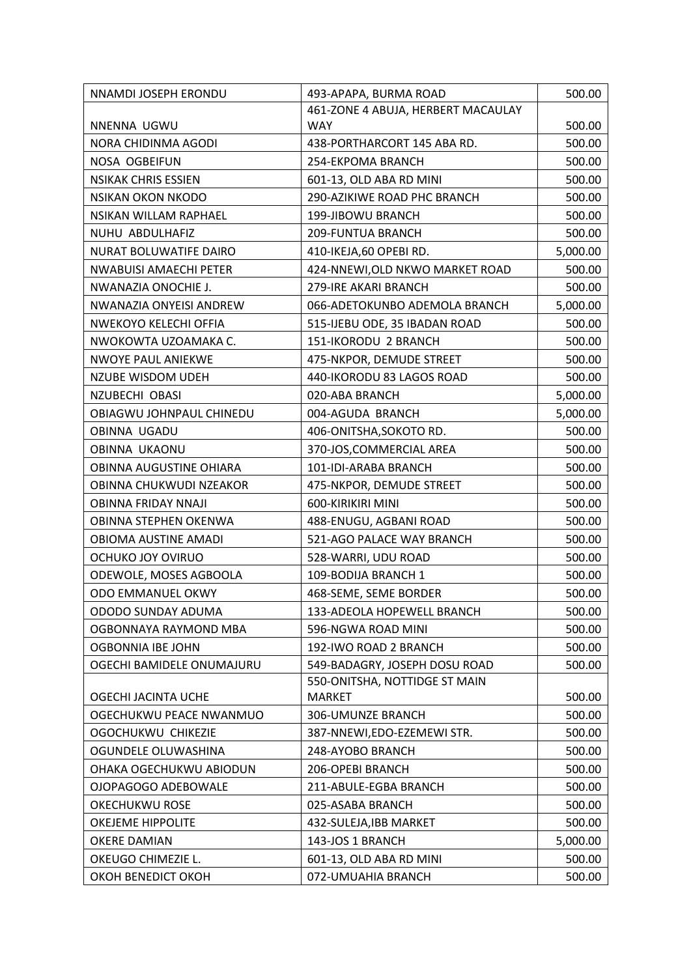| NNAMDI JOSEPH ERONDU          | 493-APAPA, BURMA ROAD              | 500.00   |
|-------------------------------|------------------------------------|----------|
|                               | 461-ZONE 4 ABUJA, HERBERT MACAULAY |          |
| NNENNA UGWU                   | <b>WAY</b>                         | 500.00   |
| NORA CHIDINMA AGODI           | 438-PORTHARCORT 145 ABA RD.        | 500.00   |
| NOSA OGBEIFUN                 | 254-EKPOMA BRANCH                  | 500.00   |
| <b>NSIKAK CHRIS ESSIEN</b>    | 601-13, OLD ABA RD MINI            | 500.00   |
| <b>NSIKAN OKON NKODO</b>      | 290-AZIKIWE ROAD PHC BRANCH        | 500.00   |
| NSIKAN WILLAM RAPHAEL         | 199-JIBOWU BRANCH                  | 500.00   |
| NUHU ABDULHAFIZ               | 209-FUNTUA BRANCH                  | 500.00   |
| NURAT BOLUWATIFE DAIRO        | 410-IKEJA,60 OPEBI RD.             | 5,000.00 |
| <b>NWABUISI AMAECHI PETER</b> | 424-NNEWI, OLD NKWO MARKET ROAD    | 500.00   |
| NWANAZIA ONOCHIE J.           | 279-IRE AKARI BRANCH               | 500.00   |
| NWANAZIA ONYEISI ANDREW       | 066-ADETOKUNBO ADEMOLA BRANCH      | 5,000.00 |
| NWEKOYO KELECHI OFFIA         | 515-IJEBU ODE, 35 IBADAN ROAD      | 500.00   |
| NWOKOWTA UZOAMAKA C.          | 151-IKORODU 2 BRANCH               | 500.00   |
| <b>NWOYE PAUL ANIEKWE</b>     | 475-NKPOR, DEMUDE STREET           | 500.00   |
| <b>NZUBE WISDOM UDEH</b>      | 440-IKORODU 83 LAGOS ROAD          | 500.00   |
| NZUBECHI OBASI                | 020-ABA BRANCH                     | 5,000.00 |
| OBIAGWU JOHNPAUL CHINEDU      | 004-AGUDA BRANCH                   | 5,000.00 |
| OBINNA UGADU                  | 406-ONITSHA, SOKOTO RD.            | 500.00   |
| OBINNA UKAONU                 | 370-JOS, COMMERCIAL AREA           | 500.00   |
| OBINNA AUGUSTINE OHIARA       | 101-IDI-ARABA BRANCH               | 500.00   |
| OBINNA CHUKWUDI NZEAKOR       | 475-NKPOR, DEMUDE STREET           | 500.00   |
| <b>OBINNA FRIDAY NNAJI</b>    | 600-KIRIKIRI MINI                  | 500.00   |
| OBINNA STEPHEN OKENWA         | 488-ENUGU, AGBANI ROAD             | 500.00   |
| OBIOMA AUSTINE AMADI          | 521-AGO PALACE WAY BRANCH          | 500.00   |
| OCHUKO JOY OVIRUO             | 528-WARRI, UDU ROAD                | 500.00   |
| ODEWOLE, MOSES AGBOOLA        | 109-BODIJA BRANCH 1                | 500.00   |
| ODO EMMANUEL OKWY             | 468-SEME, SEME BORDER              | 500.00   |
| ODODO SUNDAY ADUMA            | 133-ADEOLA HOPEWELL BRANCH         | 500.00   |
| OGBONNAYA RAYMOND MBA         | 596-NGWA ROAD MINI                 | 500.00   |
| OGBONNIA IBE JOHN             | 192-IWO ROAD 2 BRANCH              | 500.00   |
| OGECHI BAMIDELE ONUMAJURU     | 549-BADAGRY, JOSEPH DOSU ROAD      | 500.00   |
|                               | 550-ONITSHA, NOTTIDGE ST MAIN      |          |
| OGECHI JACINTA UCHE           | MARKET                             | 500.00   |
| OGECHUKWU PEACE NWANMUO       | 306-UMUNZE BRANCH                  | 500.00   |
| OGOCHUKWU CHIKEZIE            | 387-NNEWI, EDO-EZEMEWI STR.        | 500.00   |
| OGUNDELE OLUWASHINA           | 248-AYOBO BRANCH                   | 500.00   |
| OHAKA OGECHUKWU ABIODUN       | 206-OPEBI BRANCH                   | 500.00   |
| OJOPAGOGO ADEBOWALE           | 211-ABULE-EGBA BRANCH              | 500.00   |
| <b>OKECHUKWU ROSE</b>         | 025-ASABA BRANCH                   | 500.00   |
| OKEJEME HIPPOLITE             | 432-SULEJA, IBB MARKET             | 500.00   |
| <b>OKERE DAMIAN</b>           | 143-JOS 1 BRANCH                   | 5,000.00 |
| OKEUGO CHIMEZIE L.            | 601-13, OLD ABA RD MINI            | 500.00   |
| OKOH BENEDICT OKOH            | 072-UMUAHIA BRANCH                 | 500.00   |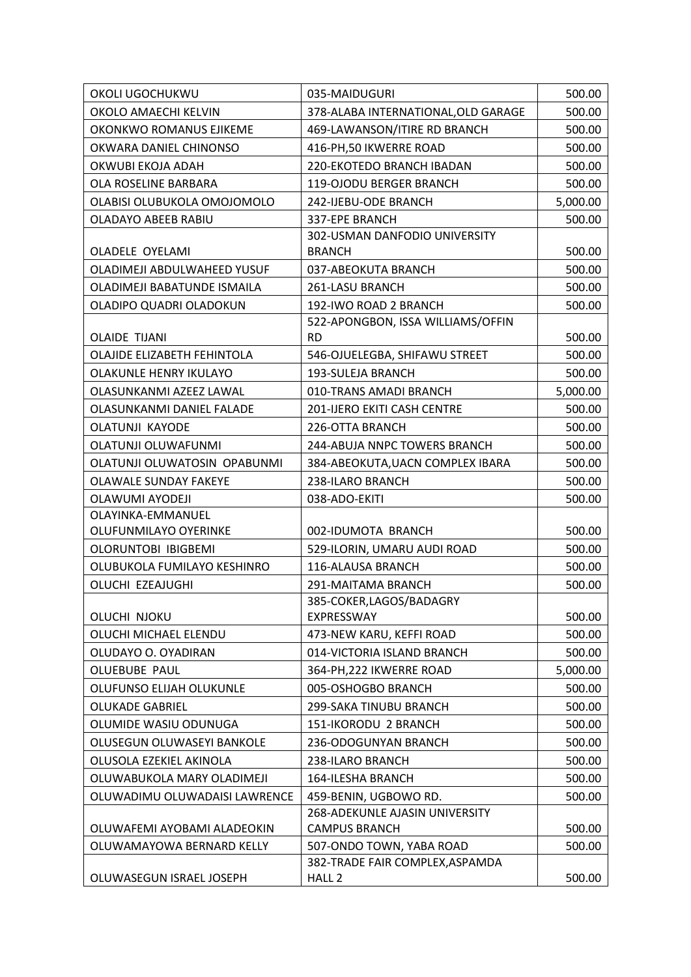| OKOLI UGOCHUKWU               | 035-MAIDUGURI                                               | 500.00   |
|-------------------------------|-------------------------------------------------------------|----------|
| OKOLO AMAECHI KELVIN          | 378-ALABA INTERNATIONAL, OLD GARAGE                         | 500.00   |
| OKONKWO ROMANUS EJIKEME       | 469-LAWANSON/ITIRE RD BRANCH                                | 500.00   |
| OKWARA DANIEL CHINONSO        | 416-PH, 50 IKWERRE ROAD                                     | 500.00   |
| OKWUBI EKOJA ADAH             | 220-EKOTEDO BRANCH IBADAN                                   | 500.00   |
| OLA ROSELINE BARBARA          | 119-OJODU BERGER BRANCH                                     | 500.00   |
| OLABISI OLUBUKOLA OMOJOMOLO   | 242-IJEBU-ODE BRANCH                                        | 5,000.00 |
| <b>OLADAYO ABEEB RABIU</b>    | 337-EPE BRANCH                                              | 500.00   |
|                               | 302-USMAN DANFODIO UNIVERSITY                               |          |
| <b>OLADELE OYELAMI</b>        | <b>BRANCH</b>                                               | 500.00   |
| OLADIMEJI ABDULWAHEED YUSUF   | 037-ABEOKUTA BRANCH                                         | 500.00   |
| OLADIMEJI BABATUNDE ISMAILA   | 261-LASU BRANCH                                             | 500.00   |
| OLADIPO QUADRI OLADOKUN       | 192-IWO ROAD 2 BRANCH                                       | 500.00   |
|                               | 522-APONGBON, ISSA WILLIAMS/OFFIN                           |          |
| <b>OLAIDE TIJANI</b>          | <b>RD</b>                                                   | 500.00   |
| OLAJIDE ELIZABETH FEHINTOLA   | 546-OJUELEGBA, SHIFAWU STREET                               | 500.00   |
| OLAKUNLE HENRY IKULAYO        | 193-SULEJA BRANCH                                           | 500.00   |
| OLASUNKANMI AZEEZ LAWAL       | 010-TRANS AMADI BRANCH                                      | 5,000.00 |
| OLASUNKANMI DANIEL FALADE     | 201-IJERO EKITI CASH CENTRE                                 | 500.00   |
| <b>OLATUNJI KAYODE</b>        | 226-OTTA BRANCH                                             | 500.00   |
| OLATUNJI OLUWAFUNMI           | 244-ABUJA NNPC TOWERS BRANCH                                | 500.00   |
| OLATUNJI OLUWATOSIN OPABUNMI  | 384-ABEOKUTA, UACN COMPLEX IBARA                            | 500.00   |
| OLAWALE SUNDAY FAKEYE         | 238-ILARO BRANCH                                            | 500.00   |
| <b>OLAWUMI AYODEJI</b>        | 038-ADO-EKITI                                               | 500.00   |
| OLAYINKA-EMMANUEL             |                                                             |          |
| OLUFUNMILAYO OYERINKE         | 002-IDUMOTA BRANCH                                          | 500.00   |
| OLORUNTOBI IBIGBEMI           | 529-ILORIN, UMARU AUDI ROAD                                 | 500.00   |
| OLUBUKOLA FUMILAYO KESHINRO   | 116-ALAUSA BRANCH                                           | 500.00   |
| OLUCHI EZEAJUGHI              | 291-MAITAMA BRANCH                                          | 500.00   |
|                               | 385-COKER, LAGOS/BADAGRY                                    |          |
| OLUCHI NJOKU                  | EXPRESSWAY                                                  | 500.00   |
| OLUCHI MICHAEL ELENDU         | 473-NEW KARU, KEFFI ROAD                                    | 500.00   |
| OLUDAYO O. OYADIRAN           | 014-VICTORIA ISLAND BRANCH                                  | 500.00   |
| <b>OLUEBUBE PAUL</b>          | 364-PH, 222 IKWERRE ROAD                                    | 5,000.00 |
| OLUFUNSO ELIJAH OLUKUNLE      | 005-OSHOGBO BRANCH                                          | 500.00   |
| <b>OLUKADE GABRIEL</b>        | 299-SAKA TINUBU BRANCH                                      | 500.00   |
| OLUMIDE WASIU ODUNUGA         | 151-IKORODU 2 BRANCH                                        | 500.00   |
| OLUSEGUN OLUWASEYI BANKOLE    | 236-ODOGUNYAN BRANCH                                        | 500.00   |
| OLUSOLA EZEKIEL AKINOLA       | 238-ILARO BRANCH                                            | 500.00   |
| OLUWABUKOLA MARY OLADIMEJI    | 164-ILESHA BRANCH                                           | 500.00   |
| OLUWADIMU OLUWADAISI LAWRENCE | 459-BENIN, UGBOWO RD.                                       | 500.00   |
|                               | 268-ADEKUNLE AJASIN UNIVERSITY                              |          |
| OLUWAFEMI AYOBAMI ALADEOKIN   | <b>CAMPUS BRANCH</b>                                        | 500.00   |
| OLUWAMAYOWA BERNARD KELLY     | 507-ONDO TOWN, YABA ROAD<br>382-TRADE FAIR COMPLEX, ASPAMDA | 500.00   |
| OLUWASEGUN ISRAEL JOSEPH      | HALL <sub>2</sub>                                           | 500.00   |
|                               |                                                             |          |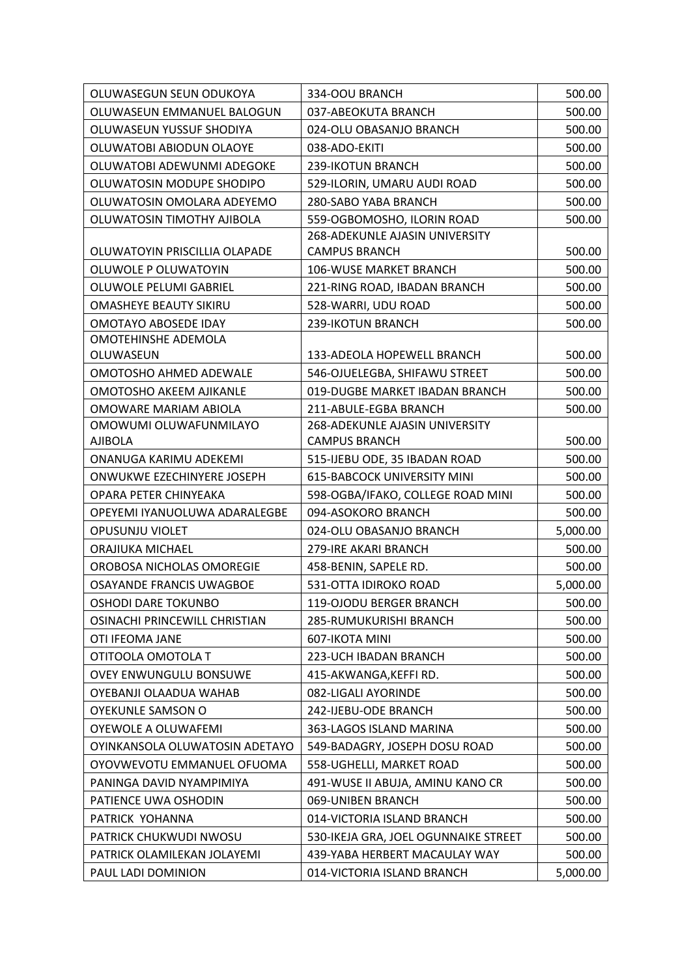| OLUWASEUN EMMANUEL BALOGUN<br>037-ABEOKUTA BRANCH<br>500.00<br>OLUWASEUN YUSSUF SHODIYA<br>024-OLU OBASANJO BRANCH<br>500.00<br>OLUWATOBI ABIODUN OLAOYE<br>038-ADO-EKITI<br>500.00<br>OLUWATOBI ADEWUNMI ADEGOKE<br>239-IKOTUN BRANCH<br>500.00<br>OLUWATOSIN MODUPE SHODIPO<br>529-ILORIN, UMARU AUDI ROAD<br>500.00<br>OLUWATOSIN OMOLARA ADEYEMO<br>280-SABO YABA BRANCH<br>500.00<br>500.00<br>OLUWATOSIN TIMOTHY AJIBOLA<br>559-OGBOMOSHO, ILORIN ROAD<br><b>268-ADEKUNLE AJASIN UNIVERSITY</b><br>OLUWATOYIN PRISCILLIA OLAPADE<br><b>CAMPUS BRANCH</b><br>500.00<br>OLUWOLE P OLUWATOYIN<br>106-WUSE MARKET BRANCH<br>500.00<br>OLUWOLE PELUMI GABRIEL<br>221-RING ROAD, IBADAN BRANCH<br>500.00<br><b>OMASHEYE BEAUTY SIKIRU</b><br>528-WARRI, UDU ROAD<br>500.00<br>OMOTAYO ABOSEDE IDAY<br>239-IKOTUN BRANCH<br>500.00<br>OMOTEHINSHE ADEMOLA<br>OLUWASEUN<br>133-ADEOLA HOPEWELL BRANCH<br>500.00 |
|---------------------------------------------------------------------------------------------------------------------------------------------------------------------------------------------------------------------------------------------------------------------------------------------------------------------------------------------------------------------------------------------------------------------------------------------------------------------------------------------------------------------------------------------------------------------------------------------------------------------------------------------------------------------------------------------------------------------------------------------------------------------------------------------------------------------------------------------------------------------------------------------------------------|
|                                                                                                                                                                                                                                                                                                                                                                                                                                                                                                                                                                                                                                                                                                                                                                                                                                                                                                               |
|                                                                                                                                                                                                                                                                                                                                                                                                                                                                                                                                                                                                                                                                                                                                                                                                                                                                                                               |
|                                                                                                                                                                                                                                                                                                                                                                                                                                                                                                                                                                                                                                                                                                                                                                                                                                                                                                               |
|                                                                                                                                                                                                                                                                                                                                                                                                                                                                                                                                                                                                                                                                                                                                                                                                                                                                                                               |
|                                                                                                                                                                                                                                                                                                                                                                                                                                                                                                                                                                                                                                                                                                                                                                                                                                                                                                               |
|                                                                                                                                                                                                                                                                                                                                                                                                                                                                                                                                                                                                                                                                                                                                                                                                                                                                                                               |
|                                                                                                                                                                                                                                                                                                                                                                                                                                                                                                                                                                                                                                                                                                                                                                                                                                                                                                               |
|                                                                                                                                                                                                                                                                                                                                                                                                                                                                                                                                                                                                                                                                                                                                                                                                                                                                                                               |
|                                                                                                                                                                                                                                                                                                                                                                                                                                                                                                                                                                                                                                                                                                                                                                                                                                                                                                               |
|                                                                                                                                                                                                                                                                                                                                                                                                                                                                                                                                                                                                                                                                                                                                                                                                                                                                                                               |
|                                                                                                                                                                                                                                                                                                                                                                                                                                                                                                                                                                                                                                                                                                                                                                                                                                                                                                               |
|                                                                                                                                                                                                                                                                                                                                                                                                                                                                                                                                                                                                                                                                                                                                                                                                                                                                                                               |
|                                                                                                                                                                                                                                                                                                                                                                                                                                                                                                                                                                                                                                                                                                                                                                                                                                                                                                               |
|                                                                                                                                                                                                                                                                                                                                                                                                                                                                                                                                                                                                                                                                                                                                                                                                                                                                                                               |
|                                                                                                                                                                                                                                                                                                                                                                                                                                                                                                                                                                                                                                                                                                                                                                                                                                                                                                               |
| OMOTOSHO AHMED ADEWALE<br>546-OJUELEGBA, SHIFAWU STREET<br>500.00                                                                                                                                                                                                                                                                                                                                                                                                                                                                                                                                                                                                                                                                                                                                                                                                                                             |
| 019-DUGBE MARKET IBADAN BRANCH<br><b>OMOTOSHO AKEEM AJIKANLE</b><br>500.00                                                                                                                                                                                                                                                                                                                                                                                                                                                                                                                                                                                                                                                                                                                                                                                                                                    |
| OMOWARE MARIAM ABIOLA<br>211-ABULE-EGBA BRANCH<br>500.00                                                                                                                                                                                                                                                                                                                                                                                                                                                                                                                                                                                                                                                                                                                                                                                                                                                      |
| OMOWUMI OLUWAFUNMILAYO<br>268-ADEKUNLE AJASIN UNIVERSITY                                                                                                                                                                                                                                                                                                                                                                                                                                                                                                                                                                                                                                                                                                                                                                                                                                                      |
| <b>CAMPUS BRANCH</b><br><b>AJIBOLA</b><br>500.00                                                                                                                                                                                                                                                                                                                                                                                                                                                                                                                                                                                                                                                                                                                                                                                                                                                              |
| ONANUGA KARIMU ADEKEMI<br>515-IJEBU ODE, 35 IBADAN ROAD<br>500.00                                                                                                                                                                                                                                                                                                                                                                                                                                                                                                                                                                                                                                                                                                                                                                                                                                             |
| <b>615-BABCOCK UNIVERSITY MINI</b><br>ONWUKWE EZECHINYERE JOSEPH<br>500.00                                                                                                                                                                                                                                                                                                                                                                                                                                                                                                                                                                                                                                                                                                                                                                                                                                    |
| OPARA PETER CHINYEAKA<br>598-OGBA/IFAKO, COLLEGE ROAD MINI<br>500.00                                                                                                                                                                                                                                                                                                                                                                                                                                                                                                                                                                                                                                                                                                                                                                                                                                          |
| OPEYEMI IYANUOLUWA ADARALEGBE<br>500.00<br>094-ASOKORO BRANCH                                                                                                                                                                                                                                                                                                                                                                                                                                                                                                                                                                                                                                                                                                                                                                                                                                                 |
| OPUSUNJU VIOLET<br>024-OLU OBASANJO BRANCH<br>5,000.00                                                                                                                                                                                                                                                                                                                                                                                                                                                                                                                                                                                                                                                                                                                                                                                                                                                        |
| ORAJIUKA MICHAEL<br>279-IRE AKARI BRANCH<br>500.00                                                                                                                                                                                                                                                                                                                                                                                                                                                                                                                                                                                                                                                                                                                                                                                                                                                            |
| OROBOSA NICHOLAS OMOREGIE<br>458-BENIN, SAPELE RD.<br>500.00                                                                                                                                                                                                                                                                                                                                                                                                                                                                                                                                                                                                                                                                                                                                                                                                                                                  |
| 531-OTTA IDIROKO ROAD<br>5,000.00<br>OSAYANDE FRANCIS UWAGBOE                                                                                                                                                                                                                                                                                                                                                                                                                                                                                                                                                                                                                                                                                                                                                                                                                                                 |
| OSHODI DARE TOKUNBO<br>119-OJODU BERGER BRANCH<br>500.00                                                                                                                                                                                                                                                                                                                                                                                                                                                                                                                                                                                                                                                                                                                                                                                                                                                      |
| OSINACHI PRINCEWILL CHRISTIAN<br>285-RUMUKURISHI BRANCH<br>500.00                                                                                                                                                                                                                                                                                                                                                                                                                                                                                                                                                                                                                                                                                                                                                                                                                                             |
| 500.00<br>OTI IFEOMA JANE<br>607-IKOTA MINI                                                                                                                                                                                                                                                                                                                                                                                                                                                                                                                                                                                                                                                                                                                                                                                                                                                                   |
| OTITOOLA OMOTOLA T<br>223-UCH IBADAN BRANCH<br>500.00                                                                                                                                                                                                                                                                                                                                                                                                                                                                                                                                                                                                                                                                                                                                                                                                                                                         |
| <b>OVEY ENWUNGULU BONSUWE</b><br>415-AKWANGA, KEFFIRD.<br>500.00                                                                                                                                                                                                                                                                                                                                                                                                                                                                                                                                                                                                                                                                                                                                                                                                                                              |
| OYEBANJI OLAADUA WAHAB<br>082-LIGALI AYORINDE<br>500.00                                                                                                                                                                                                                                                                                                                                                                                                                                                                                                                                                                                                                                                                                                                                                                                                                                                       |
| OYEKUNLE SAMSON O<br>242-IJEBU-ODE BRANCH<br>500.00                                                                                                                                                                                                                                                                                                                                                                                                                                                                                                                                                                                                                                                                                                                                                                                                                                                           |
| OYEWOLE A OLUWAFEMI<br>363-LAGOS ISLAND MARINA<br>500.00                                                                                                                                                                                                                                                                                                                                                                                                                                                                                                                                                                                                                                                                                                                                                                                                                                                      |
| 549-BADAGRY, JOSEPH DOSU ROAD<br>OYINKANSOLA OLUWATOSIN ADETAYO<br>500.00                                                                                                                                                                                                                                                                                                                                                                                                                                                                                                                                                                                                                                                                                                                                                                                                                                     |
| 558-UGHELLI, MARKET ROAD<br>OYOVWEVOTU EMMANUEL OFUOMA<br>500.00                                                                                                                                                                                                                                                                                                                                                                                                                                                                                                                                                                                                                                                                                                                                                                                                                                              |
| 491-WUSE II ABUJA, AMINU KANO CR<br>PANINGA DAVID NYAMPIMIYA<br>500.00                                                                                                                                                                                                                                                                                                                                                                                                                                                                                                                                                                                                                                                                                                                                                                                                                                        |
| PATIENCE UWA OSHODIN<br>069-UNIBEN BRANCH<br>500.00                                                                                                                                                                                                                                                                                                                                                                                                                                                                                                                                                                                                                                                                                                                                                                                                                                                           |
| PATRICK YOHANNA<br>014-VICTORIA ISLAND BRANCH<br>500.00                                                                                                                                                                                                                                                                                                                                                                                                                                                                                                                                                                                                                                                                                                                                                                                                                                                       |
| PATRICK CHUKWUDI NWOSU<br>530-IKEJA GRA, JOEL OGUNNAIKE STREET<br>500.00                                                                                                                                                                                                                                                                                                                                                                                                                                                                                                                                                                                                                                                                                                                                                                                                                                      |
| PATRICK OLAMILEKAN JOLAYEMI<br>439-YABA HERBERT MACAULAY WAY<br>500.00                                                                                                                                                                                                                                                                                                                                                                                                                                                                                                                                                                                                                                                                                                                                                                                                                                        |
| PAUL LADI DOMINION<br>014-VICTORIA ISLAND BRANCH<br>5,000.00                                                                                                                                                                                                                                                                                                                                                                                                                                                                                                                                                                                                                                                                                                                                                                                                                                                  |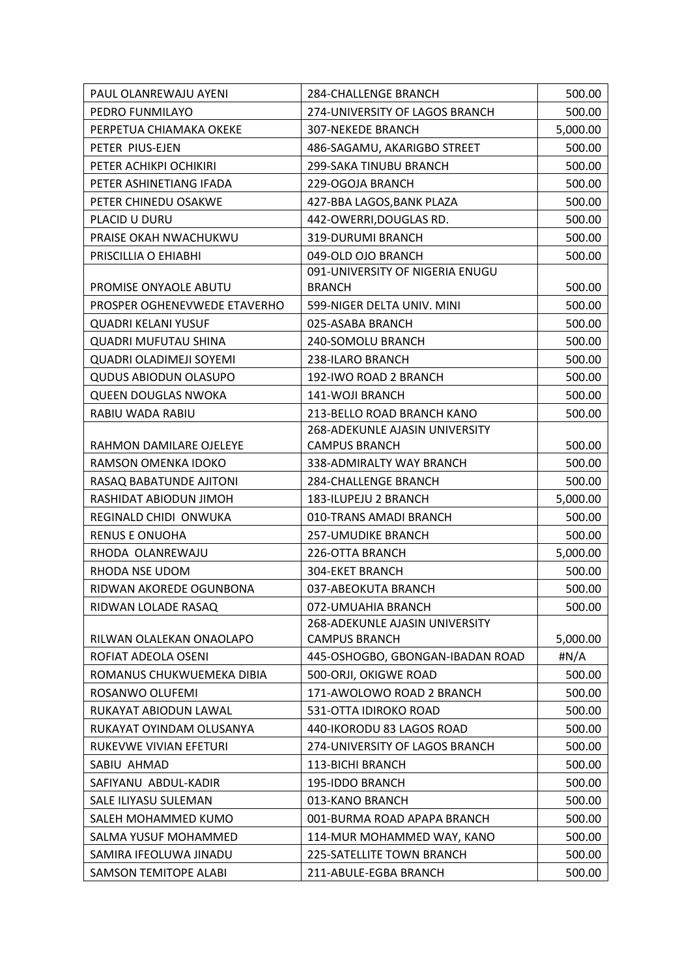| PAUL OLANREWAJU AYENI        | 284-CHALLENGE BRANCH             | 500.00   |
|------------------------------|----------------------------------|----------|
| PEDRO FUNMILAYO              | 274-UNIVERSITY OF LAGOS BRANCH   | 500.00   |
| PERPETUA CHIAMAKA OKEKE      | <b>307-NEKEDE BRANCH</b>         | 5,000.00 |
| PETER PIUS-EJEN              | 486-SAGAMU, AKARIGBO STREET      | 500.00   |
| PETER ACHIKPI OCHIKIRI       | 299-SAKA TINUBU BRANCH           | 500.00   |
| PETER ASHINETIANG IFADA      | 229-OGOJA BRANCH                 | 500.00   |
| PETER CHINEDU OSAKWE         | 427-BBA LAGOS, BANK PLAZA        | 500.00   |
| PLACID U DURU                | 442-OWERRI, DOUGLAS RD.          | 500.00   |
| PRAISE OKAH NWACHUKWU        | 319-DURUMI BRANCH                | 500.00   |
| PRISCILLIA O EHIABHI         | 049-OLD OJO BRANCH               | 500.00   |
|                              | 091-UNIVERSITY OF NIGERIA ENUGU  |          |
| PROMISE ONYAOLE ABUTU        | <b>BRANCH</b>                    | 500.00   |
| PROSPER OGHENEVWEDE ETAVERHO | 599-NIGER DELTA UNIV. MINI       | 500.00   |
| <b>QUADRI KELANI YUSUF</b>   | 025-ASABA BRANCH                 | 500.00   |
| <b>QUADRI MUFUTAU SHINA</b>  | 240-SOMOLU BRANCH                | 500.00   |
| QUADRI OLADIMEJI SOYEMI      | 238-ILARO BRANCH                 | 500.00   |
| <b>QUDUS ABIODUN OLASUPO</b> | 192-IWO ROAD 2 BRANCH            | 500.00   |
| <b>QUEEN DOUGLAS NWOKA</b>   | 141-WOJI BRANCH                  | 500.00   |
| RABIU WADA RABIU             | 213-BELLO ROAD BRANCH KANO       | 500.00   |
|                              | 268-ADEKUNLE AJASIN UNIVERSITY   |          |
| RAHMON DAMILARE OJELEYE      | <b>CAMPUS BRANCH</b>             | 500.00   |
| RAMSON OMENKA IDOKO          | 338-ADMIRALTY WAY BRANCH         | 500.00   |
| RASAQ BABATUNDE AJITONI      | <b>284-CHALLENGE BRANCH</b>      | 500.00   |
| RASHIDAT ABIODUN JIMOH       | 183-ILUPEJU 2 BRANCH             | 5,000.00 |
| REGINALD CHIDI ONWUKA        | 010-TRANS AMADI BRANCH           | 500.00   |
| <b>RENUS E ONUOHA</b>        | 257-UMUDIKE BRANCH               | 500.00   |
| RHODA OLANREWAJU             | 226-OTTA BRANCH                  | 5,000.00 |
| RHODA NSE UDOM               | 304-EKET BRANCH                  | 500.00   |
| RIDWAN AKOREDE OGUNBONA      | 037-ABEOKUTA BRANCH              | 500.00   |
| RIDWAN LOLADE RASAQ          | 072-UMUAHIA BRANCH               | 500.00   |
|                              | 268-ADEKUNLE AJASIN UNIVERSITY   |          |
| RILWAN OLALEKAN ONAOLAPO     | <b>CAMPUS BRANCH</b>             | 5,000.00 |
| ROFIAT ADEOLA OSENI          | 445-OSHOGBO, GBONGAN-IBADAN ROAD | #N/A     |
| ROMANUS CHUKWUEMEKA DIBIA    | 500-ORJI, OKIGWE ROAD            | 500.00   |
| ROSANWO OLUFEMI              | 171-AWOLOWO ROAD 2 BRANCH        | 500.00   |
| RUKAYAT ABIODUN LAWAL        | 531-OTTA IDIROKO ROAD            | 500.00   |
| RUKAYAT OYINDAM OLUSANYA     | 440-IKORODU 83 LAGOS ROAD        | 500.00   |
| RUKEVWE VIVIAN EFETURI       | 274-UNIVERSITY OF LAGOS BRANCH   | 500.00   |
| SABIU AHMAD                  | 113-BICHI BRANCH                 | 500.00   |
| SAFIYANU ABDUL-KADIR         | 195-IDDO BRANCH                  | 500.00   |
| SALE ILIYASU SULEMAN         | 013-KANO BRANCH                  | 500.00   |
| SALEH MOHAMMED KUMO          | 001-BURMA ROAD APAPA BRANCH      | 500.00   |
| SALMA YUSUF MOHAMMED         | 114-MUR MOHAMMED WAY, KANO       | 500.00   |
| SAMIRA IFEOLUWA JINADU       | 225-SATELLITE TOWN BRANCH        | 500.00   |
| <b>SAMSON TEMITOPE ALABI</b> | 211-ABULE-EGBA BRANCH            | 500.00   |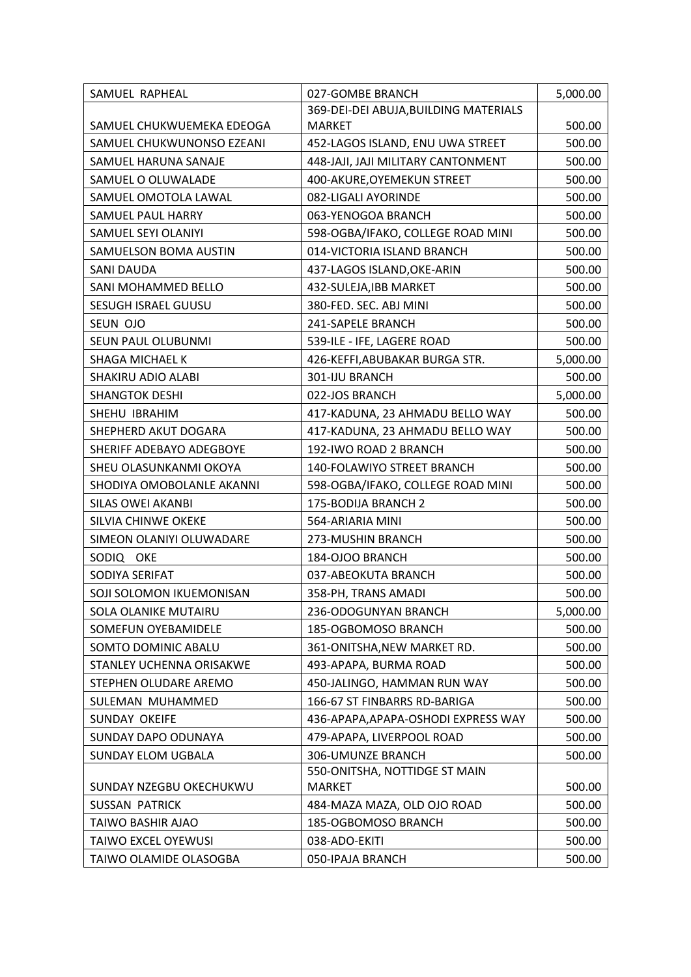| SAMUEL RAPHEAL              | 027-GOMBE BRANCH                      | 5,000.00 |
|-----------------------------|---------------------------------------|----------|
|                             | 369-DEI-DEI ABUJA, BUILDING MATERIALS |          |
| SAMUEL CHUKWUEMEKA EDEOGA   | <b>MARKET</b>                         | 500.00   |
| SAMUEL CHUKWUNONSO EZEANI   | 452-LAGOS ISLAND, ENU UWA STREET      | 500.00   |
| SAMUEL HARUNA SANAJE        | 448-JAJI, JAJI MILITARY CANTONMENT    | 500.00   |
| SAMUEL O OLUWALADE          | 400-AKURE, OYEMEKUN STREET            | 500.00   |
| SAMUEL OMOTOLA LAWAL        | 082-LIGALI AYORINDE                   | 500.00   |
| SAMUEL PAUL HARRY           | 063-YENOGOA BRANCH                    | 500.00   |
| SAMUEL SEYI OLANIYI         | 598-OGBA/IFAKO, COLLEGE ROAD MINI     | 500.00   |
| SAMUELSON BOMA AUSTIN       | 014-VICTORIA ISLAND BRANCH            | 500.00   |
| <b>SANI DAUDA</b>           | 437-LAGOS ISLAND, OKE-ARIN            | 500.00   |
| SANI MOHAMMED BELLO         | 432-SULEJA, IBB MARKET                | 500.00   |
| <b>SESUGH ISRAEL GUUSU</b>  | 380-FED. SEC. ABJ MINI                | 500.00   |
| SEUN OJO                    | 241-SAPELE BRANCH                     | 500.00   |
| SEUN PAUL OLUBUNMI          | 539-ILE - IFE, LAGERE ROAD            | 500.00   |
| SHAGA MICHAEL K             | 426-KEFFI, ABUBAKAR BURGA STR.        | 5,000.00 |
| SHAKIRU ADIO ALABI          | 301-IJU BRANCH                        | 500.00   |
| <b>SHANGTOK DESHI</b>       | 022-JOS BRANCH                        | 5,000.00 |
| SHEHU IBRAHIM               | 417-KADUNA, 23 AHMADU BELLO WAY       | 500.00   |
| SHEPHERD AKUT DOGARA        | 417-KADUNA, 23 AHMADU BELLO WAY       | 500.00   |
| SHERIFF ADEBAYO ADEGBOYE    | 192-IWO ROAD 2 BRANCH                 | 500.00   |
| SHEU OLASUNKANMI OKOYA      | 140-FOLAWIYO STREET BRANCH            | 500.00   |
| SHODIYA OMOBOLANLE AKANNI   | 598-OGBA/IFAKO, COLLEGE ROAD MINI     | 500.00   |
| <b>SILAS OWEI AKANBI</b>    | 175-BODIJA BRANCH 2                   | 500.00   |
| SILVIA CHINWE OKEKE         | 564-ARIARIA MINI                      | 500.00   |
| SIMEON OLANIYI OLUWADARE    | 273-MUSHIN BRANCH                     | 500.00   |
| SODIQ OKE                   | 184-OJOO BRANCH                       | 500.00   |
| SODIYA SERIFAT              | 037-ABEOKUTA BRANCH                   | 500.00   |
| SOJI SOLOMON IKUEMONISAN    | 358-PH, TRANS AMADI                   | 500.00   |
| <b>SOLA OLANIKE MUTAIRU</b> | 236-ODOGUNYAN BRANCH                  | 5,000.00 |
| SOMEFUN OYEBAMIDELE         | 185-OGBOMOSO BRANCH                   | 500.00   |
| SOMTO DOMINIC ABALU         | 361-ONITSHA, NEW MARKET RD.           | 500.00   |
| STANLEY UCHENNA ORISAKWE    | 493-APAPA, BURMA ROAD                 | 500.00   |
| STEPHEN OLUDARE AREMO       | 450-JALINGO, HAMMAN RUN WAY           | 500.00   |
| SULEMAN MUHAMMED            | 166-67 ST FINBARRS RD-BARIGA          | 500.00   |
| SUNDAY OKEIFE               | 436-APAPA, APAPA-OSHODI EXPRESS WAY   | 500.00   |
| <b>SUNDAY DAPO ODUNAYA</b>  | 479-APAPA, LIVERPOOL ROAD             | 500.00   |
| SUNDAY ELOM UGBALA          | 306-UMUNZE BRANCH                     | 500.00   |
|                             | 550-ONITSHA, NOTTIDGE ST MAIN         |          |
| SUNDAY NZEGBU OKECHUKWU     | <b>MARKET</b>                         | 500.00   |
| <b>SUSSAN PATRICK</b>       | 484-MAZA MAZA, OLD OJO ROAD           | 500.00   |
| TAIWO BASHIR AJAO           | 185-OGBOMOSO BRANCH                   | 500.00   |
| <b>TAIWO EXCEL OYEWUSI</b>  | 038-ADO-EKITI                         | 500.00   |
| TAIWO OLAMIDE OLASOGBA      | 050-IPAJA BRANCH                      | 500.00   |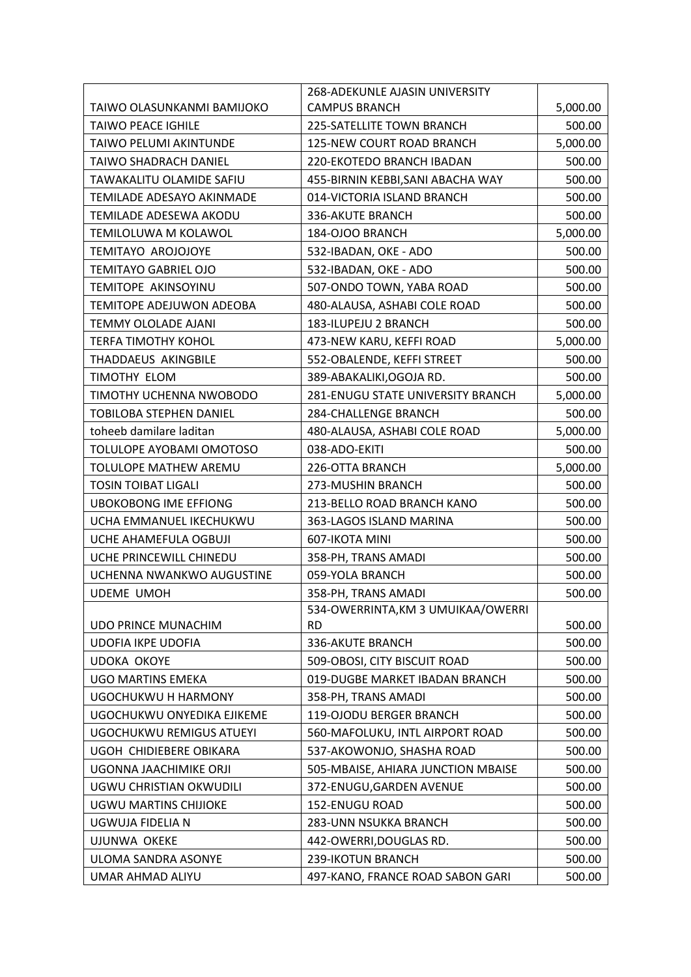|                                 | 268-ADEKUNLE AJASIN UNIVERSITY     |          |
|---------------------------------|------------------------------------|----------|
| TAIWO OLASUNKANMI BAMIJOKO      | <b>CAMPUS BRANCH</b>               | 5,000.00 |
| <b>TAIWO PEACE IGHILE</b>       | 225-SATELLITE TOWN BRANCH          | 500.00   |
| TAIWO PELUMI AKINTUNDE          | 125-NEW COURT ROAD BRANCH          | 5,000.00 |
| TAIWO SHADRACH DANIEL           | 220-EKOTEDO BRANCH IBADAN          | 500.00   |
| TAWAKALITU OLAMIDE SAFIU        | 455-BIRNIN KEBBI, SANI ABACHA WAY  | 500.00   |
| TEMILADE ADESAYO AKINMADE       | 014-VICTORIA ISLAND BRANCH         | 500.00   |
| TEMILADE ADESEWA AKODU          | 336-AKUTE BRANCH                   | 500.00   |
| TEMILOLUWA M KOLAWOL            | 184-OJOO BRANCH                    | 5,000.00 |
| <b>TEMITAYO AROJOJOYE</b>       | 532-IBADAN, OKE - ADO              | 500.00   |
| <b>TEMITAYO GABRIEL OJO</b>     | 532-IBADAN, OKE - ADO              | 500.00   |
| TEMITOPE AKINSOYINU             | 507-ONDO TOWN, YABA ROAD           | 500.00   |
| TEMITOPE ADEJUWON ADEOBA        | 480-ALAUSA, ASHABI COLE ROAD       | 500.00   |
| TEMMY OLOLADE AJANI             | 183-ILUPEJU 2 BRANCH               | 500.00   |
| TERFA TIMOTHY KOHOL             | 473-NEW KARU, KEFFI ROAD           | 5,000.00 |
| THADDAEUS AKINGBILE             | 552-OBALENDE, KEFFI STREET         | 500.00   |
| TIMOTHY ELOM                    | 389-ABAKALIKI, OGOJA RD.           | 500.00   |
| TIMOTHY UCHENNA NWOBODO         | 281-ENUGU STATE UNIVERSITY BRANCH  | 5,000.00 |
| TOBILOBA STEPHEN DANIEL         | 284-CHALLENGE BRANCH               | 500.00   |
| toheeb damilare laditan         | 480-ALAUSA, ASHABI COLE ROAD       | 5,000.00 |
| TOLULOPE AYOBAMI OMOTOSO        | 038-ADO-EKITI                      | 500.00   |
| TOLULOPE MATHEW AREMU           | 226-OTTA BRANCH                    | 5,000.00 |
| <b>TOSIN TOIBAT LIGALI</b>      | 273-MUSHIN BRANCH                  | 500.00   |
| <b>UBOKOBONG IME EFFIONG</b>    | 213-BELLO ROAD BRANCH KANO         | 500.00   |
| UCHA EMMANUEL IKECHUKWU         | 363-LAGOS ISLAND MARINA            | 500.00   |
| UCHE AHAMEFULA OGBUJI           | 607-IKOTA MINI                     | 500.00   |
| UCHE PRINCEWILL CHINEDU         | 358-PH, TRANS AMADI                | 500.00   |
| UCHENNA NWANKWO AUGUSTINE       | 059-YOLA BRANCH                    | 500.00   |
| <b>UDEME UMOH</b>               | 358-PH, TRANS AMADI                | 500.00   |
|                                 | 534-OWERRINTA, KM 3 UMUIKAA/OWERRI |          |
| <b>UDO PRINCE MUNACHIM</b>      | <b>RD</b>                          | 500.00   |
| <b>UDOFIA IKPE UDOFIA</b>       | 336-AKUTE BRANCH                   | 500.00   |
| <b>UDOKA OKOYE</b>              | 509-OBOSI, CITY BISCUIT ROAD       | 500.00   |
| <b>UGO MARTINS EMEKA</b>        | 019-DUGBE MARKET IBADAN BRANCH     | 500.00   |
| UGOCHUKWU H HARMONY             | 358-PH, TRANS AMADI                | 500.00   |
| UGOCHUKWU ONYEDIKA EJIKEME      | 119-OJODU BERGER BRANCH            | 500.00   |
| <b>UGOCHUKWU REMIGUS ATUEYI</b> | 560-MAFOLUKU, INTL AIRPORT ROAD    | 500.00   |
| UGOH CHIDIEBERE OBIKARA         | 537-AKOWONJO, SHASHA ROAD          | 500.00   |
| UGONNA JAACHIMIKE ORJI          | 505-MBAISE, AHIARA JUNCTION MBAISE | 500.00   |
| UGWU CHRISTIAN OKWUDILI         | 372-ENUGU, GARDEN AVENUE           | 500.00   |
| <b>UGWU MARTINS CHIJIOKE</b>    | 152-ENUGU ROAD                     | 500.00   |
| UGWUJA FIDELIA N                | 283-UNN NSUKKA BRANCH              | 500.00   |
| <b>UJUNWA OKEKE</b>             | 442-OWERRI, DOUGLAS RD.            | 500.00   |
| ULOMA SANDRA ASONYE             | 239-IKOTUN BRANCH                  | 500.00   |
| UMAR AHMAD ALIYU                | 497-KANO, FRANCE ROAD SABON GARI   | 500.00   |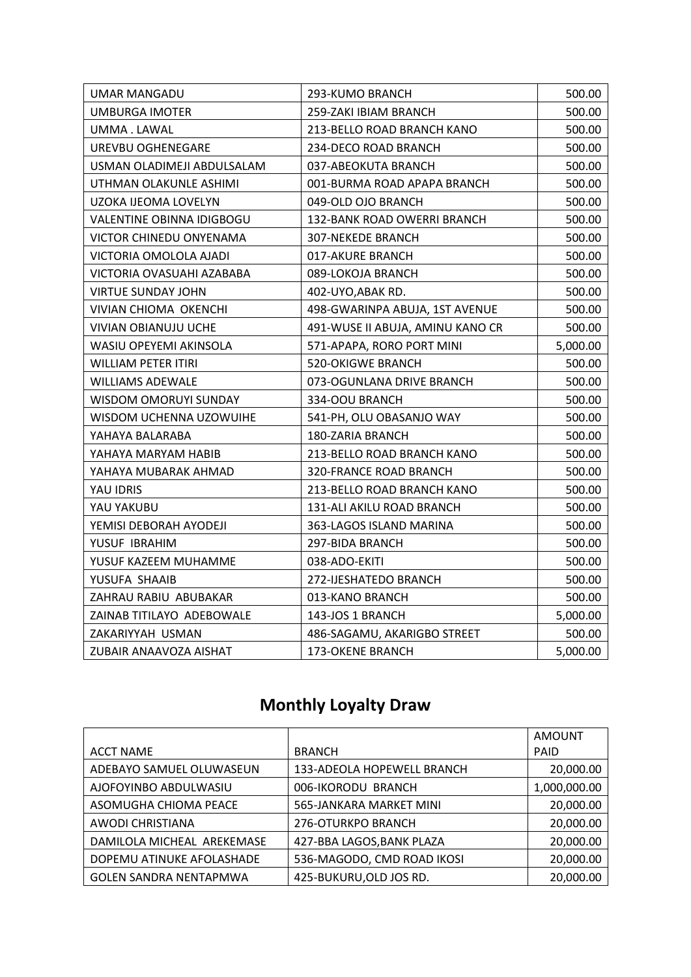| <b>UMAR MANGADU</b>        | 293-KUMO BRANCH                  | 500.00   |
|----------------------------|----------------------------------|----------|
| <b>UMBURGA IMOTER</b>      | 259-ZAKI IBIAM BRANCH            | 500.00   |
| UMMA . LAWAL               | 213-BELLO ROAD BRANCH KANO       | 500.00   |
| UREVBU OGHENEGARE          | 234-DECO ROAD BRANCH             | 500.00   |
| USMAN OLADIMEJI ABDULSALAM | 037-ABEOKUTA BRANCH              | 500.00   |
| UTHMAN OLAKUNLE ASHIMI     | 001-BURMA ROAD APAPA BRANCH      | 500.00   |
| UZOKA IJEOMA LOVELYN       | 049-OLD OJO BRANCH               | 500.00   |
| VALENTINE OBINNA IDIGBOGU  | 132-BANK ROAD OWERRI BRANCH      | 500.00   |
| VICTOR CHINEDU ONYENAMA    | <b>307-NEKEDE BRANCH</b>         | 500.00   |
| VICTORIA OMOLOLA AJADI     | 017-AKURE BRANCH                 | 500.00   |
| VICTORIA OVASUAHI AZABABA  | 089-LOKOJA BRANCH                | 500.00   |
| <b>VIRTUE SUNDAY JOHN</b>  | 402-UYO, ABAK RD.                | 500.00   |
| VIVIAN CHIOMA OKENCHI      | 498-GWARINPA ABUJA, 1ST AVENUE   | 500.00   |
| VIVIAN OBIANUJU UCHE       | 491-WUSE II ABUJA, AMINU KANO CR | 500.00   |
| WASIU OPEYEMI AKINSOLA     | 571-APAPA, RORO PORT MINI        | 5,000.00 |
| <b>WILLIAM PETER ITIRI</b> | 520-OKIGWE BRANCH                | 500.00   |
| <b>WILLIAMS ADEWALE</b>    | 073-OGUNLANA DRIVE BRANCH        | 500.00   |
| WISDOM OMORUYI SUNDAY      | 334-OOU BRANCH                   | 500.00   |
| WISDOM UCHENNA UZOWUIHE    | 541-PH, OLU OBASANJO WAY         | 500.00   |
| YAHAYA BALARABA            | 180-ZARIA BRANCH                 | 500.00   |
| YAHAYA MARYAM HABIB        | 213-BELLO ROAD BRANCH KANO       | 500.00   |
| YAHAYA MUBARAK AHMAD       | 320-FRANCE ROAD BRANCH           | 500.00   |
| YAU IDRIS                  | 213-BELLO ROAD BRANCH KANO       | 500.00   |
| YAU YAKUBU                 | 131-ALI AKILU ROAD BRANCH        | 500.00   |
| YEMISI DEBORAH AYODEJI     | 363-LAGOS ISLAND MARINA          | 500.00   |
| YUSUF IBRAHIM              | 297-BIDA BRANCH                  | 500.00   |
| YUSUF KAZEEM MUHAMME       | 038-ADO-EKITI                    | 500.00   |
| YUSUFA SHAAIB              | 272-IJESHATEDO BRANCH            | 500.00   |
| ZAHRAU RABIU ABUBAKAR      | 013-KANO BRANCH                  | 500.00   |
| ZAINAB TITILAYO ADEBOWALE  | 143-JOS 1 BRANCH                 | 5,000.00 |
| ZAKARIYYAH USMAN           | 486-SAGAMU, AKARIGBO STREET      | 500.00   |
| ZUBAIR ANAAVOZA AISHAT     | 173-OKENE BRANCH                 | 5,000.00 |

### **Monthly Loyalty Draw**

|                               |                            | AMOUNT       |
|-------------------------------|----------------------------|--------------|
| <b>ACCT NAME</b>              | <b>BRANCH</b>              | <b>PAID</b>  |
| ADEBAYO SAMUEL OLUWASEUN      | 133-ADEOLA HOPEWELL BRANCH | 20,000.00    |
| AJOFOYINBO ABDULWASIU         | 006-IKORODU BRANCH         | 1,000,000.00 |
| ASOMUGHA CHIOMA PEACE         | 565-JANKARA MARKET MINI    | 20,000.00    |
| AWODI CHRISTIANA              | 276-OTURKPO BRANCH         | 20,000.00    |
| DAMILOLA MICHEAL AREKEMASE    | 427-BBA LAGOS, BANK PLAZA  | 20,000.00    |
| DOPEMU ATINUKE AFOLASHADE     | 536-MAGODO, CMD ROAD IKOSI | 20,000.00    |
| <b>GOLEN SANDRA NENTAPMWA</b> | 425-BUKURU, OLD JOS RD.    | 20,000.00    |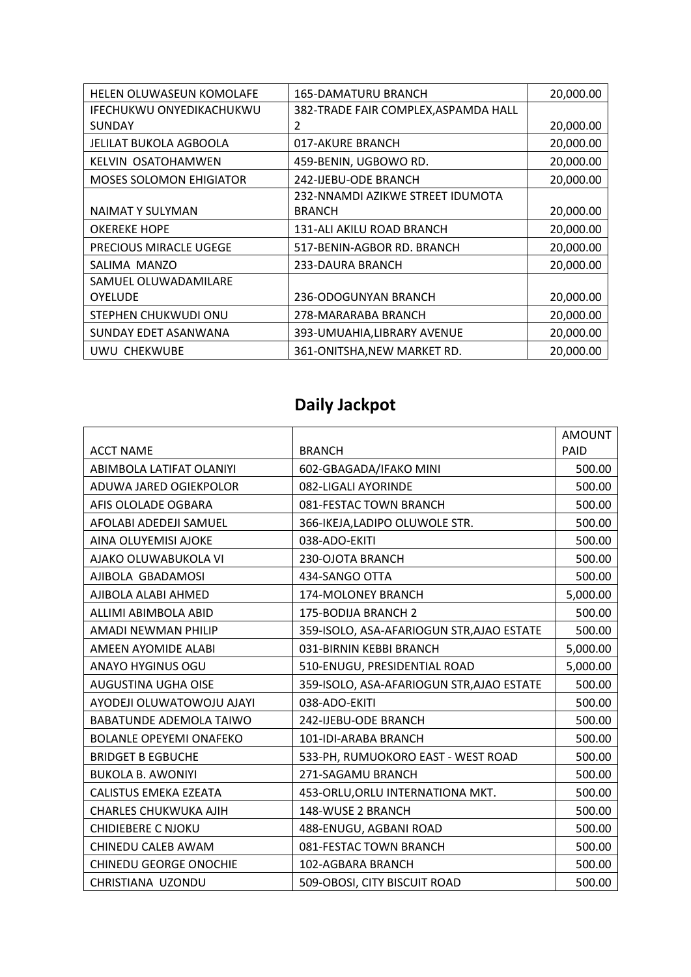| <b>HELEN OLUWASEUN KOMOLAFE</b> | <b>165-DAMATURU BRANCH</b>           | 20,000.00 |
|---------------------------------|--------------------------------------|-----------|
| IFECHUKWU ONYEDIKACHUKWU        | 382-TRADE FAIR COMPLEX, ASPAMDA HALL |           |
| <b>SUNDAY</b>                   | 2                                    | 20,000.00 |
| JELILAT BUKOLA AGBOOLA          | 017-AKURE BRANCH                     | 20,000.00 |
| KELVIN OSATOHAMWEN              | 459-BENIN, UGBOWO RD.                | 20,000.00 |
| <b>MOSES SOLOMON EHIGIATOR</b>  | 242-IJEBU-ODE BRANCH                 | 20,000.00 |
|                                 | 232-NNAMDI AZIKWE STREET IDUMOTA     |           |
| NAIMAT Y SULYMAN                | <b>BRANCH</b>                        | 20,000.00 |
| <b>OKEREKE HOPE</b>             | 131-ALI AKILU ROAD BRANCH            | 20,000.00 |
| <b>PRECIOUS MIRACLE UGEGE</b>   | 517-BENIN-AGBOR RD. BRANCH           | 20,000.00 |
| SALIMA MANZO                    | 233-DAURA BRANCH                     | 20,000.00 |
| SAMUEL OLUWADAMILARE            |                                      |           |
| <b>OYELUDE</b>                  | 236-ODOGUNYAN BRANCH                 | 20,000.00 |
| STEPHEN CHUKWUDI ONU            | 278-MARARABA BRANCH                  | 20,000.00 |
| SUNDAY EDET ASANWANA            | 393-UMUAHIA,LIBRARY AVENUE           | 20,000.00 |
| UWU CHEKWUBE                    | 361-ONITSHA, NEW MARKET RD.          | 20,000.00 |
|                                 |                                      |           |

# **Daily Jackpot**

|                                |                                           | <b>AMOUNT</b> |
|--------------------------------|-------------------------------------------|---------------|
| <b>ACCT NAME</b>               | <b>BRANCH</b>                             | PAID          |
| ABIMBOLA LATIFAT OLANIYI       | 602-GBAGADA/IFAKO MINI                    | 500.00        |
| ADUWA JARED OGIEKPOLOR         | 082-LIGALI AYORINDE                       | 500.00        |
| AFIS OLOLADE OGBARA            | 081-FESTAC TOWN BRANCH                    | 500.00        |
| AFOLABI ADEDEJI SAMUEL         | 366-IKEJA,LADIPO OLUWOLE STR.             | 500.00        |
| AINA OLUYEMISI AJOKE           | 038-ADO-EKITI                             | 500.00        |
| AJAKO OLUWABUKOLA VI           | 230-OJOTA BRANCH                          | 500.00        |
| AJIBOLA GBADAMOSI              | 434-SANGO OTTA                            | 500.00        |
| AJIBOLA ALABI AHMED            | 174-MOLONEY BRANCH                        | 5,000.00      |
| ALLIMI ABIMBOLA ABID           | 175-BODIJA BRANCH 2                       | 500.00        |
| AMADI NEWMAN PHILIP            | 359-ISOLO, ASA-AFARIOGUN STR, AJAO ESTATE | 500.00        |
| AMEEN AYOMIDE ALABI            | 031-BIRNIN KEBBI BRANCH                   | 5,000.00      |
| <b>ANAYO HYGINUS OGU</b>       | 510-ENUGU, PRESIDENTIAL ROAD              | 5,000.00      |
| <b>AUGUSTINA UGHA OISE</b>     | 359-ISOLO, ASA-AFARIOGUN STR, AJAO ESTATE | 500.00        |
| AYODEJI OLUWATOWOJU AJAYI      | 038-ADO-EKITI                             | 500.00        |
| <b>BABATUNDE ADEMOLA TAIWO</b> | 242-IJEBU-ODE BRANCH                      | 500.00        |
| <b>BOLANLE OPEYEMI ONAFEKO</b> | 101-IDI-ARABA BRANCH                      | 500.00        |
| <b>BRIDGET B EGBUCHE</b>       | 533-PH, RUMUOKORO EAST - WEST ROAD        | 500.00        |
| <b>BUKOLA B. AWONIYI</b>       | 271-SAGAMU BRANCH                         | 500.00        |
| CALISTUS EMEKA EZEATA          | 453-ORLU, ORLU INTERNATIONA MKT.          | 500.00        |
| CHARLES CHUKWUKA AJIH          | 148-WUSE 2 BRANCH                         | 500.00        |
| <b>CHIDIEBERE C NJOKU</b>      | 488-ENUGU, AGBANI ROAD                    | 500.00        |
| <b>CHINEDU CALEB AWAM</b>      | 081-FESTAC TOWN BRANCH                    | 500.00        |
| CHINEDU GEORGE ONOCHIE         | 102-AGBARA BRANCH                         | 500.00        |
| CHRISTIANA UZONDU              | 509-OBOSI, CITY BISCUIT ROAD              | 500.00        |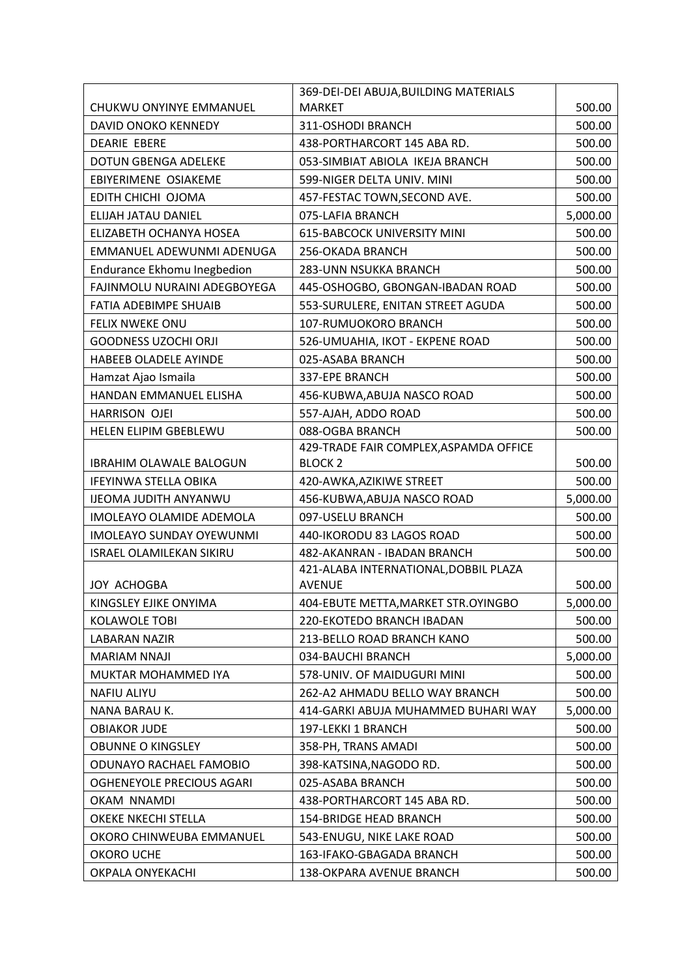|                                 | 369-DEI-DEI ABUJA, BUILDING MATERIALS                  |          |
|---------------------------------|--------------------------------------------------------|----------|
| CHUKWU ONYINYE EMMANUEL         | <b>MARKET</b>                                          | 500.00   |
| DAVID ONOKO KENNEDY             | 311-OSHODI BRANCH                                      | 500.00   |
| <b>DEARIE EBERE</b>             | 438-PORTHARCORT 145 ABA RD.                            | 500.00   |
| <b>DOTUN GBENGA ADELEKE</b>     | 053-SIMBIAT ABIOLA IKEJA BRANCH                        | 500.00   |
| EBIYERIMENE OSIAKEME            | 599-NIGER DELTA UNIV. MINI                             | 500.00   |
| EDITH CHICHI OJOMA              | 457-FESTAC TOWN, SECOND AVE.                           | 500.00   |
| ELIJAH JATAU DANIEL             | 075-LAFIA BRANCH                                       | 5,000.00 |
| ELIZABETH OCHANYA HOSEA         | <b>615-BABCOCK UNIVERSITY MINI</b>                     | 500.00   |
| EMMANUEL ADEWUNMI ADENUGA       | 256-OKADA BRANCH                                       | 500.00   |
| Endurance Ekhomu Inegbedion     | 283-UNN NSUKKA BRANCH                                  | 500.00   |
| FAJINMOLU NURAINI ADEGBOYEGA    | 445-OSHOGBO, GBONGAN-IBADAN ROAD                       | 500.00   |
| <b>FATIA ADEBIMPE SHUAIB</b>    | 553-SURULERE, ENITAN STREET AGUDA                      | 500.00   |
| <b>FELIX NWEKE ONU</b>          | 107-RUMUOKORO BRANCH                                   | 500.00   |
| <b>GOODNESS UZOCHI ORJI</b>     | 526-UMUAHIA, IKOT - EKPENE ROAD                        | 500.00   |
| HABEEB OLADELE AYINDE           | 025-ASABA BRANCH                                       | 500.00   |
| Hamzat Ajao Ismaila             | 337-EPE BRANCH                                         | 500.00   |
| HANDAN EMMANUEL ELISHA          | 456-KUBWA, ABUJA NASCO ROAD                            | 500.00   |
| <b>HARRISON OJEI</b>            | 557-AJAH, ADDO ROAD                                    | 500.00   |
| HELEN ELIPIM GBEBLEWU           | 088-OGBA BRANCH                                        | 500.00   |
|                                 | 429-TRADE FAIR COMPLEX, ASPAMDA OFFICE                 |          |
| <b>IBRAHIM OLAWALE BALOGUN</b>  | <b>BLOCK 2</b>                                         | 500.00   |
| <b>IFEYINWA STELLA OBIKA</b>    | 420-AWKA, AZIKIWE STREET                               | 500.00   |
| <b>IJEOMA JUDITH ANYANWU</b>    | 456-KUBWA, ABUJA NASCO ROAD                            | 5,000.00 |
| IMOLEAYO OLAMIDE ADEMOLA        | 097-USELU BRANCH                                       | 500.00   |
| <b>IMOLEAYO SUNDAY OYEWUNMI</b> | 440-IKORODU 83 LAGOS ROAD                              | 500.00   |
| <b>ISRAEL OLAMILEKAN SIKIRU</b> | 482-AKANRAN - IBADAN BRANCH                            | 500.00   |
| JOY ACHOGBA                     | 421-ALABA INTERNATIONAL, DOBBIL PLAZA<br><b>AVENUE</b> | 500.00   |
| KINGSLEY EJIKE ONYIMA           | 404-EBUTE METTA, MARKET STR. OYINGBO                   | 5,000.00 |
| <b>KOLAWOLE TOBI</b>            | 220-EKOTEDO BRANCH IBADAN                              | 500.00   |
| <b>LABARAN NAZIR</b>            | 213-BELLO ROAD BRANCH KANO                             | 500.00   |
| <b>MARIAM NNAJI</b>             | 034-BAUCHI BRANCH                                      | 5,000.00 |
| MUKTAR MOHAMMED IYA             | 578-UNIV. OF MAIDUGURI MINI                            | 500.00   |
| <b>NAFIU ALIYU</b>              | 262-A2 AHMADU BELLO WAY BRANCH                         | 500.00   |
| NANA BARAU K.                   | 414-GARKI ABUJA MUHAMMED BUHARI WAY                    | 5,000.00 |
| <b>OBIAKOR JUDE</b>             | 197-LEKKI 1 BRANCH                                     | 500.00   |
| <b>OBUNNE O KINGSLEY</b>        | 358-PH, TRANS AMADI                                    | 500.00   |
| ODUNAYO RACHAEL FAMOBIO         | 398-KATSINA, NAGODO RD.                                | 500.00   |
| OGHENEYOLE PRECIOUS AGARI       | 025-ASABA BRANCH                                       | 500.00   |
| OKAM NNAMDI                     | 438-PORTHARCORT 145 ABA RD.                            | 500.00   |
| OKEKE NKECHI STELLA             | 154-BRIDGE HEAD BRANCH                                 | 500.00   |
| OKORO CHINWEUBA EMMANUEL        | 543-ENUGU, NIKE LAKE ROAD                              | 500.00   |
| OKORO UCHE                      | 163-IFAKO-GBAGADA BRANCH                               | 500.00   |
| OKPALA ONYEKACHI                | 138-OKPARA AVENUE BRANCH                               | 500.00   |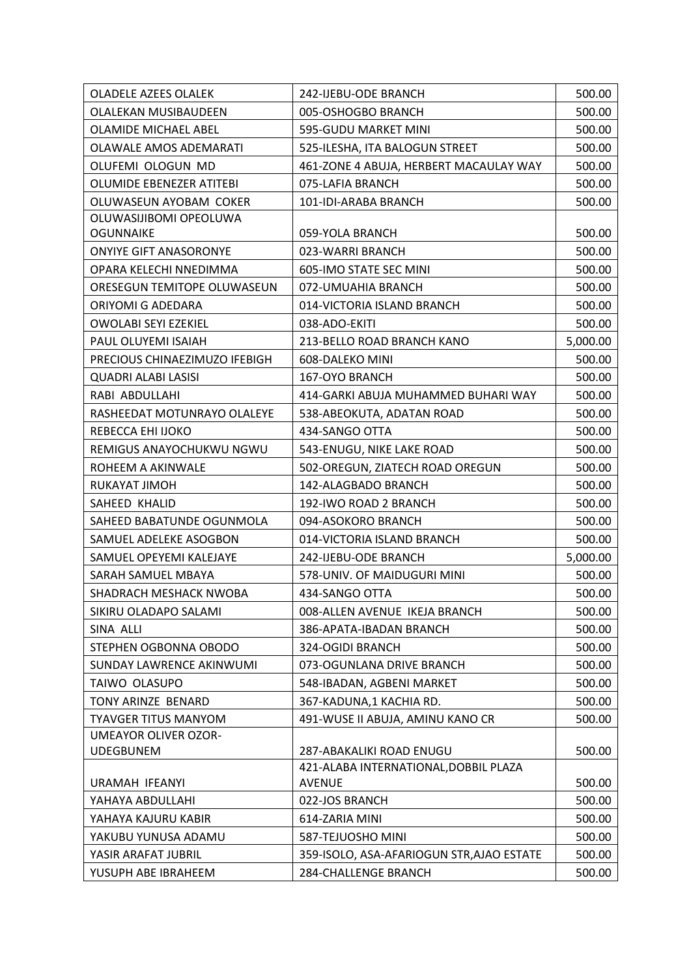| <b>OLADELE AZEES OLALEK</b>     | 242-IJEBU-ODE BRANCH                                   | 500.00   |
|---------------------------------|--------------------------------------------------------|----------|
| OLALEKAN MUSIBAUDEEN            | 005-OSHOGBO BRANCH                                     | 500.00   |
| <b>OLAMIDE MICHAEL ABEL</b>     | 595-GUDU MARKET MINI                                   | 500.00   |
| OLAWALE AMOS ADEMARATI          | 525-ILESHA, ITA BALOGUN STREET                         | 500.00   |
| OLUFEMI OLOGUN MD               | 461-ZONE 4 ABUJA, HERBERT MACAULAY WAY                 | 500.00   |
| <b>OLUMIDE EBENEZER ATITEBI</b> | 075-LAFIA BRANCH                                       | 500.00   |
| OLUWASEUN AYOBAM COKER          | 101-IDI-ARABA BRANCH                                   | 500.00   |
| OLUWASIJIBOMI OPEOLUWA          |                                                        |          |
| <b>OGUNNAIKE</b>                | 059-YOLA BRANCH                                        | 500.00   |
| <b>ONYIYE GIFT ANASORONYE</b>   | 023-WARRI BRANCH                                       | 500.00   |
| OPARA KELECHI NNEDIMMA          | 605-IMO STATE SEC MINI                                 | 500.00   |
| ORESEGUN TEMITOPE OLUWASEUN     | 072-UMUAHIA BRANCH                                     | 500.00   |
| ORIYOMI G ADEDARA               | 014-VICTORIA ISLAND BRANCH                             | 500.00   |
| <b>OWOLABI SEYI EZEKIEL</b>     | 038-ADO-EKITI                                          | 500.00   |
| PAUL OLUYEMI ISAIAH             | 213-BELLO ROAD BRANCH KANO                             | 5,000.00 |
| PRECIOUS CHINAEZIMUZO IFEBIGH   | 608-DALEKO MINI                                        | 500.00   |
| <b>QUADRI ALABI LASISI</b>      | 167-OYO BRANCH                                         | 500.00   |
| RABI ABDULLAHI                  | 414-GARKI ABUJA MUHAMMED BUHARI WAY                    | 500.00   |
| RASHEEDAT MOTUNRAYO OLALEYE     | 538-ABEOKUTA, ADATAN ROAD                              | 500.00   |
| REBECCA EHI IJOKO               | 434-SANGO OTTA                                         | 500.00   |
| REMIGUS ANAYOCHUKWU NGWU        | 543-ENUGU, NIKE LAKE ROAD                              | 500.00   |
| ROHEEM A AKINWALE               | 502-OREGUN, ZIATECH ROAD OREGUN                        | 500.00   |
| RUKAYAT JIMOH                   | 142-ALAGBADO BRANCH                                    | 500.00   |
| SAHEED KHALID                   | 192-IWO ROAD 2 BRANCH                                  | 500.00   |
| SAHEED BABATUNDE OGUNMOLA       | 094-ASOKORO BRANCH                                     | 500.00   |
| SAMUEL ADELEKE ASOGBON          | 014-VICTORIA ISLAND BRANCH                             | 500.00   |
| SAMUEL OPEYEMI KALEJAYE         | 242-IJEBU-ODE BRANCH                                   | 5,000.00 |
| SARAH SAMUEL MBAYA              | 578-UNIV. OF MAIDUGURI MINI                            | 500.00   |
| SHADRACH MESHACK NWOBA          | 434-SANGO OTTA                                         | 500.00   |
| SIKIRU OLADAPO SALAMI           | 008-ALLEN AVENUE IKEJA BRANCH                          | 500.00   |
| SINA ALLI                       | 386-APATA-IBADAN BRANCH                                | 500.00   |
| STEPHEN OGBONNA OBODO           | 324-OGIDI BRANCH                                       | 500.00   |
| SUNDAY LAWRENCE AKINWUMI        | 073-OGUNLANA DRIVE BRANCH                              | 500.00   |
| TAIWO OLASUPO                   | 548-IBADAN, AGBENI MARKET                              | 500.00   |
| TONY ARINZE BENARD              | 367-KADUNA,1 KACHIA RD.                                | 500.00   |
| <b>TYAVGER TITUS MANYOM</b>     | 491-WUSE II ABUJA, AMINU KANO CR                       | 500.00   |
| <b>UMEAYOR OLIVER OZOR-</b>     |                                                        |          |
| <b>UDEGBUNEM</b>                | 287-ABAKALIKI ROAD ENUGU                               | 500.00   |
| URAMAH IFEANYI                  | 421-ALABA INTERNATIONAL, DOBBIL PLAZA<br><b>AVENUE</b> | 500.00   |
| YAHAYA ABDULLAHI                | 022-JOS BRANCH                                         | 500.00   |
| YAHAYA KAJURU KABIR             | 614-ZARIA MINI                                         | 500.00   |
| YAKUBU YUNUSA ADAMU             | 587-TEJUOSHO MINI                                      | 500.00   |
| YASIR ARAFAT JUBRIL             | 359-ISOLO, ASA-AFARIOGUN STR, AJAO ESTATE              | 500.00   |
| YUSUPH ABE IBRAHEEM             | <b>284-CHALLENGE BRANCH</b>                            | 500.00   |